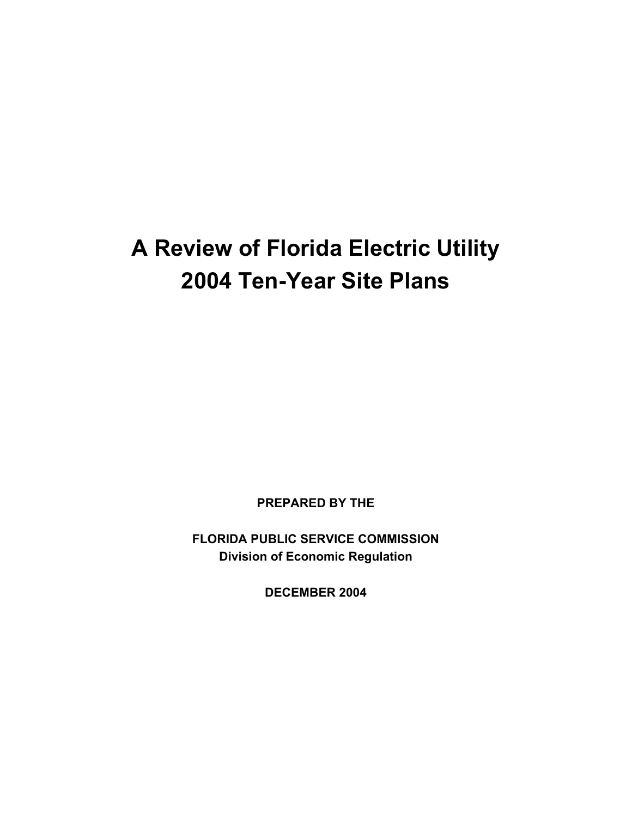# **A Review of Florida Electric Utility 2004 Ten-Year Site Plans**

**PREPARED BY THE** 

**FLORIDA PUBLIC SERVICE COMMISSION Division of Economic Regulation** 

**DECEMBER 2004**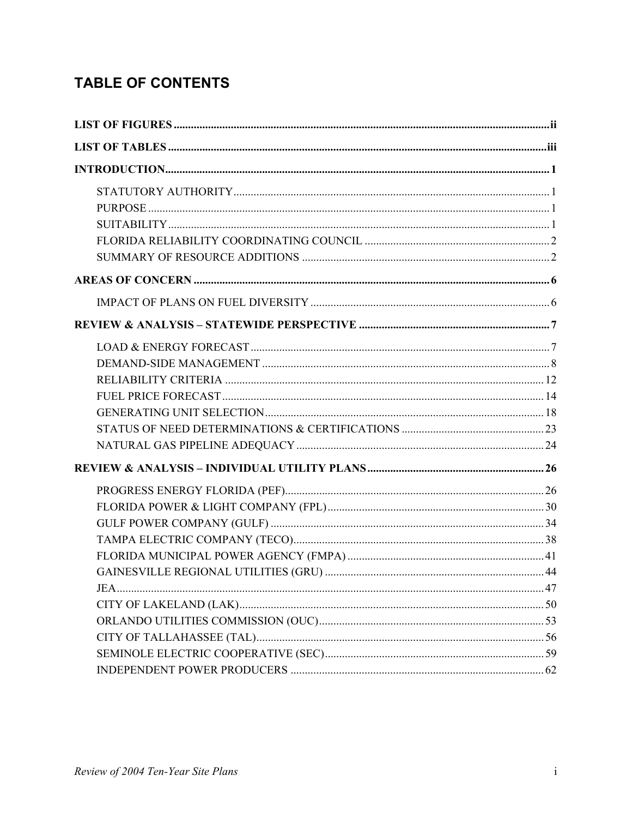# **TABLE OF CONTENTS**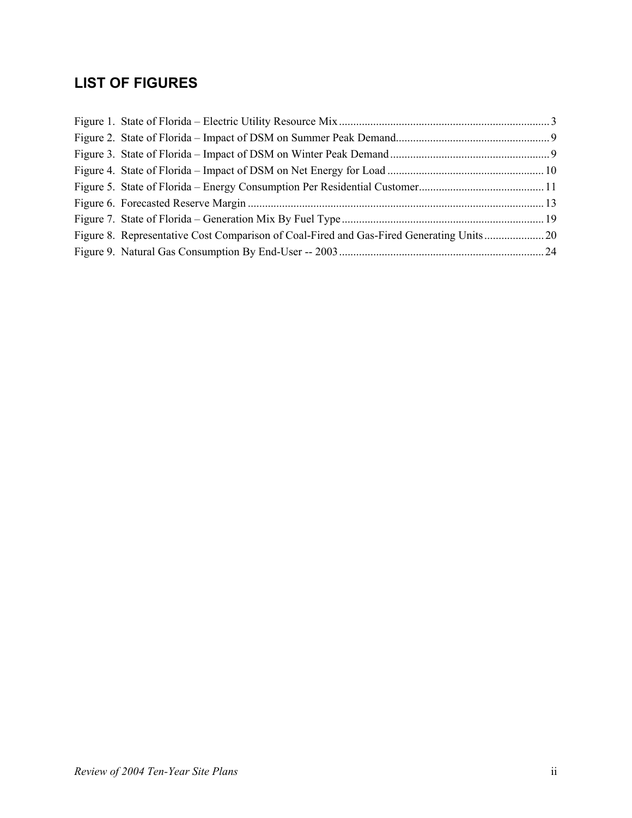# **LIST OF FIGURES**

| Figure 8. Representative Cost Comparison of Coal-Fired and Gas-Fired Generating Units20 |  |
|-----------------------------------------------------------------------------------------|--|
|                                                                                         |  |
|                                                                                         |  |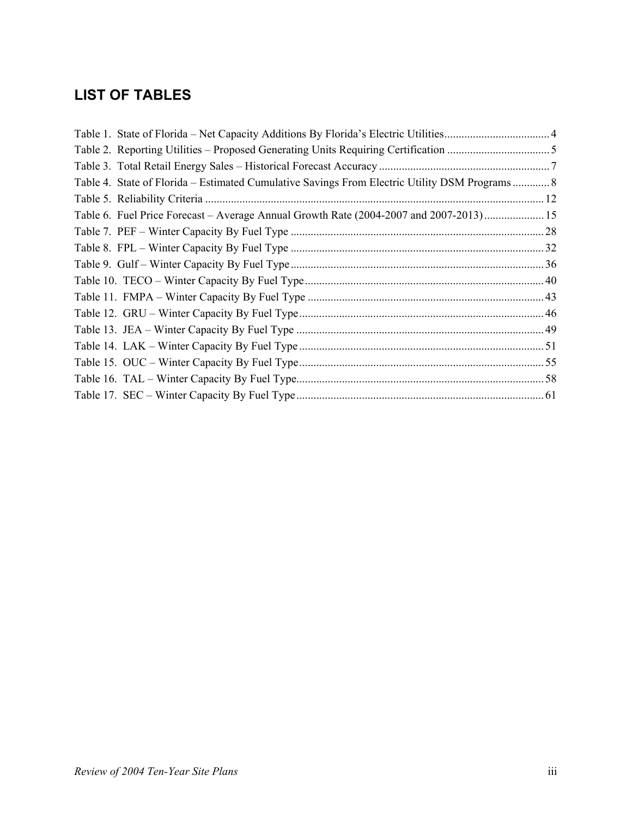# **LIST OF TABLES**

| Table 4. State of Florida – Estimated Cumulative Savings From Electric Utility DSM Programs 8 |  |
|-----------------------------------------------------------------------------------------------|--|
|                                                                                               |  |
| Table 6. Fuel Price Forecast – Average Annual Growth Rate (2004-2007 and 2007-2013) 15        |  |
|                                                                                               |  |
|                                                                                               |  |
|                                                                                               |  |
|                                                                                               |  |
|                                                                                               |  |
|                                                                                               |  |
|                                                                                               |  |
|                                                                                               |  |
|                                                                                               |  |
|                                                                                               |  |
|                                                                                               |  |
|                                                                                               |  |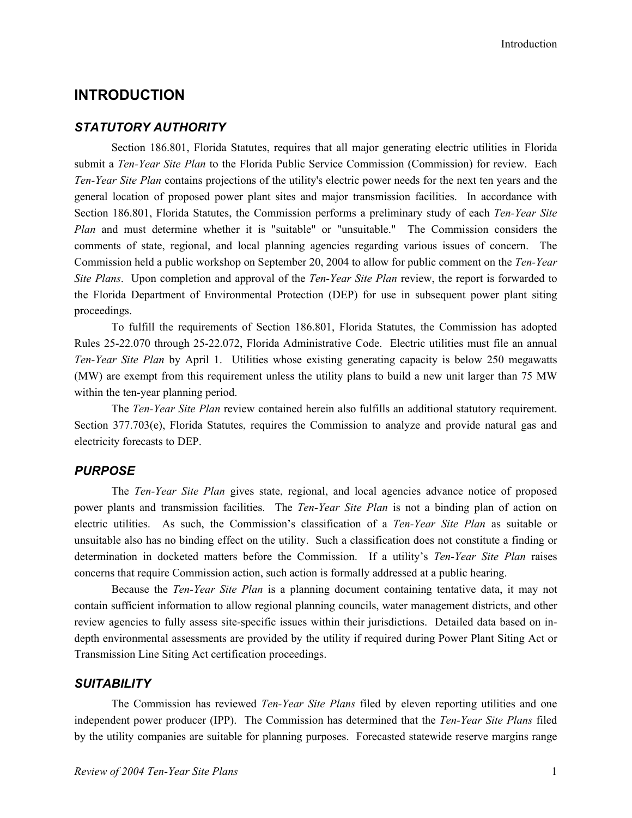# **INTRODUCTION**

# *STATUTORY AUTHORITY*

Section 186.801, Florida Statutes, requires that all major generating electric utilities in Florida submit a *Ten-Year Site Plan* to the Florida Public Service Commission (Commission) for review. Each *Ten-Year Site Plan* contains projections of the utility's electric power needs for the next ten years and the general location of proposed power plant sites and major transmission facilities. In accordance with Section 186.801, Florida Statutes, the Commission performs a preliminary study of each *Ten-Year Site Plan* and must determine whether it is "suitable" or "unsuitable." The Commission considers the comments of state, regional, and local planning agencies regarding various issues of concern. The Commission held a public workshop on September 20, 2004 to allow for public comment on the *Ten-Year Site Plans*. Upon completion and approval of the *Ten-Year Site Plan* review, the report is forwarded to the Florida Department of Environmental Protection (DEP) for use in subsequent power plant siting proceedings.

To fulfill the requirements of Section 186.801, Florida Statutes, the Commission has adopted Rules 25-22.070 through 25-22.072, Florida Administrative Code. Electric utilities must file an annual *Ten-Year Site Plan* by April 1. Utilities whose existing generating capacity is below 250 megawatts (MW) are exempt from this requirement unless the utility plans to build a new unit larger than 75 MW within the ten-year planning period.

The *Ten-Year Site Plan* review contained herein also fulfills an additional statutory requirement. Section 377.703(e), Florida Statutes, requires the Commission to analyze and provide natural gas and electricity forecasts to DEP.

#### *PURPOSE*

The *Ten-Year Site Plan* gives state, regional, and local agencies advance notice of proposed power plants and transmission facilities. The *Ten-Year Site Plan* is not a binding plan of action on electric utilities. As such, the Commission's classification of a *Ten-Year Site Plan* as suitable or unsuitable also has no binding effect on the utility. Such a classification does not constitute a finding or determination in docketed matters before the Commission. If a utility's *Ten-Year Site Plan* raises concerns that require Commission action, such action is formally addressed at a public hearing.

Because the *Ten-Year Site Plan* is a planning document containing tentative data, it may not contain sufficient information to allow regional planning councils, water management districts, and other review agencies to fully assess site-specific issues within their jurisdictions. Detailed data based on indepth environmental assessments are provided by the utility if required during Power Plant Siting Act or Transmission Line Siting Act certification proceedings.

#### *SUITABILITY*

The Commission has reviewed *Ten-Year Site Plans* filed by eleven reporting utilities and one independent power producer (IPP). The Commission has determined that the *Ten-Year Site Plans* filed by the utility companies are suitable for planning purposes. Forecasted statewide reserve margins range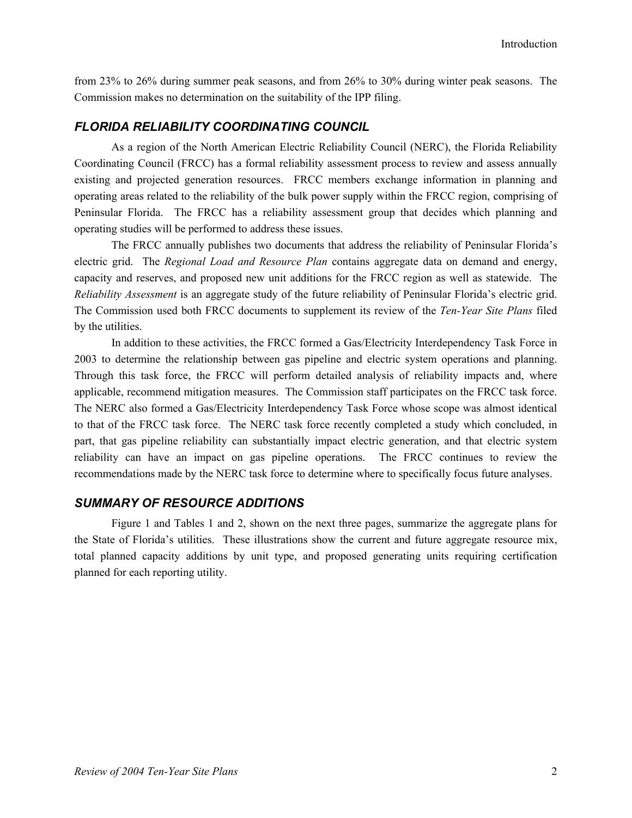from 23% to 26% during summer peak seasons, and from 26% to 30% during winter peak seasons. The Commission makes no determination on the suitability of the IPP filing.

# *FLORIDA RELIABILITY COORDINATING COUNCIL*

As a region of the North American Electric Reliability Council (NERC), the Florida Reliability Coordinating Council (FRCC) has a formal reliability assessment process to review and assess annually existing and projected generation resources. FRCC members exchange information in planning and operating areas related to the reliability of the bulk power supply within the FRCC region, comprising of Peninsular Florida. The FRCC has a reliability assessment group that decides which planning and operating studies will be performed to address these issues.

The FRCC annually publishes two documents that address the reliability of Peninsular Florida's electric grid. The *Regional Load and Resource Plan* contains aggregate data on demand and energy, capacity and reserves, and proposed new unit additions for the FRCC region as well as statewide. The *Reliability Assessment* is an aggregate study of the future reliability of Peninsular Florida's electric grid. The Commission used both FRCC documents to supplement its review of the *Ten-Year Site Plans* filed by the utilities.

In addition to these activities, the FRCC formed a Gas/Electricity Interdependency Task Force in 2003 to determine the relationship between gas pipeline and electric system operations and planning. Through this task force, the FRCC will perform detailed analysis of reliability impacts and, where applicable, recommend mitigation measures. The Commission staff participates on the FRCC task force. The NERC also formed a Gas/Electricity Interdependency Task Force whose scope was almost identical to that of the FRCC task force. The NERC task force recently completed a study which concluded, in part, that gas pipeline reliability can substantially impact electric generation, and that electric system reliability can have an impact on gas pipeline operations. The FRCC continues to review the recommendations made by the NERC task force to determine where to specifically focus future analyses.

# *SUMMARY OF RESOURCE ADDITIONS*

Figure 1 and Tables 1 and 2, shown on the next three pages, summarize the aggregate plans for the State of Florida's utilities. These illustrations show the current and future aggregate resource mix, total planned capacity additions by unit type, and proposed generating units requiring certification planned for each reporting utility.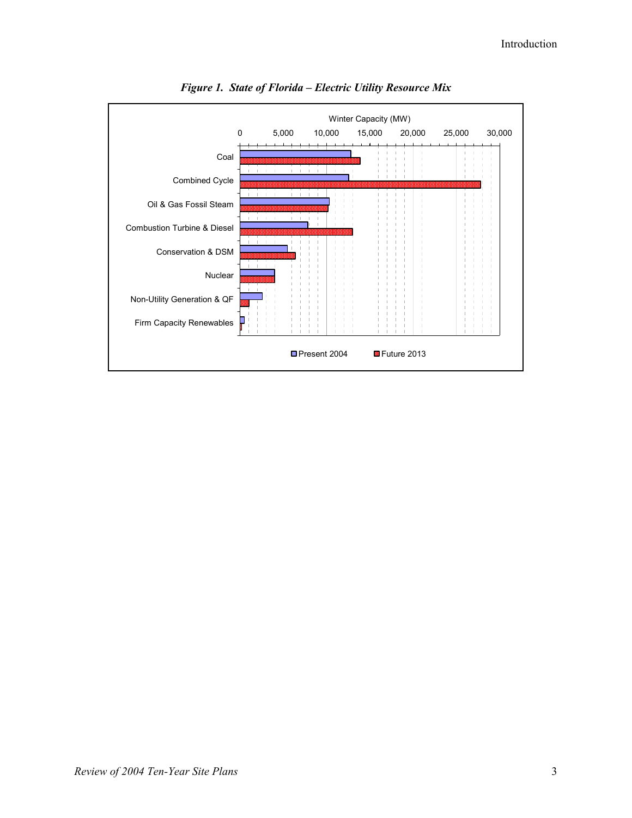

*Figure 1. State of Florida – Electric Utility Resource Mix*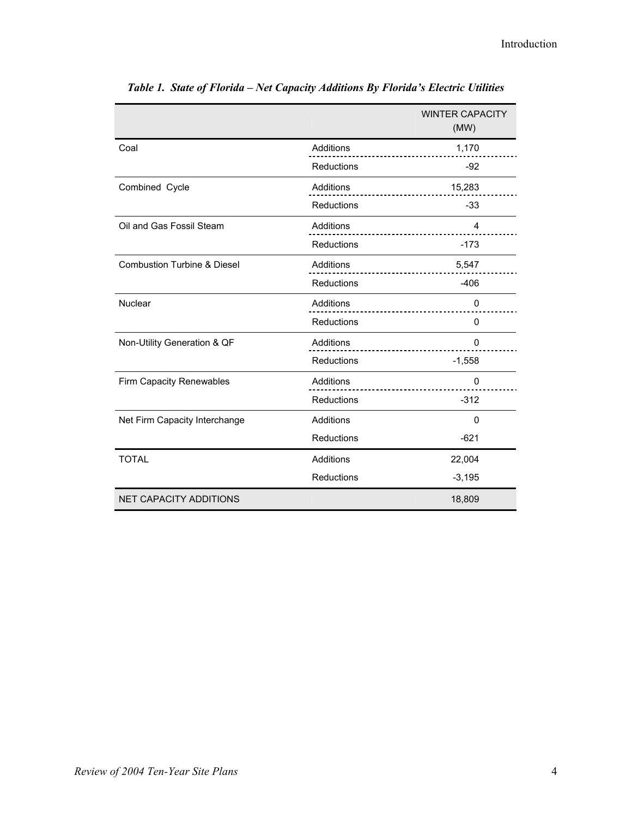|                                        |                   | <b>WINTER CAPACITY</b><br>(MW) |
|----------------------------------------|-------------------|--------------------------------|
| Coal                                   | Additions         | 1,170                          |
|                                        | Reductions        | $-92$                          |
| Combined Cycle                         | Additions         | 15,283                         |
|                                        | Reductions        | $-33$                          |
| Oil and Gas Fossil Steam               | Additions         | 4                              |
|                                        | Reductions        | $-173$                         |
| <b>Combustion Turbine &amp; Diesel</b> | Additions         | 5,547                          |
|                                        | <b>Reductions</b> | $-406$                         |
| Nuclear                                | Additions         | 0                              |
|                                        | Reductions        | 0                              |
| Non-Utility Generation & QF            | Additions         | 0                              |
|                                        | <b>Reductions</b> | $-1,558$                       |
| Firm Capacity Renewables               | Additions         | 0                              |
|                                        | Reductions        | $-312$                         |
| Net Firm Capacity Interchange          | Additions         | 0                              |
|                                        | Reductions        | $-621$                         |
| <b>TOTAL</b>                           | Additions         | 22,004                         |
|                                        | Reductions        | $-3,195$                       |
| <b>NET CAPACITY ADDITIONS</b>          |                   | 18,809                         |

*Table 1. State of Florida – Net Capacity Additions By Florida's Electric Utilities*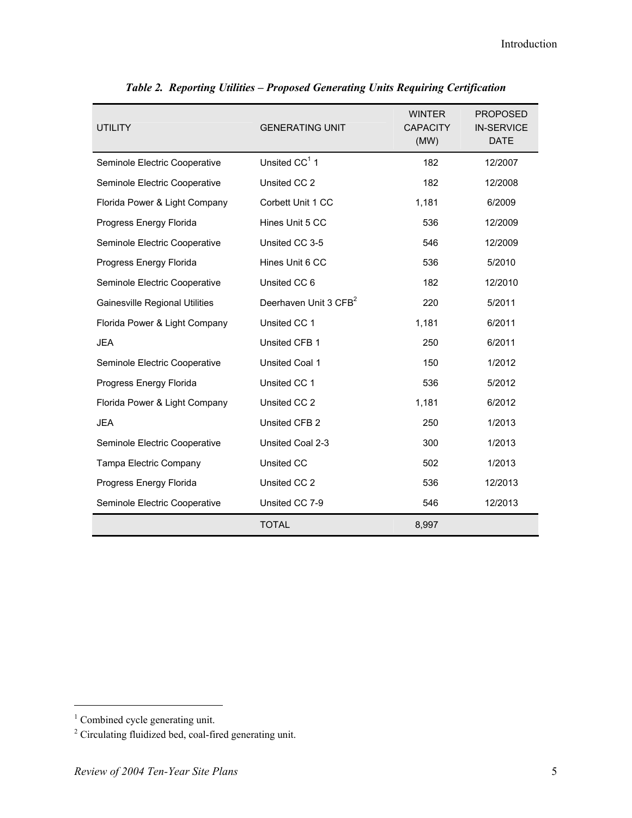| <b>UTILITY</b>                        | <b>GENERATING UNIT</b>            | <b>WINTER</b><br><b>CAPACITY</b><br>(MW) | <b>PROPOSED</b><br><b>IN-SERVICE</b><br><b>DATE</b> |
|---------------------------------------|-----------------------------------|------------------------------------------|-----------------------------------------------------|
| Seminole Electric Cooperative         | Unsited $CC1$ 1                   | 182                                      | 12/2007                                             |
| Seminole Electric Cooperative         | Unsited CC 2                      | 182                                      | 12/2008                                             |
| Florida Power & Light Company         | Corbett Unit 1 CC                 | 1,181                                    | 6/2009                                              |
| Progress Energy Florida               | Hines Unit 5 CC                   | 536                                      | 12/2009                                             |
| Seminole Electric Cooperative         | Unsited CC 3-5                    | 546                                      | 12/2009                                             |
| Progress Energy Florida               | Hines Unit 6 CC                   | 536                                      | 5/2010                                              |
| Seminole Electric Cooperative         | Unsited CC 6                      | 182                                      | 12/2010                                             |
| <b>Gainesville Regional Utilities</b> | Deerhaven Unit 3 CFB <sup>2</sup> | 220                                      | 5/2011                                              |
| Florida Power & Light Company         | Unsited CC 1                      | 1,181                                    | 6/2011                                              |
| <b>JEA</b>                            | Unsited CFB 1                     | 250                                      | 6/2011                                              |
| Seminole Electric Cooperative         | Unsited Coal 1                    | 150                                      | 1/2012                                              |
| Progress Energy Florida               | Unsited CC 1                      | 536                                      | 5/2012                                              |
| Florida Power & Light Company         | Unsited CC 2                      | 1,181                                    | 6/2012                                              |
| <b>JEA</b>                            | Unsited CFB 2                     | 250                                      | 1/2013                                              |
| Seminole Electric Cooperative         | Unsited Coal 2-3                  | 300                                      | 1/2013                                              |
| Tampa Electric Company                | <b>Unsited CC</b>                 | 502                                      | 1/2013                                              |
| Progress Energy Florida               | Unsited CC 2                      | 536                                      | 12/2013                                             |
| Seminole Electric Cooperative         | Unsited CC 7-9                    | 546                                      | 12/2013                                             |
|                                       | <b>TOTAL</b>                      | 8,997                                    |                                                     |

|  | Table 2. Reporting Utilities - Proposed Generating Units Requiring Certification |
|--|----------------------------------------------------------------------------------|
|--|----------------------------------------------------------------------------------|

l

<sup>&</sup>lt;sup>1</sup> Combined cycle generating unit.

<sup>&</sup>lt;sup>2</sup> Circulating fluidized bed, coal-fired generating unit.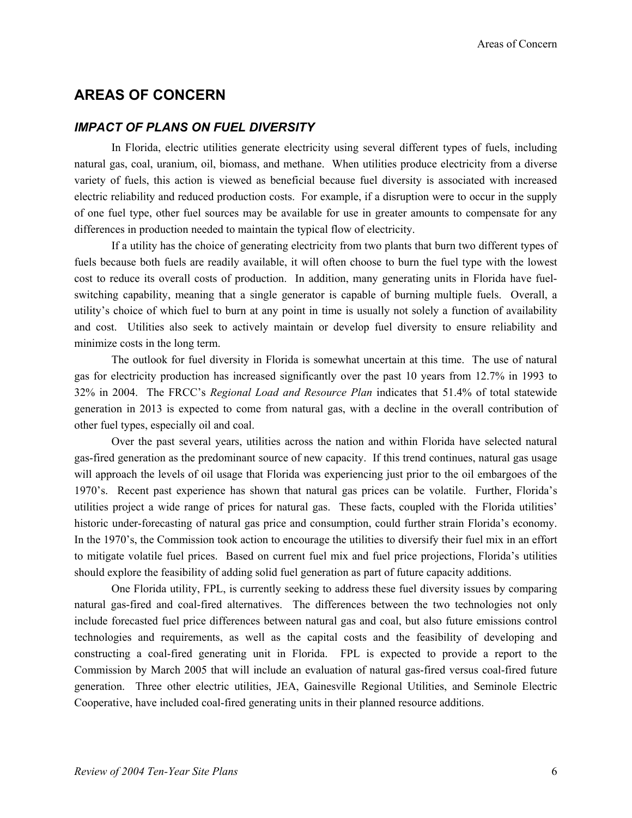# **AREAS OF CONCERN**

# *IMPACT OF PLANS ON FUEL DIVERSITY*

In Florida, electric utilities generate electricity using several different types of fuels, including natural gas, coal, uranium, oil, biomass, and methane. When utilities produce electricity from a diverse variety of fuels, this action is viewed as beneficial because fuel diversity is associated with increased electric reliability and reduced production costs. For example, if a disruption were to occur in the supply of one fuel type, other fuel sources may be available for use in greater amounts to compensate for any differences in production needed to maintain the typical flow of electricity.

If a utility has the choice of generating electricity from two plants that burn two different types of fuels because both fuels are readily available, it will often choose to burn the fuel type with the lowest cost to reduce its overall costs of production. In addition, many generating units in Florida have fuelswitching capability, meaning that a single generator is capable of burning multiple fuels. Overall, a utility's choice of which fuel to burn at any point in time is usually not solely a function of availability and cost. Utilities also seek to actively maintain or develop fuel diversity to ensure reliability and minimize costs in the long term.

The outlook for fuel diversity in Florida is somewhat uncertain at this time. The use of natural gas for electricity production has increased significantly over the past 10 years from 12.7% in 1993 to 32% in 2004. The FRCC's *Regional Load and Resource Plan* indicates that 51.4% of total statewide generation in 2013 is expected to come from natural gas, with a decline in the overall contribution of other fuel types, especially oil and coal.

Over the past several years, utilities across the nation and within Florida have selected natural gas-fired generation as the predominant source of new capacity. If this trend continues, natural gas usage will approach the levels of oil usage that Florida was experiencing just prior to the oil embargoes of the 1970's. Recent past experience has shown that natural gas prices can be volatile. Further, Florida's utilities project a wide range of prices for natural gas. These facts, coupled with the Florida utilities' historic under-forecasting of natural gas price and consumption, could further strain Florida's economy. In the 1970's, the Commission took action to encourage the utilities to diversify their fuel mix in an effort to mitigate volatile fuel prices. Based on current fuel mix and fuel price projections, Florida's utilities should explore the feasibility of adding solid fuel generation as part of future capacity additions.

One Florida utility, FPL, is currently seeking to address these fuel diversity issues by comparing natural gas-fired and coal-fired alternatives. The differences between the two technologies not only include forecasted fuel price differences between natural gas and coal, but also future emissions control technologies and requirements, as well as the capital costs and the feasibility of developing and constructing a coal-fired generating unit in Florida. FPL is expected to provide a report to the Commission by March 2005 that will include an evaluation of natural gas-fired versus coal-fired future generation. Three other electric utilities, JEA, Gainesville Regional Utilities, and Seminole Electric Cooperative, have included coal-fired generating units in their planned resource additions.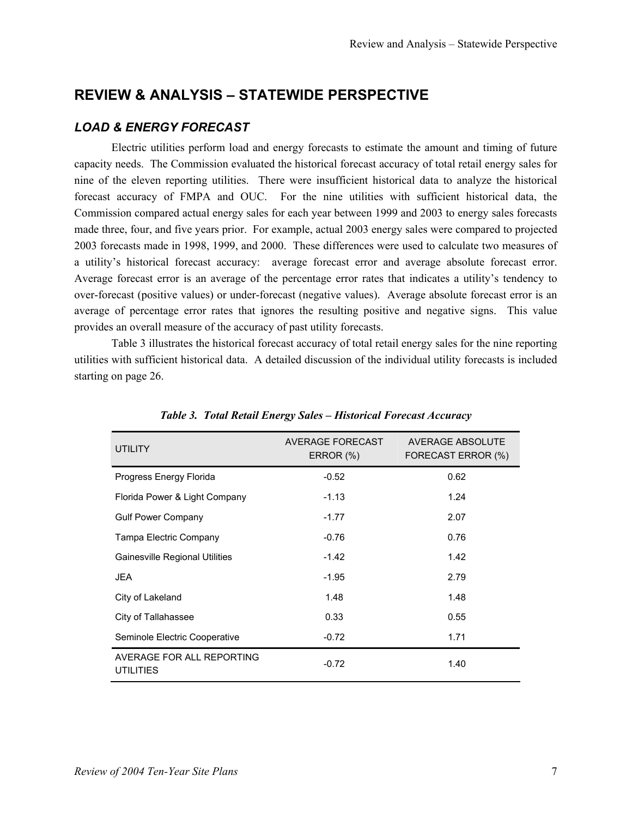# **REVIEW & ANALYSIS – STATEWIDE PERSPECTIVE**

# *LOAD & ENERGY FORECAST*

Electric utilities perform load and energy forecasts to estimate the amount and timing of future capacity needs. The Commission evaluated the historical forecast accuracy of total retail energy sales for nine of the eleven reporting utilities. There were insufficient historical data to analyze the historical forecast accuracy of FMPA and OUC. For the nine utilities with sufficient historical data, the Commission compared actual energy sales for each year between 1999 and 2003 to energy sales forecasts made three, four, and five years prior. For example, actual 2003 energy sales were compared to projected 2003 forecasts made in 1998, 1999, and 2000. These differences were used to calculate two measures of a utility's historical forecast accuracy: average forecast error and average absolute forecast error. Average forecast error is an average of the percentage error rates that indicates a utility's tendency to over-forecast (positive values) or under-forecast (negative values). Average absolute forecast error is an average of percentage error rates that ignores the resulting positive and negative signs. This value provides an overall measure of the accuracy of past utility forecasts.

Table 3 illustrates the historical forecast accuracy of total retail energy sales for the nine reporting utilities with sufficient historical data. A detailed discussion of the individual utility forecasts is included starting on page 26.

| <b>UTILITY</b>                                | AVERAGE FORECAST<br>ERROR (%) | AVERAGE ABSOLUTE<br>FORECAST ERROR (%) |
|-----------------------------------------------|-------------------------------|----------------------------------------|
| Progress Energy Florida                       | $-0.52$                       | 0.62                                   |
| Florida Power & Light Company                 | $-1.13$                       | 1.24                                   |
| <b>Gulf Power Company</b>                     | $-1.77$                       | 2.07                                   |
| Tampa Electric Company                        | $-0.76$                       | 0.76                                   |
| Gainesville Regional Utilities                | $-1.42$                       | 1.42                                   |
| <b>JEA</b>                                    | $-1.95$                       | 2.79                                   |
| City of Lakeland                              | 1.48                          | 1.48                                   |
| City of Tallahassee                           | 0.33                          | 0.55                                   |
| Seminole Electric Cooperative                 | $-0.72$                       | 1.71                                   |
| AVERAGE FOR ALL REPORTING<br><b>UTILITIES</b> | $-0.72$                       | 1.40                                   |

*Table 3. Total Retail Energy Sales – Historical Forecast Accuracy*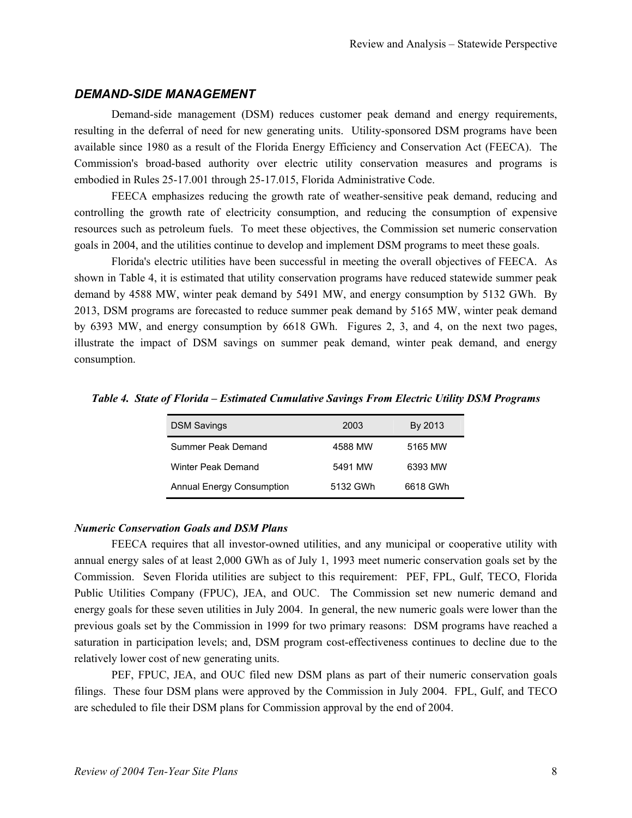# *DEMAND-SIDE MANAGEMENT*

Demand-side management (DSM) reduces customer peak demand and energy requirements, resulting in the deferral of need for new generating units. Utility-sponsored DSM programs have been available since 1980 as a result of the Florida Energy Efficiency and Conservation Act (FEECA). The Commission's broad-based authority over electric utility conservation measures and programs is embodied in Rules 25-17.001 through 25-17.015, Florida Administrative Code.

FEECA emphasizes reducing the growth rate of weather-sensitive peak demand, reducing and controlling the growth rate of electricity consumption, and reducing the consumption of expensive resources such as petroleum fuels. To meet these objectives, the Commission set numeric conservation goals in 2004, and the utilities continue to develop and implement DSM programs to meet these goals.

Florida's electric utilities have been successful in meeting the overall objectives of FEECA. As shown in Table 4, it is estimated that utility conservation programs have reduced statewide summer peak demand by 4588 MW, winter peak demand by 5491 MW, and energy consumption by 5132 GWh. By 2013, DSM programs are forecasted to reduce summer peak demand by 5165 MW, winter peak demand by 6393 MW, and energy consumption by 6618 GWh. Figures 2, 3, and 4, on the next two pages, illustrate the impact of DSM savings on summer peak demand, winter peak demand, and energy consumption.

| <b>DSM Savings</b>               | 2003     | By 2013  |
|----------------------------------|----------|----------|
| Summer Peak Demand               | 4588 MW  | 5165 MW  |
| Winter Peak Demand               | 5491 MW  | 6393 MW  |
| <b>Annual Energy Consumption</b> | 5132 GWh | 6618 GWh |

*Table 4. State of Florida – Estimated Cumulative Savings From Electric Utility DSM Programs* 

# *Numeric Conservation Goals and DSM Plans*

FEECA requires that all investor-owned utilities, and any municipal or cooperative utility with annual energy sales of at least 2,000 GWh as of July 1, 1993 meet numeric conservation goals set by the Commission. Seven Florida utilities are subject to this requirement: PEF, FPL, Gulf, TECO, Florida Public Utilities Company (FPUC), JEA, and OUC. The Commission set new numeric demand and energy goals for these seven utilities in July 2004. In general, the new numeric goals were lower than the previous goals set by the Commission in 1999 for two primary reasons: DSM programs have reached a saturation in participation levels; and, DSM program cost-effectiveness continues to decline due to the relatively lower cost of new generating units.

PEF, FPUC, JEA, and OUC filed new DSM plans as part of their numeric conservation goals filings. These four DSM plans were approved by the Commission in July 2004. FPL, Gulf, and TECO are scheduled to file their DSM plans for Commission approval by the end of 2004.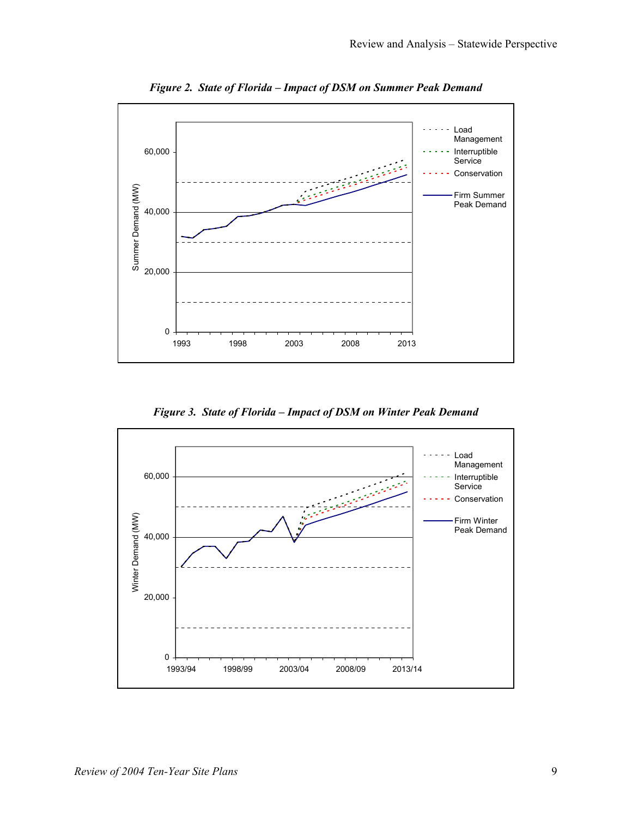

*Figure 2. State of Florida – Impact of DSM on Summer Peak Demand* 

*Figure 3. State of Florida – Impact of DSM on Winter Peak Demand* 

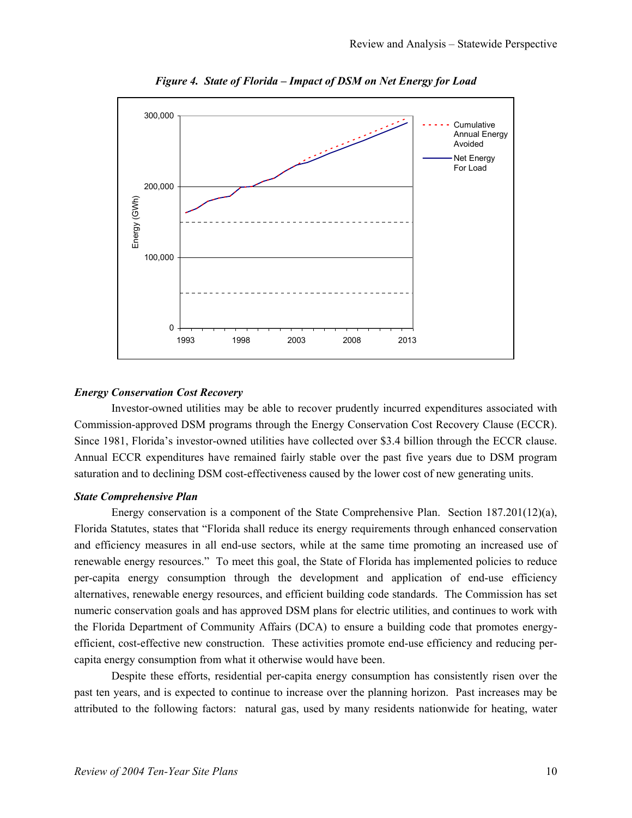

*Figure 4. State of Florida – Impact of DSM on Net Energy for Load* 

#### *Energy Conservation Cost Recovery*

Investor-owned utilities may be able to recover prudently incurred expenditures associated with Commission-approved DSM programs through the Energy Conservation Cost Recovery Clause (ECCR). Since 1981, Florida's investor-owned utilities have collected over \$3.4 billion through the ECCR clause. Annual ECCR expenditures have remained fairly stable over the past five years due to DSM program saturation and to declining DSM cost-effectiveness caused by the lower cost of new generating units.

#### *State Comprehensive Plan*

Energy conservation is a component of the State Comprehensive Plan. Section 187.201(12)(a), Florida Statutes, states that "Florida shall reduce its energy requirements through enhanced conservation and efficiency measures in all end-use sectors, while at the same time promoting an increased use of renewable energy resources." To meet this goal, the State of Florida has implemented policies to reduce per-capita energy consumption through the development and application of end-use efficiency alternatives, renewable energy resources, and efficient building code standards. The Commission has set numeric conservation goals and has approved DSM plans for electric utilities, and continues to work with the Florida Department of Community Affairs (DCA) to ensure a building code that promotes energyefficient, cost-effective new construction. These activities promote end-use efficiency and reducing percapita energy consumption from what it otherwise would have been.

Despite these efforts, residential per-capita energy consumption has consistently risen over the past ten years, and is expected to continue to increase over the planning horizon. Past increases may be attributed to the following factors: natural gas, used by many residents nationwide for heating, water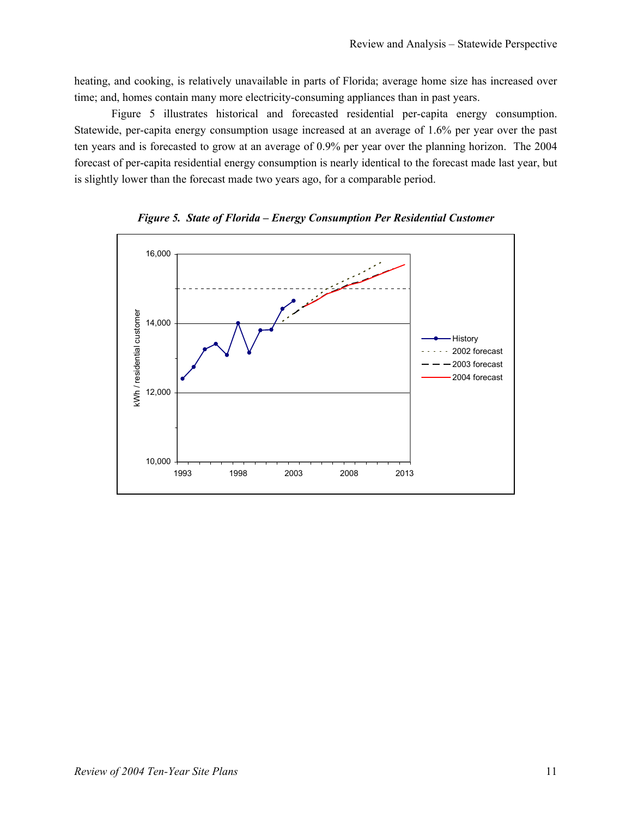heating, and cooking, is relatively unavailable in parts of Florida; average home size has increased over time; and, homes contain many more electricity-consuming appliances than in past years.

Figure 5 illustrates historical and forecasted residential per-capita energy consumption. Statewide, per-capita energy consumption usage increased at an average of 1.6% per year over the past ten years and is forecasted to grow at an average of 0.9% per year over the planning horizon. The 2004 forecast of per-capita residential energy consumption is nearly identical to the forecast made last year, but is slightly lower than the forecast made two years ago, for a comparable period.



*Figure 5. State of Florida – Energy Consumption Per Residential Customer*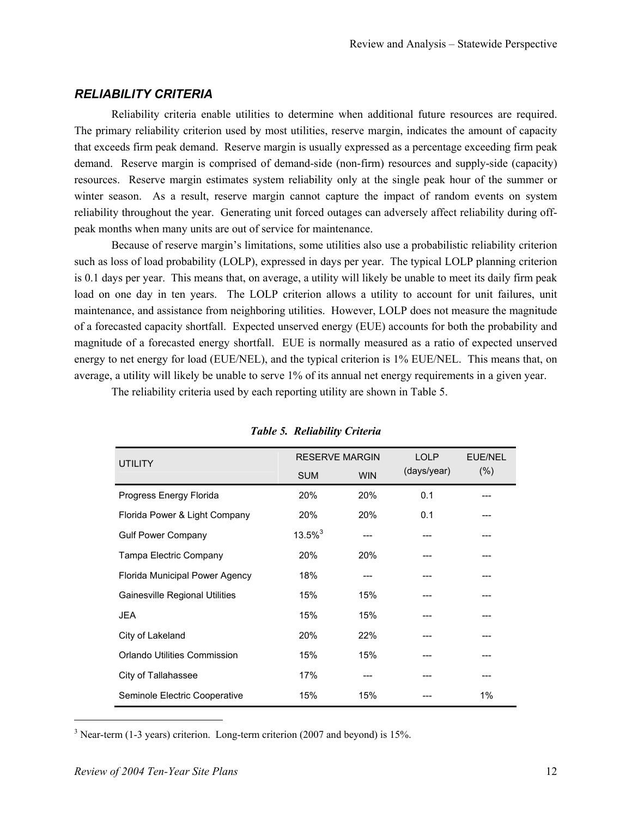# *RELIABILITY CRITERIA*

Reliability criteria enable utilities to determine when additional future resources are required. The primary reliability criterion used by most utilities, reserve margin, indicates the amount of capacity that exceeds firm peak demand. Reserve margin is usually expressed as a percentage exceeding firm peak demand. Reserve margin is comprised of demand-side (non-firm) resources and supply-side (capacity) resources. Reserve margin estimates system reliability only at the single peak hour of the summer or winter season. As a result, reserve margin cannot capture the impact of random events on system reliability throughout the year. Generating unit forced outages can adversely affect reliability during offpeak months when many units are out of service for maintenance.

Because of reserve margin's limitations, some utilities also use a probabilistic reliability criterion such as loss of load probability (LOLP), expressed in days per year. The typical LOLP planning criterion is 0.1 days per year. This means that, on average, a utility will likely be unable to meet its daily firm peak load on one day in ten years. The LOLP criterion allows a utility to account for unit failures, unit maintenance, and assistance from neighboring utilities. However, LOLP does not measure the magnitude of a forecasted capacity shortfall. Expected unserved energy (EUE) accounts for both the probability and magnitude of a forecasted energy shortfall. EUE is normally measured as a ratio of expected unserved energy to net energy for load (EUE/NEL), and the typical criterion is 1% EUE/NEL. This means that, on average, a utility will likely be unable to serve 1% of its annual net energy requirements in a given year.

The reliability criteria used by each reporting utility are shown in Table 5.

| <b>UTILITY</b>                 | <b>RESERVE MARGIN</b> |            | <b>LOLP</b> | <b>EUE/NEL</b> |  |
|--------------------------------|-----------------------|------------|-------------|----------------|--|
|                                | <b>SUM</b>            | <b>WIN</b> | (days/year) | $(\% )$        |  |
| Progress Energy Florida        | 20%                   | 20%        | 0.1         |                |  |
| Florida Power & Light Company  | 20%                   | 20%        | 0.1         |                |  |
| <b>Gulf Power Company</b>      | $13.5\%$ <sup>3</sup> |            |             |                |  |
| Tampa Electric Company         | <b>20%</b>            | <b>20%</b> |             |                |  |
| Florida Municipal Power Agency | 18%                   |            |             |                |  |
| Gainesville Regional Utilities | 15%                   | 15%        |             |                |  |
| <b>JEA</b>                     | 15%                   | 15%        |             |                |  |
| City of Lakeland               | 20%                   | 22%        |             |                |  |
| Orlando Utilities Commission   | 15%                   | 15%        |             |                |  |
| City of Tallahassee            | 17%                   |            |             |                |  |
| Seminole Electric Cooperative  | 15%                   | 15%        |             | 1%             |  |

*Table 5. Reliability Criteria* 

 $3$  Near-term (1-3 years) criterion. Long-term criterion (2007 and beyond) is 15%.

 $\overline{\phantom{a}}$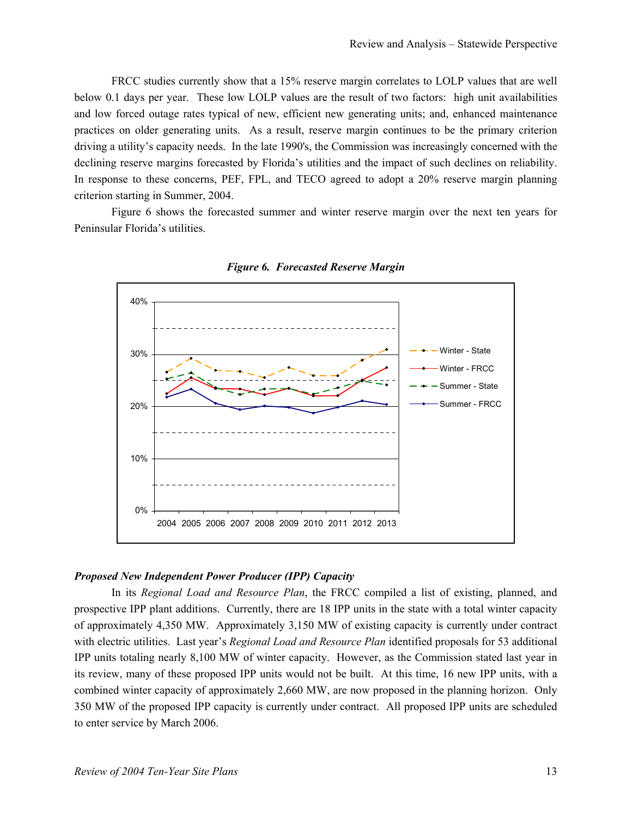FRCC studies currently show that a 15% reserve margin correlates to LOLP values that are well below 0.1 days per year. These low LOLP values are the result of two factors: high unit availabilities and low forced outage rates typical of new, efficient new generating units; and, enhanced maintenance practices on older generating units. As a result, reserve margin continues to be the primary criterion driving a utility's capacity needs. In the late 1990's, the Commission was increasingly concerned with the declining reserve margins forecasted by Florida's utilities and the impact of such declines on reliability. In response to these concerns, PEF, FPL, and TECO agreed to adopt a 20% reserve margin planning criterion starting in Summer, 2004.

Figure 6 shows the forecasted summer and winter reserve margin over the next ten years for Peninsular Florida's utilities.



*Figure 6. Forecasted Reserve Margin* 

#### *Proposed New Independent Power Producer (IPP) Capacity*

In its *Regional Load and Resource Plan*, the FRCC compiled a list of existing, planned, and prospective IPP plant additions. Currently, there are 18 IPP units in the state with a total winter capacity of approximately 4,350 MW. Approximately 3,150 MW of existing capacity is currently under contract with electric utilities. Last year's *Regional Load and Resource Plan* identified proposals for 53 additional IPP units totaling nearly 8,100 MW of winter capacity. However, as the Commission stated last year in its review, many of these proposed IPP units would not be built. At this time, 16 new IPP units, with a combined winter capacity of approximately 2,660 MW, are now proposed in the planning horizon. Only 350 MW of the proposed IPP capacity is currently under contract. All proposed IPP units are scheduled to enter service by March 2006.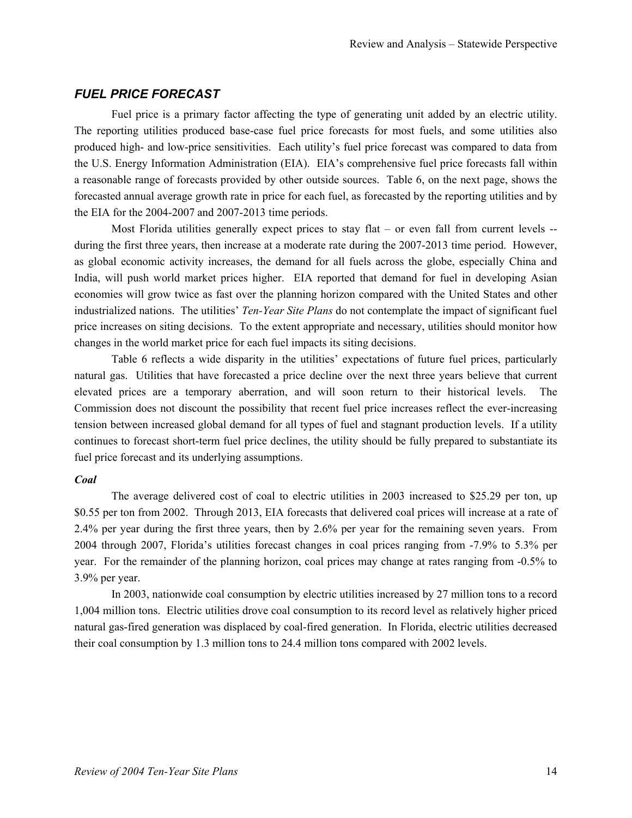# *FUEL PRICE FORECAST*

Fuel price is a primary factor affecting the type of generating unit added by an electric utility. The reporting utilities produced base-case fuel price forecasts for most fuels, and some utilities also produced high- and low-price sensitivities. Each utility's fuel price forecast was compared to data from the U.S. Energy Information Administration (EIA). EIA's comprehensive fuel price forecasts fall within a reasonable range of forecasts provided by other outside sources. Table 6, on the next page, shows the forecasted annual average growth rate in price for each fuel, as forecasted by the reporting utilities and by the EIA for the 2004-2007 and 2007-2013 time periods.

Most Florida utilities generally expect prices to stay flat – or even fall from current levels  $$ during the first three years, then increase at a moderate rate during the 2007-2013 time period. However, as global economic activity increases, the demand for all fuels across the globe, especially China and India, will push world market prices higher. EIA reported that demand for fuel in developing Asian economies will grow twice as fast over the planning horizon compared with the United States and other industrialized nations. The utilities' *Ten-Year Site Plans* do not contemplate the impact of significant fuel price increases on siting decisions. To the extent appropriate and necessary, utilities should monitor how changes in the world market price for each fuel impacts its siting decisions.

Table 6 reflects a wide disparity in the utilities' expectations of future fuel prices, particularly natural gas. Utilities that have forecasted a price decline over the next three years believe that current elevated prices are a temporary aberration, and will soon return to their historical levels. The Commission does not discount the possibility that recent fuel price increases reflect the ever-increasing tension between increased global demand for all types of fuel and stagnant production levels. If a utility continues to forecast short-term fuel price declines, the utility should be fully prepared to substantiate its fuel price forecast and its underlying assumptions.

#### *Coal*

The average delivered cost of coal to electric utilities in 2003 increased to \$25.29 per ton, up \$0.55 per ton from 2002. Through 2013, EIA forecasts that delivered coal prices will increase at a rate of 2.4% per year during the first three years, then by 2.6% per year for the remaining seven years. From 2004 through 2007, Florida's utilities forecast changes in coal prices ranging from -7.9% to 5.3% per year. For the remainder of the planning horizon, coal prices may change at rates ranging from -0.5% to 3.9% per year.

In 2003, nationwide coal consumption by electric utilities increased by 27 million tons to a record 1,004 million tons. Electric utilities drove coal consumption to its record level as relatively higher priced natural gas-fired generation was displaced by coal-fired generation. In Florida, electric utilities decreased their coal consumption by 1.3 million tons to 24.4 million tons compared with 2002 levels.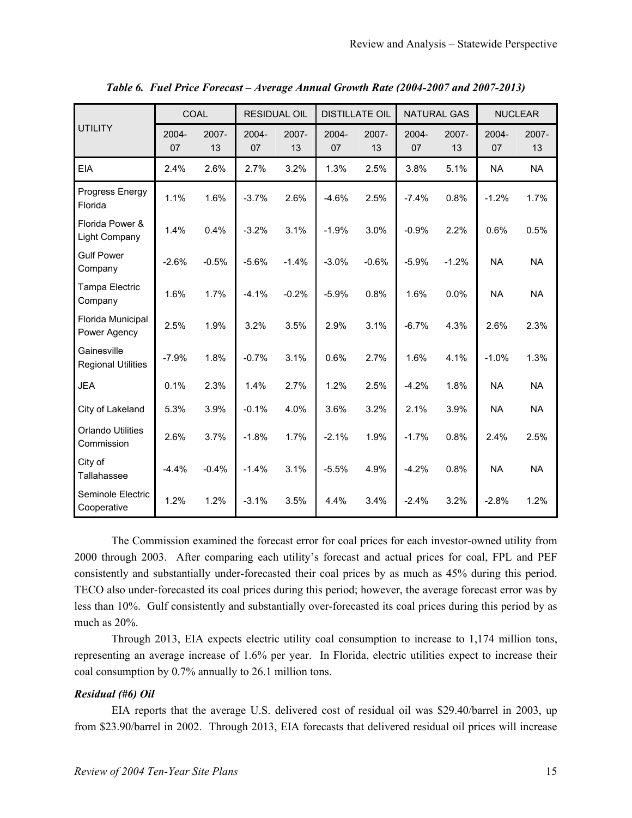|                                          |             | COAL        |             | <b>RESIDUAL OIL</b><br><b>DISTILLATE OIL</b> |             | <b>NATURAL GAS</b> |             | <b>NUCLEAR</b> |             |             |
|------------------------------------------|-------------|-------------|-------------|----------------------------------------------|-------------|--------------------|-------------|----------------|-------------|-------------|
| <b>UTILITY</b>                           | 2004-<br>07 | 2007-<br>13 | 2004-<br>07 | 2007-<br>13                                  | 2004-<br>07 | 2007-<br>13        | 2004-<br>07 | 2007-<br>13    | 2004-<br>07 | 2007-<br>13 |
| <b>EIA</b>                               | 2.4%        | 2.6%        | 2.7%        | 3.2%                                         | 1.3%        | 2.5%               | 3.8%        | 5.1%           | <b>NA</b>   | <b>NA</b>   |
| Progress Energy<br>Florida               | 1.1%        | 1.6%        | $-3.7%$     | 2.6%                                         | $-4.6%$     | 2.5%               | $-7.4%$     | 0.8%           | $-1.2%$     | 1.7%        |
| Florida Power &<br>Light Company         | 1.4%        | 0.4%        | $-3.2%$     | 3.1%                                         | $-1.9%$     | 3.0%               | $-0.9%$     | 2.2%           | 0.6%        | 0.5%        |
| <b>Gulf Power</b><br>Company             | $-2.6%$     | $-0.5%$     | $-5.6%$     | $-1.4%$                                      | $-3.0%$     | $-0.6%$            | $-5.9%$     | $-1.2%$        | <b>NA</b>   | <b>NA</b>   |
| Tampa Electric<br>Company                | 1.6%        | 1.7%        | $-4.1%$     | $-0.2%$                                      | $-5.9%$     | 0.8%               | 1.6%        | 0.0%           | <b>NA</b>   | <b>NA</b>   |
| Florida Municipal<br>Power Agency        | 2.5%        | 1.9%        | 3.2%        | 3.5%                                         | 2.9%        | 3.1%               | $-6.7%$     | 4.3%           | 2.6%        | 2.3%        |
| Gainesville<br><b>Regional Utilities</b> | $-7.9%$     | 1.8%        | $-0.7%$     | 3.1%                                         | 0.6%        | 2.7%               | 1.6%        | 4.1%           | $-1.0%$     | 1.3%        |
| <b>JEA</b>                               | 0.1%        | 2.3%        | 1.4%        | 2.7%                                         | 1.2%        | 2.5%               | $-4.2%$     | 1.8%           | <b>NA</b>   | <b>NA</b>   |
| City of Lakeland                         | 5.3%        | 3.9%        | $-0.1%$     | 4.0%                                         | 3.6%        | 3.2%               | 2.1%        | 3.9%           | <b>NA</b>   | <b>NA</b>   |
| <b>Orlando Utilities</b><br>Commission   | 2.6%        | 3.7%        | $-1.8%$     | 1.7%                                         | $-2.1%$     | 1.9%               | $-1.7%$     | 0.8%           | 2.4%        | 2.5%        |
| City of<br>Tallahassee                   | $-4.4%$     | $-0.4%$     | $-1.4%$     | 3.1%                                         | $-5.5%$     | 4.9%               | $-4.2%$     | 0.8%           | <b>NA</b>   | <b>NA</b>   |
| Seminole Electric<br>Cooperative         | 1.2%        | 1.2%        | $-3.1%$     | 3.5%                                         | 4.4%        | 3.4%               | $-2.4%$     | 3.2%           | $-2.8%$     | 1.2%        |

*Table 6. Fuel Price Forecast – Average Annual Growth Rate (2004-2007 and 2007-2013)* 

The Commission examined the forecast error for coal prices for each investor-owned utility from 2000 through 2003. After comparing each utility's forecast and actual prices for coal, FPL and PEF consistently and substantially under-forecasted their coal prices by as much as 45% during this period. TECO also under-forecasted its coal prices during this period; however, the average forecast error was by less than 10%. Gulf consistently and substantially over-forecasted its coal prices during this period by as much as 20%.

Through 2013, EIA expects electric utility coal consumption to increase to 1,174 million tons, representing an average increase of 1.6% per year. In Florida, electric utilities expect to increase their coal consumption by 0.7% annually to 26.1 million tons.

# *Residual (#6) Oil*

EIA reports that the average U.S. delivered cost of residual oil was \$29.40/barrel in 2003, up from \$23.90/barrel in 2002. Through 2013, EIA forecasts that delivered residual oil prices will increase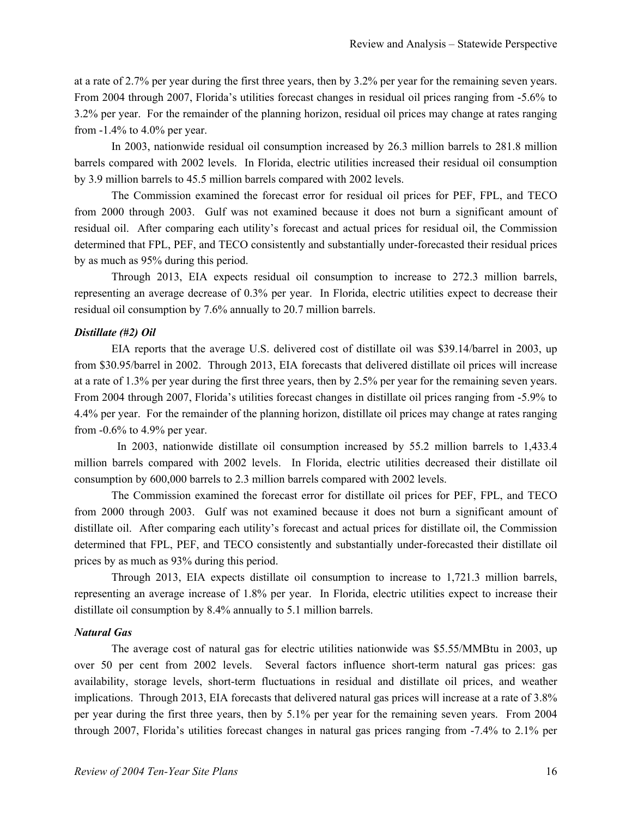at a rate of 2.7% per year during the first three years, then by 3.2% per year for the remaining seven years. From 2004 through 2007, Florida's utilities forecast changes in residual oil prices ranging from -5.6% to 3.2% per year. For the remainder of the planning horizon, residual oil prices may change at rates ranging from -1.4% to 4.0% per year.

In 2003, nationwide residual oil consumption increased by 26.3 million barrels to 281.8 million barrels compared with 2002 levels. In Florida, electric utilities increased their residual oil consumption by 3.9 million barrels to 45.5 million barrels compared with 2002 levels.

The Commission examined the forecast error for residual oil prices for PEF, FPL, and TECO from 2000 through 2003. Gulf was not examined because it does not burn a significant amount of residual oil. After comparing each utility's forecast and actual prices for residual oil, the Commission determined that FPL, PEF, and TECO consistently and substantially under-forecasted their residual prices by as much as 95% during this period.

Through 2013, EIA expects residual oil consumption to increase to 272.3 million barrels, representing an average decrease of 0.3% per year. In Florida, electric utilities expect to decrease their residual oil consumption by 7.6% annually to 20.7 million barrels.

#### *Distillate (#2) Oil*

EIA reports that the average U.S. delivered cost of distillate oil was \$39.14/barrel in 2003, up from \$30.95/barrel in 2002. Through 2013, EIA forecasts that delivered distillate oil prices will increase at a rate of 1.3% per year during the first three years, then by 2.5% per year for the remaining seven years. From 2004 through 2007, Florida's utilities forecast changes in distillate oil prices ranging from -5.9% to 4.4% per year. For the remainder of the planning horizon, distillate oil prices may change at rates ranging from -0.6% to 4.9% per year.

 In 2003, nationwide distillate oil consumption increased by 55.2 million barrels to 1,433.4 million barrels compared with 2002 levels. In Florida, electric utilities decreased their distillate oil consumption by 600,000 barrels to 2.3 million barrels compared with 2002 levels.

The Commission examined the forecast error for distillate oil prices for PEF, FPL, and TECO from 2000 through 2003. Gulf was not examined because it does not burn a significant amount of distillate oil. After comparing each utility's forecast and actual prices for distillate oil, the Commission determined that FPL, PEF, and TECO consistently and substantially under-forecasted their distillate oil prices by as much as 93% during this period.

Through 2013, EIA expects distillate oil consumption to increase to 1,721.3 million barrels, representing an average increase of 1.8% per year. In Florida, electric utilities expect to increase their distillate oil consumption by 8.4% annually to 5.1 million barrels.

#### *Natural Gas*

The average cost of natural gas for electric utilities nationwide was \$5.55/MMBtu in 2003, up over 50 per cent from 2002 levels. Several factors influence short-term natural gas prices: gas availability, storage levels, short-term fluctuations in residual and distillate oil prices, and weather implications. Through 2013, EIA forecasts that delivered natural gas prices will increase at a rate of 3.8% per year during the first three years, then by 5.1% per year for the remaining seven years. From 2004 through 2007, Florida's utilities forecast changes in natural gas prices ranging from -7.4% to 2.1% per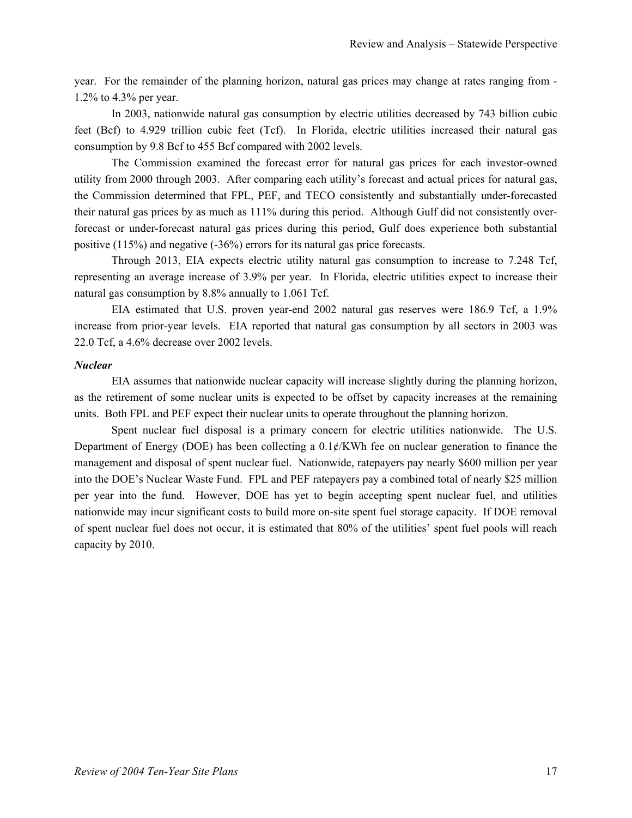year. For the remainder of the planning horizon, natural gas prices may change at rates ranging from - 1.2% to 4.3% per year.

In 2003, nationwide natural gas consumption by electric utilities decreased by 743 billion cubic feet (Bcf) to 4.929 trillion cubic feet (Tcf). In Florida, electric utilities increased their natural gas consumption by 9.8 Bcf to 455 Bcf compared with 2002 levels.

The Commission examined the forecast error for natural gas prices for each investor-owned utility from 2000 through 2003. After comparing each utility's forecast and actual prices for natural gas, the Commission determined that FPL, PEF, and TECO consistently and substantially under-forecasted their natural gas prices by as much as 111% during this period. Although Gulf did not consistently overforecast or under-forecast natural gas prices during this period, Gulf does experience both substantial positive (115%) and negative (-36%) errors for its natural gas price forecasts.

Through 2013, EIA expects electric utility natural gas consumption to increase to 7.248 Tcf, representing an average increase of 3.9% per year. In Florida, electric utilities expect to increase their natural gas consumption by 8.8% annually to 1.061 Tcf.

EIA estimated that U.S. proven year-end 2002 natural gas reserves were 186.9 Tcf, a 1.9% increase from prior-year levels. EIA reported that natural gas consumption by all sectors in 2003 was 22.0 Tcf, a 4.6% decrease over 2002 levels.

#### *Nuclear*

EIA assumes that nationwide nuclear capacity will increase slightly during the planning horizon, as the retirement of some nuclear units is expected to be offset by capacity increases at the remaining units. Both FPL and PEF expect their nuclear units to operate throughout the planning horizon.

Spent nuclear fuel disposal is a primary concern for electric utilities nationwide. The U.S. Department of Energy (DOE) has been collecting a 0.1¢/KWh fee on nuclear generation to finance the management and disposal of spent nuclear fuel. Nationwide, ratepayers pay nearly \$600 million per year into the DOE's Nuclear Waste Fund. FPL and PEF ratepayers pay a combined total of nearly \$25 million per year into the fund. However, DOE has yet to begin accepting spent nuclear fuel, and utilities nationwide may incur significant costs to build more on-site spent fuel storage capacity. If DOE removal of spent nuclear fuel does not occur, it is estimated that 80% of the utilities' spent fuel pools will reach capacity by 2010.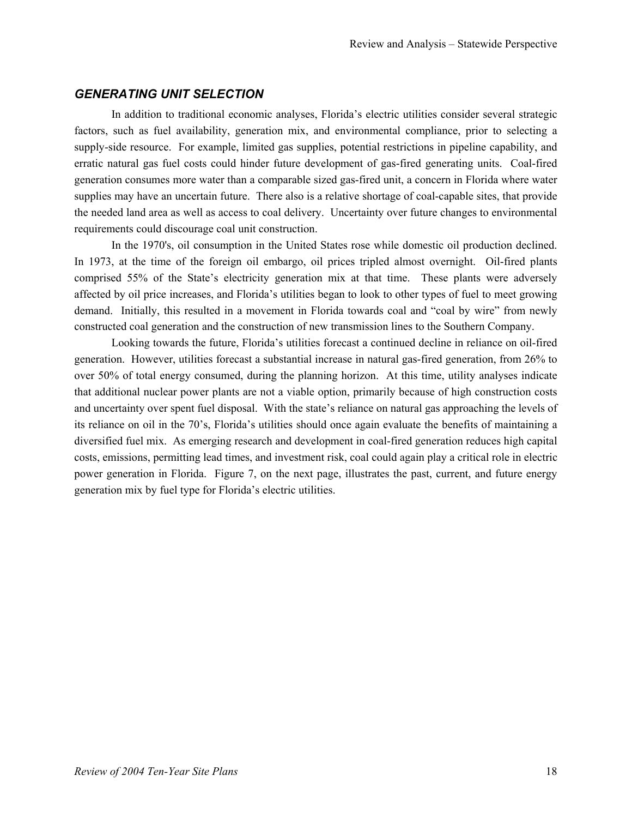# *GENERATING UNIT SELECTION*

In addition to traditional economic analyses, Florida's electric utilities consider several strategic factors, such as fuel availability, generation mix, and environmental compliance, prior to selecting a supply-side resource. For example, limited gas supplies, potential restrictions in pipeline capability, and erratic natural gas fuel costs could hinder future development of gas-fired generating units. Coal-fired generation consumes more water than a comparable sized gas-fired unit, a concern in Florida where water supplies may have an uncertain future. There also is a relative shortage of coal-capable sites, that provide the needed land area as well as access to coal delivery. Uncertainty over future changes to environmental requirements could discourage coal unit construction.

In the 1970's, oil consumption in the United States rose while domestic oil production declined. In 1973, at the time of the foreign oil embargo, oil prices tripled almost overnight. Oil-fired plants comprised 55% of the State's electricity generation mix at that time. These plants were adversely affected by oil price increases, and Florida's utilities began to look to other types of fuel to meet growing demand. Initially, this resulted in a movement in Florida towards coal and "coal by wire" from newly constructed coal generation and the construction of new transmission lines to the Southern Company.

Looking towards the future, Florida's utilities forecast a continued decline in reliance on oil-fired generation. However, utilities forecast a substantial increase in natural gas-fired generation, from 26% to over 50% of total energy consumed, during the planning horizon. At this time, utility analyses indicate that additional nuclear power plants are not a viable option, primarily because of high construction costs and uncertainty over spent fuel disposal. With the state's reliance on natural gas approaching the levels of its reliance on oil in the 70's, Florida's utilities should once again evaluate the benefits of maintaining a diversified fuel mix. As emerging research and development in coal-fired generation reduces high capital costs, emissions, permitting lead times, and investment risk, coal could again play a critical role in electric power generation in Florida. Figure 7, on the next page, illustrates the past, current, and future energy generation mix by fuel type for Florida's electric utilities.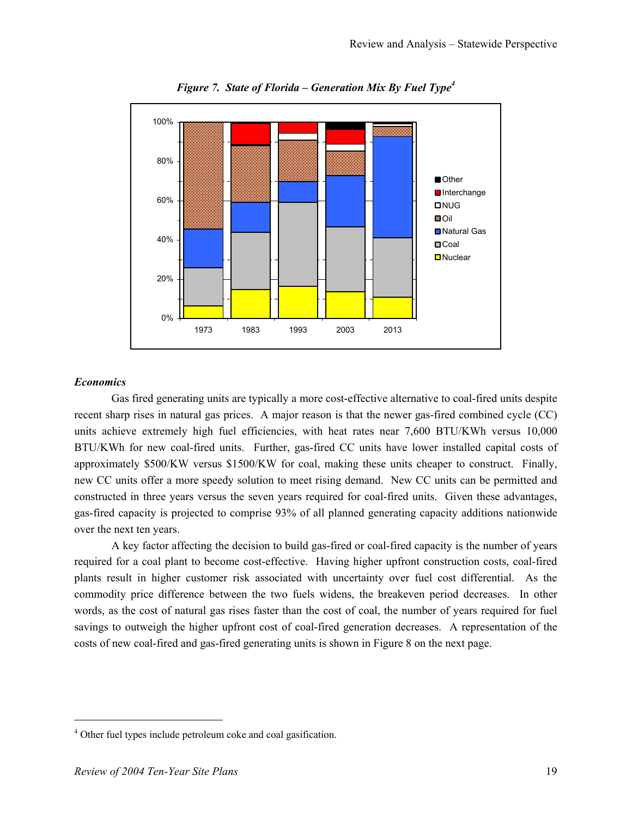

*Figure 7. State of Florida – Generation Mix By Fuel Type4*

# *Economics*

Gas fired generating units are typically a more cost-effective alternative to coal-fired units despite recent sharp rises in natural gas prices. A major reason is that the newer gas-fired combined cycle (CC) units achieve extremely high fuel efficiencies, with heat rates near 7,600 BTU/KWh versus 10,000 BTU/KWh for new coal-fired units. Further, gas-fired CC units have lower installed capital costs of approximately \$500/KW versus \$1500/KW for coal, making these units cheaper to construct. Finally, new CC units offer a more speedy solution to meet rising demand. New CC units can be permitted and constructed in three years versus the seven years required for coal-fired units. Given these advantages, gas-fired capacity is projected to comprise 93% of all planned generating capacity additions nationwide over the next ten years.

A key factor affecting the decision to build gas-fired or coal-fired capacity is the number of years required for a coal plant to become cost-effective. Having higher upfront construction costs, coal-fired plants result in higher customer risk associated with uncertainty over fuel cost differential. As the commodity price difference between the two fuels widens, the breakeven period decreases. In other words, as the cost of natural gas rises faster than the cost of coal, the number of years required for fuel savings to outweigh the higher upfront cost of coal-fired generation decreases. A representation of the costs of new coal-fired and gas-fired generating units is shown in Figure 8 on the next page.

 $\overline{\phantom{a}}$ 

<sup>&</sup>lt;sup>4</sup> Other fuel types include petroleum coke and coal gasification.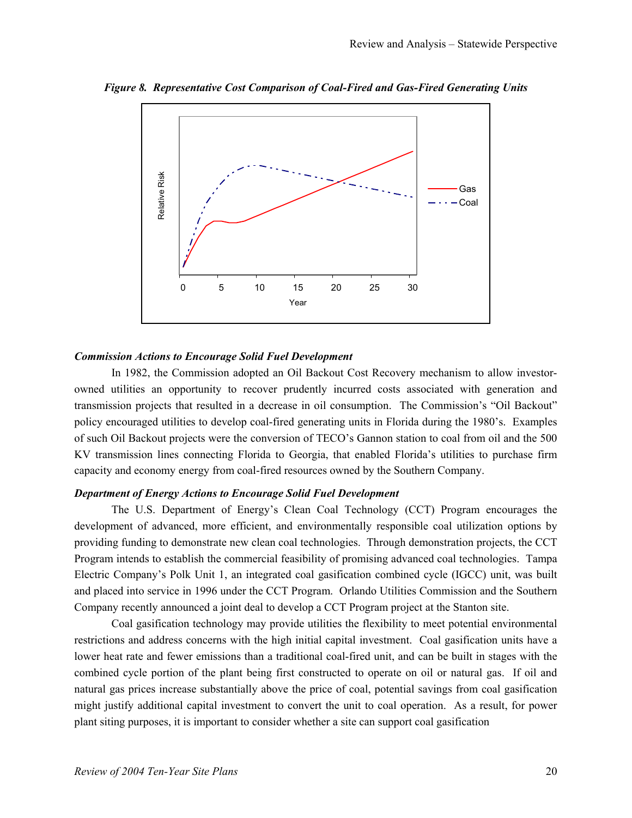

*Figure 8. Representative Cost Comparison of Coal-Fired and Gas-Fired Generating Units* 

#### *Commission Actions to Encourage Solid Fuel Development*

In 1982, the Commission adopted an Oil Backout Cost Recovery mechanism to allow investorowned utilities an opportunity to recover prudently incurred costs associated with generation and transmission projects that resulted in a decrease in oil consumption. The Commission's "Oil Backout" policy encouraged utilities to develop coal-fired generating units in Florida during the 1980's. Examples of such Oil Backout projects were the conversion of TECO's Gannon station to coal from oil and the 500 KV transmission lines connecting Florida to Georgia, that enabled Florida's utilities to purchase firm capacity and economy energy from coal-fired resources owned by the Southern Company.

# *Department of Energy Actions to Encourage Solid Fuel Development*

The U.S. Department of Energy's Clean Coal Technology (CCT) Program encourages the development of advanced, more efficient, and environmentally responsible coal utilization options by providing funding to demonstrate new clean coal technologies. Through demonstration projects, the CCT Program intends to establish the commercial feasibility of promising advanced coal technologies. Tampa Electric Company's Polk Unit 1, an integrated coal gasification combined cycle (IGCC) unit, was built and placed into service in 1996 under the CCT Program. Orlando Utilities Commission and the Southern Company recently announced a joint deal to develop a CCT Program project at the Stanton site.

Coal gasification technology may provide utilities the flexibility to meet potential environmental restrictions and address concerns with the high initial capital investment. Coal gasification units have a lower heat rate and fewer emissions than a traditional coal-fired unit, and can be built in stages with the combined cycle portion of the plant being first constructed to operate on oil or natural gas. If oil and natural gas prices increase substantially above the price of coal, potential savings from coal gasification might justify additional capital investment to convert the unit to coal operation. As a result, for power plant siting purposes, it is important to consider whether a site can support coal gasification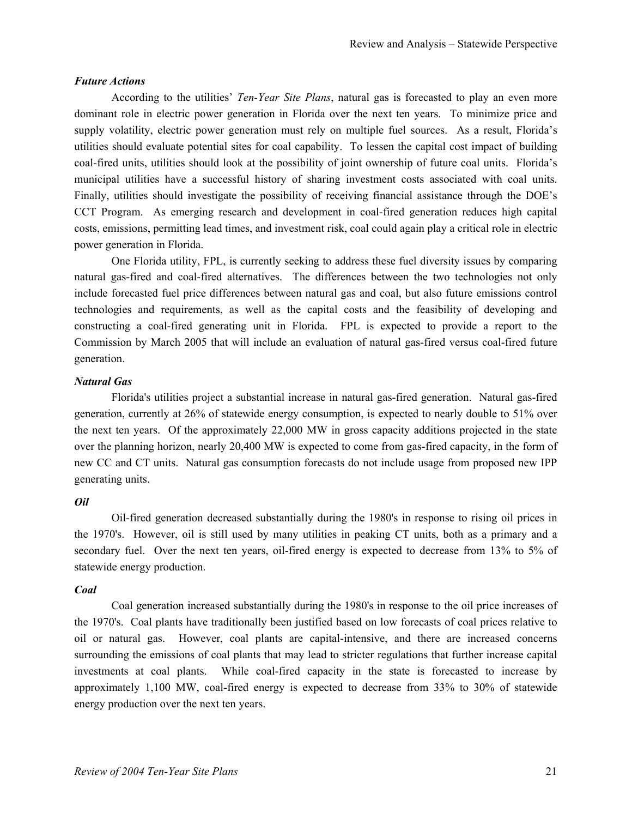#### *Future Actions*

According to the utilities' *Ten-Year Site Plans*, natural gas is forecasted to play an even more dominant role in electric power generation in Florida over the next ten years. To minimize price and supply volatility, electric power generation must rely on multiple fuel sources. As a result, Florida's utilities should evaluate potential sites for coal capability. To lessen the capital cost impact of building coal-fired units, utilities should look at the possibility of joint ownership of future coal units. Florida's municipal utilities have a successful history of sharing investment costs associated with coal units. Finally, utilities should investigate the possibility of receiving financial assistance through the DOE's CCT Program. As emerging research and development in coal-fired generation reduces high capital costs, emissions, permitting lead times, and investment risk, coal could again play a critical role in electric power generation in Florida.

One Florida utility, FPL, is currently seeking to address these fuel diversity issues by comparing natural gas-fired and coal-fired alternatives. The differences between the two technologies not only include forecasted fuel price differences between natural gas and coal, but also future emissions control technologies and requirements, as well as the capital costs and the feasibility of developing and constructing a coal-fired generating unit in Florida. FPL is expected to provide a report to the Commission by March 2005 that will include an evaluation of natural gas-fired versus coal-fired future generation.

# *Natural Gas*

Florida's utilities project a substantial increase in natural gas-fired generation. Natural gas-fired generation, currently at 26% of statewide energy consumption, is expected to nearly double to 51% over the next ten years. Of the approximately 22,000 MW in gross capacity additions projected in the state over the planning horizon, nearly 20,400 MW is expected to come from gas-fired capacity, in the form of new CC and CT units. Natural gas consumption forecasts do not include usage from proposed new IPP generating units.

#### *Oil*

Oil-fired generation decreased substantially during the 1980's in response to rising oil prices in the 1970's. However, oil is still used by many utilities in peaking CT units, both as a primary and a secondary fuel. Over the next ten years, oil-fired energy is expected to decrease from 13% to 5% of statewide energy production.

#### *Coal*

Coal generation increased substantially during the 1980's in response to the oil price increases of the 1970's. Coal plants have traditionally been justified based on low forecasts of coal prices relative to oil or natural gas. However, coal plants are capital-intensive, and there are increased concerns surrounding the emissions of coal plants that may lead to stricter regulations that further increase capital investments at coal plants. While coal-fired capacity in the state is forecasted to increase by approximately 1,100 MW, coal-fired energy is expected to decrease from 33% to 30% of statewide energy production over the next ten years.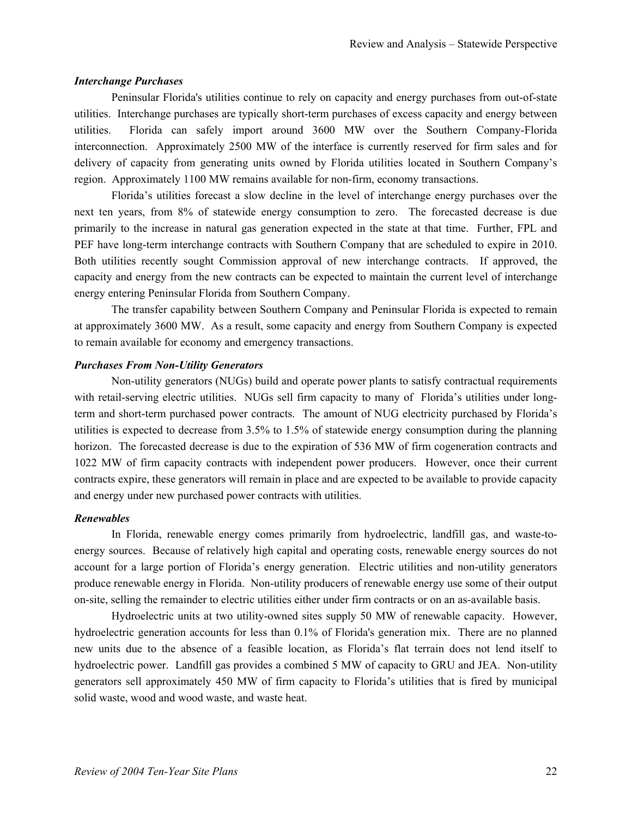#### *Interchange Purchases*

Peninsular Florida's utilities continue to rely on capacity and energy purchases from out-of-state utilities. Interchange purchases are typically short-term purchases of excess capacity and energy between utilities. Florida can safely import around 3600 MW over the Southern Company-Florida interconnection. Approximately 2500 MW of the interface is currently reserved for firm sales and for delivery of capacity from generating units owned by Florida utilities located in Southern Company's region. Approximately 1100 MW remains available for non-firm, economy transactions.

Florida's utilities forecast a slow decline in the level of interchange energy purchases over the next ten years, from 8% of statewide energy consumption to zero. The forecasted decrease is due primarily to the increase in natural gas generation expected in the state at that time. Further, FPL and PEF have long-term interchange contracts with Southern Company that are scheduled to expire in 2010. Both utilities recently sought Commission approval of new interchange contracts. If approved, the capacity and energy from the new contracts can be expected to maintain the current level of interchange energy entering Peninsular Florida from Southern Company.

The transfer capability between Southern Company and Peninsular Florida is expected to remain at approximately 3600 MW. As a result, some capacity and energy from Southern Company is expected to remain available for economy and emergency transactions.

#### *Purchases From Non-Utility Generators*

Non-utility generators (NUGs) build and operate power plants to satisfy contractual requirements with retail-serving electric utilities. NUGs sell firm capacity to many of Florida's utilities under longterm and short-term purchased power contracts. The amount of NUG electricity purchased by Florida's utilities is expected to decrease from 3.5% to 1.5% of statewide energy consumption during the planning horizon. The forecasted decrease is due to the expiration of 536 MW of firm cogeneration contracts and 1022 MW of firm capacity contracts with independent power producers. However, once their current contracts expire, these generators will remain in place and are expected to be available to provide capacity and energy under new purchased power contracts with utilities.

#### *Renewables*

In Florida, renewable energy comes primarily from hydroelectric, landfill gas, and waste-toenergy sources. Because of relatively high capital and operating costs, renewable energy sources do not account for a large portion of Florida's energy generation. Electric utilities and non-utility generators produce renewable energy in Florida. Non-utility producers of renewable energy use some of their output on-site, selling the remainder to electric utilities either under firm contracts or on an as-available basis.

Hydroelectric units at two utility-owned sites supply 50 MW of renewable capacity. However, hydroelectric generation accounts for less than 0.1% of Florida's generation mix. There are no planned new units due to the absence of a feasible location, as Florida's flat terrain does not lend itself to hydroelectric power. Landfill gas provides a combined 5 MW of capacity to GRU and JEA. Non-utility generators sell approximately 450 MW of firm capacity to Florida's utilities that is fired by municipal solid waste, wood and wood waste, and waste heat.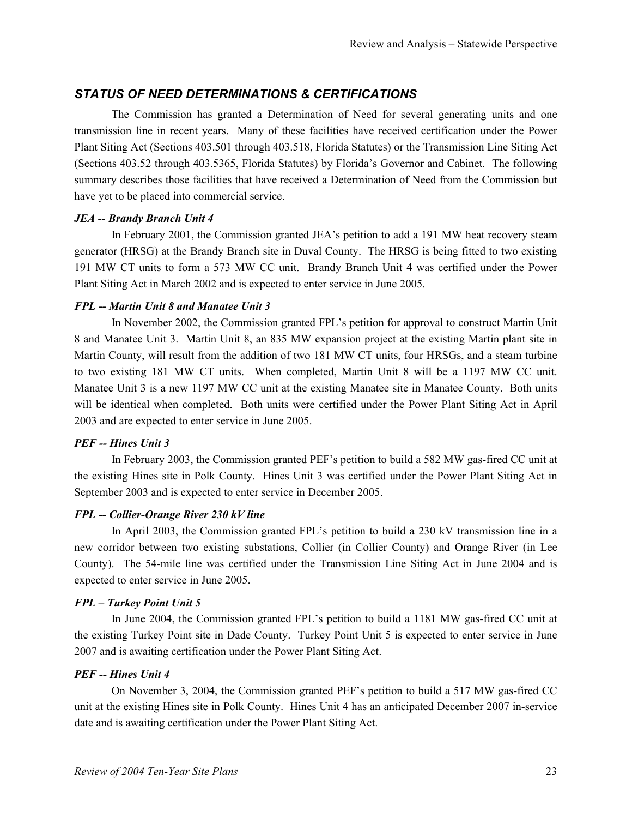# *STATUS OF NEED DETERMINATIONS & CERTIFICATIONS*

The Commission has granted a Determination of Need for several generating units and one transmission line in recent years. Many of these facilities have received certification under the Power Plant Siting Act (Sections 403.501 through 403.518, Florida Statutes) or the Transmission Line Siting Act (Sections 403.52 through 403.5365, Florida Statutes) by Florida's Governor and Cabinet. The following summary describes those facilities that have received a Determination of Need from the Commission but have yet to be placed into commercial service.

# *JEA -- Brandy Branch Unit 4*

In February 2001, the Commission granted JEA's petition to add a 191 MW heat recovery steam generator (HRSG) at the Brandy Branch site in Duval County. The HRSG is being fitted to two existing 191 MW CT units to form a 573 MW CC unit. Brandy Branch Unit 4 was certified under the Power Plant Siting Act in March 2002 and is expected to enter service in June 2005.

# *FPL -- Martin Unit 8 and Manatee Unit 3*

In November 2002, the Commission granted FPL's petition for approval to construct Martin Unit 8 and Manatee Unit 3. Martin Unit 8, an 835 MW expansion project at the existing Martin plant site in Martin County, will result from the addition of two 181 MW CT units, four HRSGs, and a steam turbine to two existing 181 MW CT units. When completed, Martin Unit 8 will be a 1197 MW CC unit. Manatee Unit 3 is a new 1197 MW CC unit at the existing Manatee site in Manatee County. Both units will be identical when completed. Both units were certified under the Power Plant Siting Act in April 2003 and are expected to enter service in June 2005.

# *PEF -- Hines Unit 3*

In February 2003, the Commission granted PEF's petition to build a 582 MW gas-fired CC unit at the existing Hines site in Polk County. Hines Unit 3 was certified under the Power Plant Siting Act in September 2003 and is expected to enter service in December 2005.

# *FPL -- Collier-Orange River 230 kV line*

In April 2003, the Commission granted FPL's petition to build a 230 kV transmission line in a new corridor between two existing substations, Collier (in Collier County) and Orange River (in Lee County). The 54-mile line was certified under the Transmission Line Siting Act in June 2004 and is expected to enter service in June 2005.

# *FPL – Turkey Point Unit 5*

In June 2004, the Commission granted FPL's petition to build a 1181 MW gas-fired CC unit at the existing Turkey Point site in Dade County. Turkey Point Unit 5 is expected to enter service in June 2007 and is awaiting certification under the Power Plant Siting Act.

# *PEF -- Hines Unit 4*

On November 3, 2004, the Commission granted PEF's petition to build a 517 MW gas-fired CC unit at the existing Hines site in Polk County. Hines Unit 4 has an anticipated December 2007 in-service date and is awaiting certification under the Power Plant Siting Act.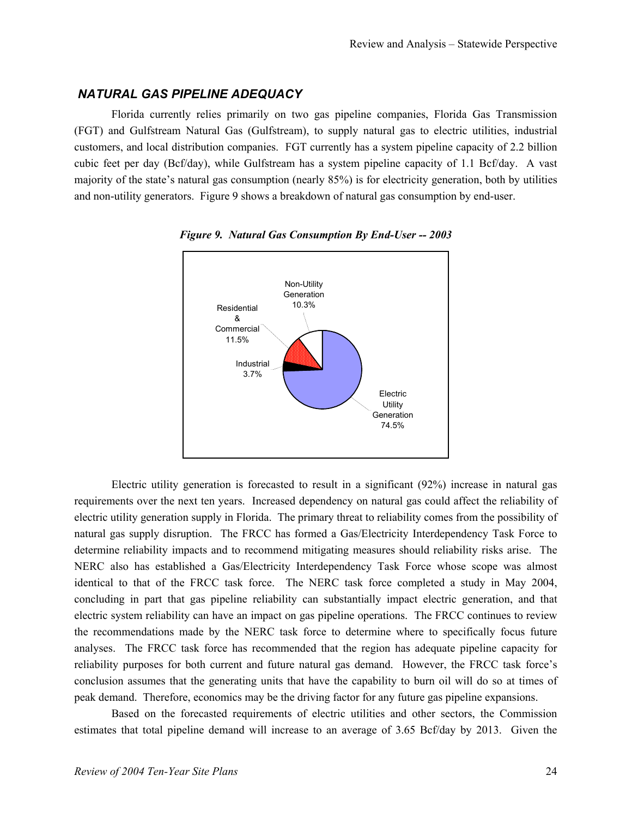# *NATURAL GAS PIPELINE ADEQUACY*

Florida currently relies primarily on two gas pipeline companies, Florida Gas Transmission (FGT) and Gulfstream Natural Gas (Gulfstream), to supply natural gas to electric utilities, industrial customers, and local distribution companies. FGT currently has a system pipeline capacity of 2.2 billion cubic feet per day (Bcf/day), while Gulfstream has a system pipeline capacity of 1.1 Bcf/day. A vast majority of the state's natural gas consumption (nearly 85%) is for electricity generation, both by utilities and non-utility generators. Figure 9 shows a breakdown of natural gas consumption by end-user.





Electric utility generation is forecasted to result in a significant (92%) increase in natural gas requirements over the next ten years. Increased dependency on natural gas could affect the reliability of electric utility generation supply in Florida. The primary threat to reliability comes from the possibility of natural gas supply disruption. The FRCC has formed a Gas/Electricity Interdependency Task Force to determine reliability impacts and to recommend mitigating measures should reliability risks arise. The NERC also has established a Gas/Electricity Interdependency Task Force whose scope was almost identical to that of the FRCC task force. The NERC task force completed a study in May 2004, concluding in part that gas pipeline reliability can substantially impact electric generation, and that electric system reliability can have an impact on gas pipeline operations. The FRCC continues to review the recommendations made by the NERC task force to determine where to specifically focus future analyses. The FRCC task force has recommended that the region has adequate pipeline capacity for reliability purposes for both current and future natural gas demand. However, the FRCC task force's conclusion assumes that the generating units that have the capability to burn oil will do so at times of peak demand. Therefore, economics may be the driving factor for any future gas pipeline expansions.

Based on the forecasted requirements of electric utilities and other sectors, the Commission estimates that total pipeline demand will increase to an average of 3.65 Bcf/day by 2013. Given the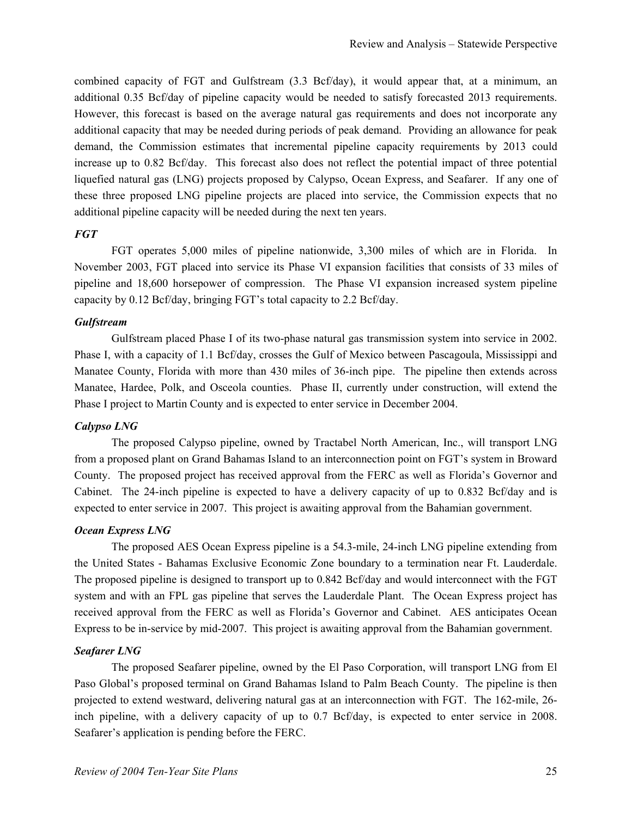combined capacity of FGT and Gulfstream (3.3 Bcf/day), it would appear that, at a minimum, an additional 0.35 Bcf/day of pipeline capacity would be needed to satisfy forecasted 2013 requirements. However, this forecast is based on the average natural gas requirements and does not incorporate any additional capacity that may be needed during periods of peak demand. Providing an allowance for peak demand, the Commission estimates that incremental pipeline capacity requirements by 2013 could increase up to 0.82 Bcf/day. This forecast also does not reflect the potential impact of three potential liquefied natural gas (LNG) projects proposed by Calypso, Ocean Express, and Seafarer. If any one of these three proposed LNG pipeline projects are placed into service, the Commission expects that no additional pipeline capacity will be needed during the next ten years.

# *FGT*

FGT operates 5,000 miles of pipeline nationwide, 3,300 miles of which are in Florida. In November 2003, FGT placed into service its Phase VI expansion facilities that consists of 33 miles of pipeline and 18,600 horsepower of compression. The Phase VI expansion increased system pipeline capacity by 0.12 Bcf/day, bringing FGT's total capacity to 2.2 Bcf/day.

#### *Gulfstream*

Gulfstream placed Phase I of its two-phase natural gas transmission system into service in 2002. Phase I, with a capacity of 1.1 Bcf/day, crosses the Gulf of Mexico between Pascagoula, Mississippi and Manatee County, Florida with more than 430 miles of 36-inch pipe. The pipeline then extends across Manatee, Hardee, Polk, and Osceola counties. Phase II, currently under construction, will extend the Phase I project to Martin County and is expected to enter service in December 2004.

#### *Calypso LNG*

The proposed Calypso pipeline, owned by Tractabel North American, Inc., will transport LNG from a proposed plant on Grand Bahamas Island to an interconnection point on FGT's system in Broward County. The proposed project has received approval from the FERC as well as Florida's Governor and Cabinet. The 24-inch pipeline is expected to have a delivery capacity of up to 0.832 Bcf/day and is expected to enter service in 2007. This project is awaiting approval from the Bahamian government.

#### *Ocean Express LNG*

The proposed AES Ocean Express pipeline is a 54.3-mile, 24-inch LNG pipeline extending from the United States - Bahamas Exclusive Economic Zone boundary to a termination near Ft. Lauderdale. The proposed pipeline is designed to transport up to 0.842 Bcf/day and would interconnect with the FGT system and with an FPL gas pipeline that serves the Lauderdale Plant. The Ocean Express project has received approval from the FERC as well as Florida's Governor and Cabinet. AES anticipates Ocean Express to be in-service by mid-2007. This project is awaiting approval from the Bahamian government.

#### *Seafarer LNG*

The proposed Seafarer pipeline, owned by the El Paso Corporation, will transport LNG from El Paso Global's proposed terminal on Grand Bahamas Island to Palm Beach County. The pipeline is then projected to extend westward, delivering natural gas at an interconnection with FGT. The 162-mile, 26 inch pipeline, with a delivery capacity of up to 0.7 Bcf/day, is expected to enter service in 2008. Seafarer's application is pending before the FERC.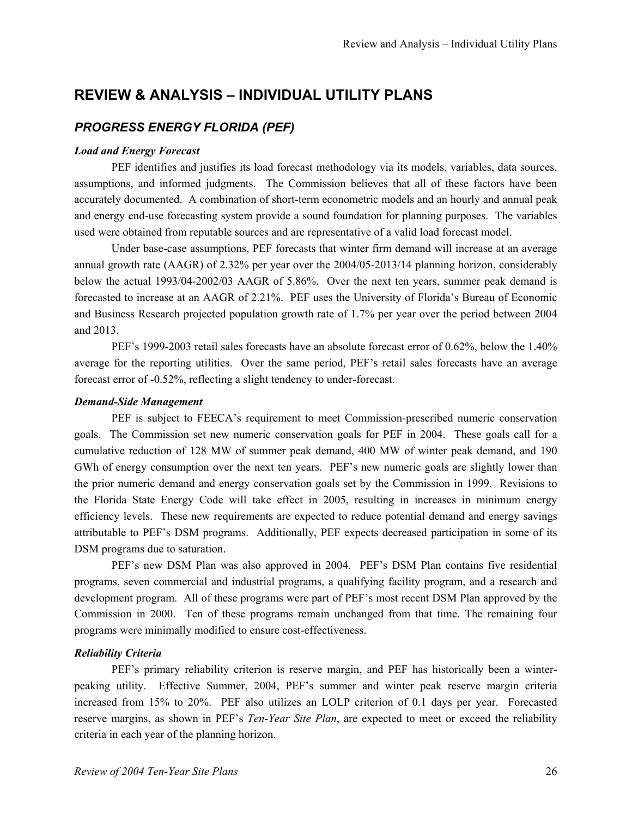# **REVIEW & ANALYSIS – INDIVIDUAL UTILITY PLANS**

# *PROGRESS ENERGY FLORIDA (PEF)*

#### *Load and Energy Forecast*

PEF identifies and justifies its load forecast methodology via its models, variables, data sources, assumptions, and informed judgments. The Commission believes that all of these factors have been accurately documented. A combination of short-term econometric models and an hourly and annual peak and energy end-use forecasting system provide a sound foundation for planning purposes. The variables used were obtained from reputable sources and are representative of a valid load forecast model.

Under base-case assumptions, PEF forecasts that winter firm demand will increase at an average annual growth rate (AAGR) of 2.32% per year over the 2004/05-2013/14 planning horizon, considerably below the actual 1993/04-2002/03 AAGR of 5.86%. Over the next ten years, summer peak demand is forecasted to increase at an AAGR of 2.21%. PEF uses the University of Florida's Bureau of Economic and Business Research projected population growth rate of 1.7% per year over the period between 2004 and 2013.

PEF's 1999-2003 retail sales forecasts have an absolute forecast error of 0.62%, below the 1.40% average for the reporting utilities. Over the same period, PEF's retail sales forecasts have an average forecast error of -0.52%, reflecting a slight tendency to under-forecast.

#### *Demand-Side Management*

PEF is subject to FEECA's requirement to meet Commission-prescribed numeric conservation goals. The Commission set new numeric conservation goals for PEF in 2004. These goals call for a cumulative reduction of 128 MW of summer peak demand, 400 MW of winter peak demand, and 190 GWh of energy consumption over the next ten years. PEF's new numeric goals are slightly lower than the prior numeric demand and energy conservation goals set by the Commission in 1999. Revisions to the Florida State Energy Code will take effect in 2005, resulting in increases in minimum energy efficiency levels. These new requirements are expected to reduce potential demand and energy savings attributable to PEF's DSM programs. Additionally, PEF expects decreased participation in some of its DSM programs due to saturation.

PEF's new DSM Plan was also approved in 2004. PEF's DSM Plan contains five residential programs, seven commercial and industrial programs, a qualifying facility program, and a research and development program. All of these programs were part of PEF's most recent DSM Plan approved by the Commission in 2000. Ten of these programs remain unchanged from that time. The remaining four programs were minimally modified to ensure cost-effectiveness.

# *Reliability Criteria*

PEF's primary reliability criterion is reserve margin, and PEF has historically been a winterpeaking utility. Effective Summer, 2004, PEF's summer and winter peak reserve margin criteria increased from 15% to 20%. PEF also utilizes an LOLP criterion of 0.1 days per year. Forecasted reserve margins, as shown in PEF's *Ten-Year Site Plan*, are expected to meet or exceed the reliability criteria in each year of the planning horizon.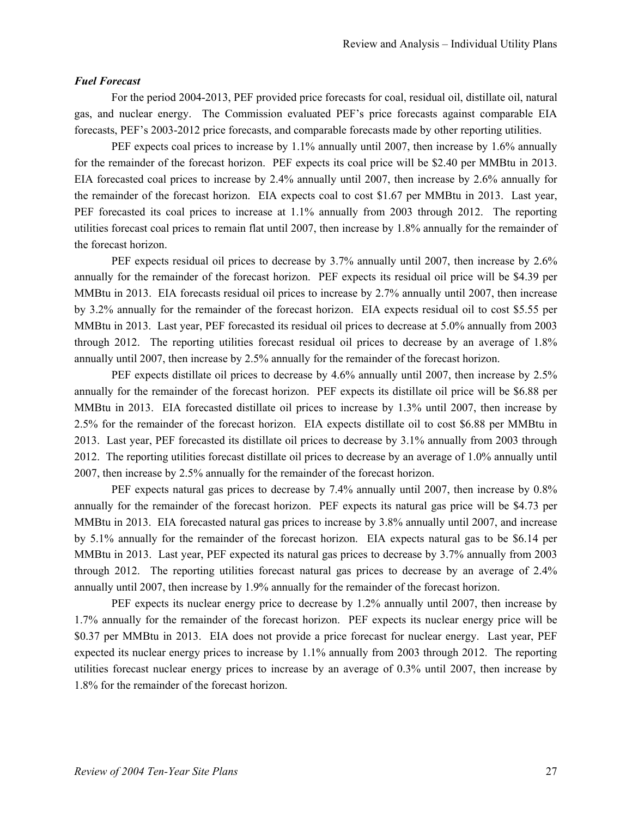#### *Fuel Forecast*

For the period 2004-2013, PEF provided price forecasts for coal, residual oil, distillate oil, natural gas, and nuclear energy. The Commission evaluated PEF's price forecasts against comparable EIA forecasts, PEF's 2003-2012 price forecasts, and comparable forecasts made by other reporting utilities.

PEF expects coal prices to increase by 1.1% annually until 2007, then increase by 1.6% annually for the remainder of the forecast horizon. PEF expects its coal price will be \$2.40 per MMBtu in 2013. EIA forecasted coal prices to increase by 2.4% annually until 2007, then increase by 2.6% annually for the remainder of the forecast horizon. EIA expects coal to cost \$1.67 per MMBtu in 2013. Last year, PEF forecasted its coal prices to increase at 1.1% annually from 2003 through 2012. The reporting utilities forecast coal prices to remain flat until 2007, then increase by 1.8% annually for the remainder of the forecast horizon.

PEF expects residual oil prices to decrease by 3.7% annually until 2007, then increase by 2.6% annually for the remainder of the forecast horizon. PEF expects its residual oil price will be \$4.39 per MMBtu in 2013. EIA forecasts residual oil prices to increase by 2.7% annually until 2007, then increase by 3.2% annually for the remainder of the forecast horizon. EIA expects residual oil to cost \$5.55 per MMBtu in 2013. Last year, PEF forecasted its residual oil prices to decrease at 5.0% annually from 2003 through 2012. The reporting utilities forecast residual oil prices to decrease by an average of 1.8% annually until 2007, then increase by 2.5% annually for the remainder of the forecast horizon.

PEF expects distillate oil prices to decrease by 4.6% annually until 2007, then increase by 2.5% annually for the remainder of the forecast horizon. PEF expects its distillate oil price will be \$6.88 per MMBtu in 2013. EIA forecasted distillate oil prices to increase by 1.3% until 2007, then increase by 2.5% for the remainder of the forecast horizon. EIA expects distillate oil to cost \$6.88 per MMBtu in 2013. Last year, PEF forecasted its distillate oil prices to decrease by 3.1% annually from 2003 through 2012. The reporting utilities forecast distillate oil prices to decrease by an average of 1.0% annually until 2007, then increase by 2.5% annually for the remainder of the forecast horizon.

PEF expects natural gas prices to decrease by 7.4% annually until 2007, then increase by 0.8% annually for the remainder of the forecast horizon. PEF expects its natural gas price will be \$4.73 per MMBtu in 2013. EIA forecasted natural gas prices to increase by 3.8% annually until 2007, and increase by 5.1% annually for the remainder of the forecast horizon. EIA expects natural gas to be \$6.14 per MMBtu in 2013. Last year, PEF expected its natural gas prices to decrease by 3.7% annually from 2003 through 2012. The reporting utilities forecast natural gas prices to decrease by an average of 2.4% annually until 2007, then increase by 1.9% annually for the remainder of the forecast horizon.

PEF expects its nuclear energy price to decrease by 1.2% annually until 2007, then increase by 1.7% annually for the remainder of the forecast horizon. PEF expects its nuclear energy price will be \$0.37 per MMBtu in 2013. EIA does not provide a price forecast for nuclear energy. Last year, PEF expected its nuclear energy prices to increase by 1.1% annually from 2003 through 2012. The reporting utilities forecast nuclear energy prices to increase by an average of 0.3% until 2007, then increase by 1.8% for the remainder of the forecast horizon.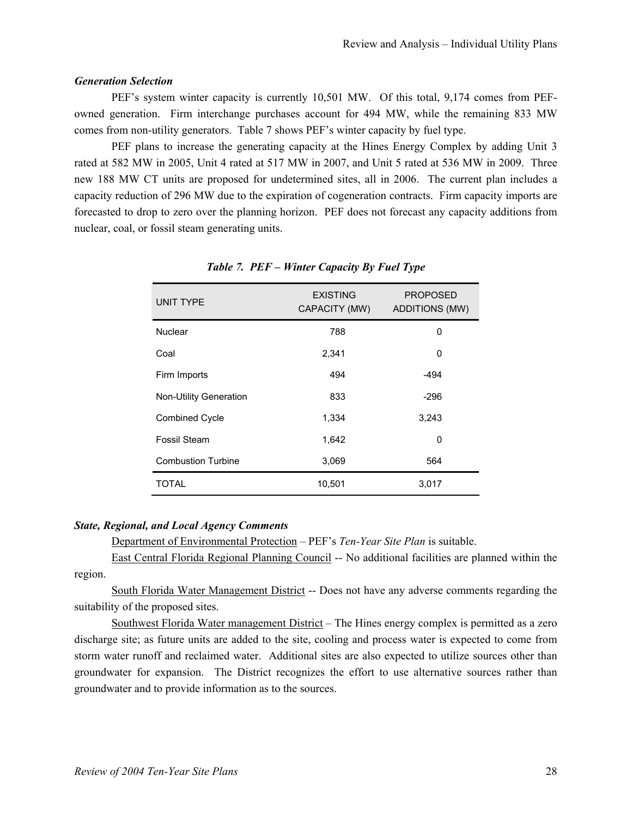#### *Generation Selection*

PEF's system winter capacity is currently 10,501 MW. Of this total, 9,174 comes from PEFowned generation. Firm interchange purchases account for 494 MW, while the remaining 833 MW comes from non-utility generators. Table 7 shows PEF's winter capacity by fuel type.

PEF plans to increase the generating capacity at the Hines Energy Complex by adding Unit 3 rated at 582 MW in 2005, Unit 4 rated at 517 MW in 2007, and Unit 5 rated at 536 MW in 2009. Three new 188 MW CT units are proposed for undetermined sites, all in 2006. The current plan includes a capacity reduction of 296 MW due to the expiration of cogeneration contracts. Firm capacity imports are forecasted to drop to zero over the planning horizon. PEF does not forecast any capacity additions from nuclear, coal, or fossil steam generating units.

| <b>UNIT TYPE</b>              | <b>EXISTING</b><br>CAPACITY (MW) | <b>PROPOSED</b><br><b>ADDITIONS (MW)</b> |
|-------------------------------|----------------------------------|------------------------------------------|
| Nuclear                       | 788                              | 0                                        |
| Coal                          | 2,341                            | 0                                        |
| Firm Imports                  | 494                              | -494                                     |
| <b>Non-Utility Generation</b> | 833                              | $-296$                                   |
| <b>Combined Cycle</b>         | 1,334                            | 3,243                                    |
| <b>Fossil Steam</b>           | 1,642                            | 0                                        |
| <b>Combustion Turbine</b>     | 3,069                            | 564                                      |
| TOTAL                         | 10,501                           | 3,017                                    |

# *Table 7. PEF – Winter Capacity By Fuel Type*

#### *State, Regional, and Local Agency Comments*

Department of Environmental Protection – PEF's *Ten-Year Site Plan* is suitable.

East Central Florida Regional Planning Council -- No additional facilities are planned within the region.

South Florida Water Management District -- Does not have any adverse comments regarding the suitability of the proposed sites.

Southwest Florida Water management District – The Hines energy complex is permitted as a zero discharge site; as future units are added to the site, cooling and process water is expected to come from storm water runoff and reclaimed water. Additional sites are also expected to utilize sources other than groundwater for expansion. The District recognizes the effort to use alternative sources rather than groundwater and to provide information as to the sources.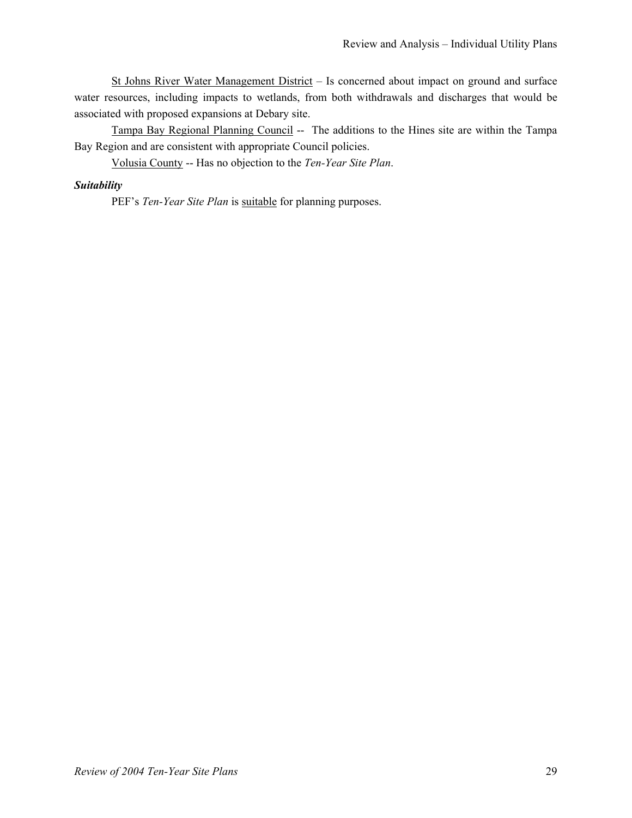St Johns River Water Management District – Is concerned about impact on ground and surface water resources, including impacts to wetlands, from both withdrawals and discharges that would be associated with proposed expansions at Debary site.

Tampa Bay Regional Planning Council -- The additions to the Hines site are within the Tampa Bay Region and are consistent with appropriate Council policies.

Volusia County -- Has no objection to the *Ten-Year Site Plan*.

# *Suitability*

PEF's *Ten-Year Site Plan* is suitable for planning purposes.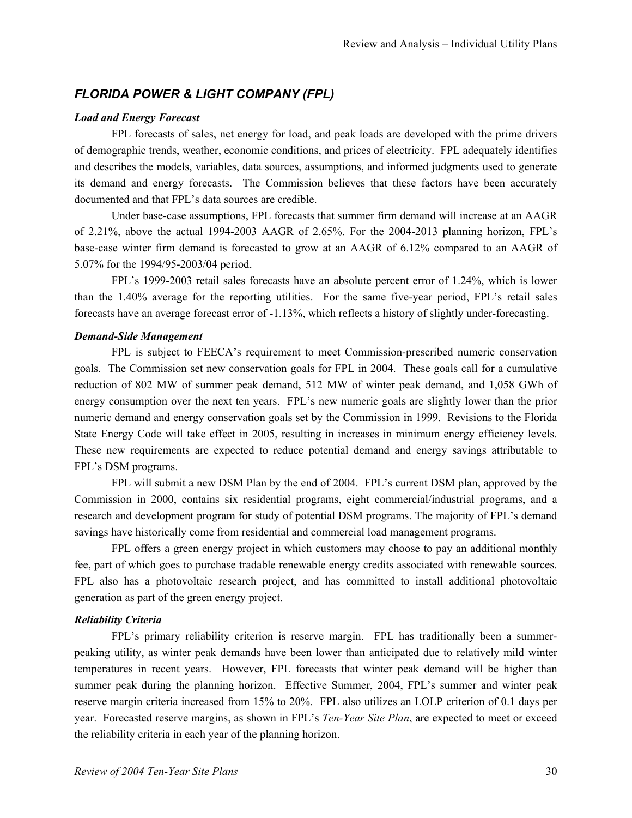# *FLORIDA POWER & LIGHT COMPANY (FPL)*

#### *Load and Energy Forecast*

FPL forecasts of sales, net energy for load, and peak loads are developed with the prime drivers of demographic trends, weather, economic conditions, and prices of electricity. FPL adequately identifies and describes the models, variables, data sources, assumptions, and informed judgments used to generate its demand and energy forecasts. The Commission believes that these factors have been accurately documented and that FPL's data sources are credible.

Under base-case assumptions, FPL forecasts that summer firm demand will increase at an AAGR of 2.21%, above the actual 1994-2003 AAGR of 2.65%. For the 2004-2013 planning horizon, FPL's base-case winter firm demand is forecasted to grow at an AAGR of 6.12% compared to an AAGR of 5.07% for the 1994/95-2003/04 period.

FPL's 1999-2003 retail sales forecasts have an absolute percent error of 1.24%, which is lower than the 1.40% average for the reporting utilities. For the same five-year period, FPL's retail sales forecasts have an average forecast error of -1.13%, which reflects a history of slightly under-forecasting.

# *Demand-Side Management*

FPL is subject to FEECA's requirement to meet Commission-prescribed numeric conservation goals. The Commission set new conservation goals for FPL in 2004. These goals call for a cumulative reduction of 802 MW of summer peak demand, 512 MW of winter peak demand, and 1,058 GWh of energy consumption over the next ten years. FPL's new numeric goals are slightly lower than the prior numeric demand and energy conservation goals set by the Commission in 1999. Revisions to the Florida State Energy Code will take effect in 2005, resulting in increases in minimum energy efficiency levels. These new requirements are expected to reduce potential demand and energy savings attributable to FPL's DSM programs.

FPL will submit a new DSM Plan by the end of 2004. FPL's current DSM plan, approved by the Commission in 2000, contains six residential programs, eight commercial/industrial programs, and a research and development program for study of potential DSM programs. The majority of FPL's demand savings have historically come from residential and commercial load management programs.

FPL offers a green energy project in which customers may choose to pay an additional monthly fee, part of which goes to purchase tradable renewable energy credits associated with renewable sources. FPL also has a photovoltaic research project, and has committed to install additional photovoltaic generation as part of the green energy project.

# *Reliability Criteria*

FPL's primary reliability criterion is reserve margin. FPL has traditionally been a summerpeaking utility, as winter peak demands have been lower than anticipated due to relatively mild winter temperatures in recent years. However, FPL forecasts that winter peak demand will be higher than summer peak during the planning horizon. Effective Summer, 2004, FPL's summer and winter peak reserve margin criteria increased from 15% to 20%. FPL also utilizes an LOLP criterion of 0.1 days per year. Forecasted reserve margins, as shown in FPL's *Ten-Year Site Plan*, are expected to meet or exceed the reliability criteria in each year of the planning horizon.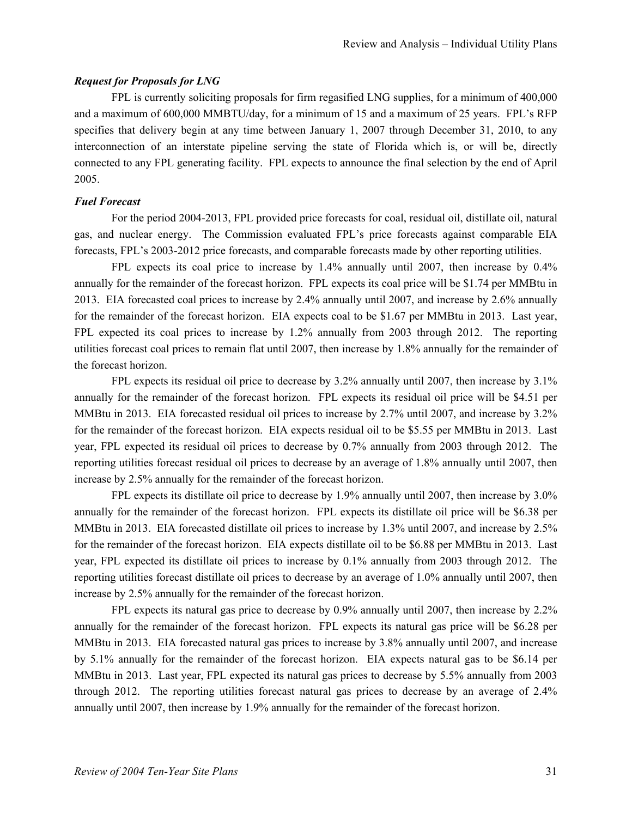#### *Request for Proposals for LNG*

FPL is currently soliciting proposals for firm regasified LNG supplies, for a minimum of 400,000 and a maximum of 600,000 MMBTU/day, for a minimum of 15 and a maximum of 25 years. FPL's RFP specifies that delivery begin at any time between January 1, 2007 through December 31, 2010, to any interconnection of an interstate pipeline serving the state of Florida which is, or will be, directly connected to any FPL generating facility. FPL expects to announce the final selection by the end of April 2005.

#### *Fuel Forecast*

For the period 2004-2013, FPL provided price forecasts for coal, residual oil, distillate oil, natural gas, and nuclear energy. The Commission evaluated FPL's price forecasts against comparable EIA forecasts, FPL's 2003-2012 price forecasts, and comparable forecasts made by other reporting utilities.

FPL expects its coal price to increase by 1.4% annually until 2007, then increase by 0.4% annually for the remainder of the forecast horizon. FPL expects its coal price will be \$1.74 per MMBtu in 2013. EIA forecasted coal prices to increase by 2.4% annually until 2007, and increase by 2.6% annually for the remainder of the forecast horizon. EIA expects coal to be \$1.67 per MMBtu in 2013. Last year, FPL expected its coal prices to increase by 1.2% annually from 2003 through 2012. The reporting utilities forecast coal prices to remain flat until 2007, then increase by 1.8% annually for the remainder of the forecast horizon.

FPL expects its residual oil price to decrease by 3.2% annually until 2007, then increase by 3.1% annually for the remainder of the forecast horizon. FPL expects its residual oil price will be \$4.51 per MMBtu in 2013. EIA forecasted residual oil prices to increase by 2.7% until 2007, and increase by 3.2% for the remainder of the forecast horizon. EIA expects residual oil to be \$5.55 per MMBtu in 2013. Last year, FPL expected its residual oil prices to decrease by 0.7% annually from 2003 through 2012. The reporting utilities forecast residual oil prices to decrease by an average of 1.8% annually until 2007, then increase by 2.5% annually for the remainder of the forecast horizon.

FPL expects its distillate oil price to decrease by 1.9% annually until 2007, then increase by 3.0% annually for the remainder of the forecast horizon. FPL expects its distillate oil price will be \$6.38 per MMBtu in 2013. EIA forecasted distillate oil prices to increase by 1.3% until 2007, and increase by 2.5% for the remainder of the forecast horizon. EIA expects distillate oil to be \$6.88 per MMBtu in 2013. Last year, FPL expected its distillate oil prices to increase by 0.1% annually from 2003 through 2012. The reporting utilities forecast distillate oil prices to decrease by an average of 1.0% annually until 2007, then increase by 2.5% annually for the remainder of the forecast horizon.

FPL expects its natural gas price to decrease by 0.9% annually until 2007, then increase by 2.2% annually for the remainder of the forecast horizon. FPL expects its natural gas price will be \$6.28 per MMBtu in 2013. EIA forecasted natural gas prices to increase by 3.8% annually until 2007, and increase by 5.1% annually for the remainder of the forecast horizon. EIA expects natural gas to be \$6.14 per MMBtu in 2013. Last year, FPL expected its natural gas prices to decrease by 5.5% annually from 2003 through 2012. The reporting utilities forecast natural gas prices to decrease by an average of 2.4% annually until 2007, then increase by 1.9% annually for the remainder of the forecast horizon.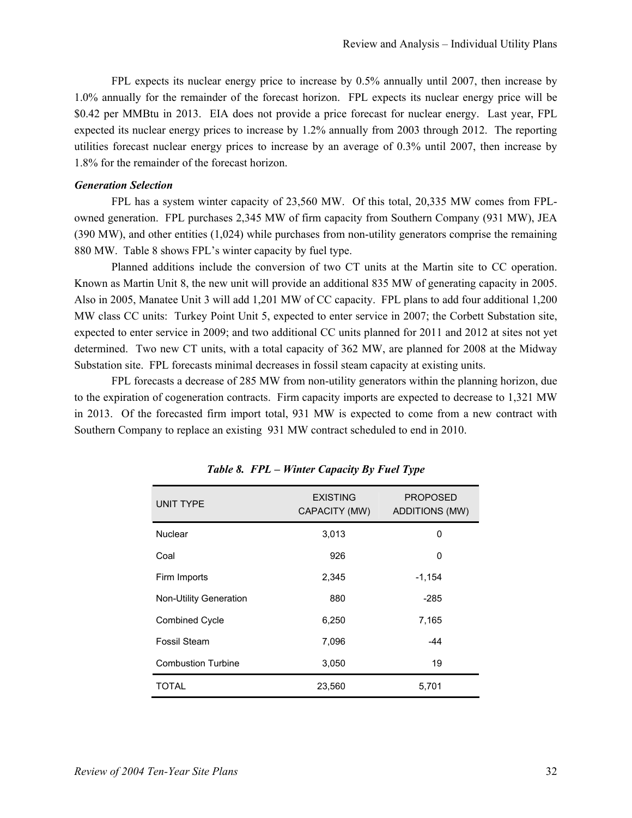FPL expects its nuclear energy price to increase by 0.5% annually until 2007, then increase by 1.0% annually for the remainder of the forecast horizon. FPL expects its nuclear energy price will be \$0.42 per MMBtu in 2013. EIA does not provide a price forecast for nuclear energy. Last year, FPL expected its nuclear energy prices to increase by 1.2% annually from 2003 through 2012. The reporting utilities forecast nuclear energy prices to increase by an average of 0.3% until 2007, then increase by 1.8% for the remainder of the forecast horizon.

#### *Generation Selection*

FPL has a system winter capacity of 23,560 MW. Of this total, 20,335 MW comes from FPLowned generation. FPL purchases 2,345 MW of firm capacity from Southern Company (931 MW), JEA (390 MW), and other entities (1,024) while purchases from non-utility generators comprise the remaining 880 MW. Table 8 shows FPL's winter capacity by fuel type.

Planned additions include the conversion of two CT units at the Martin site to CC operation. Known as Martin Unit 8, the new unit will provide an additional 835 MW of generating capacity in 2005. Also in 2005, Manatee Unit 3 will add 1,201 MW of CC capacity. FPL plans to add four additional 1,200 MW class CC units: Turkey Point Unit 5, expected to enter service in 2007; the Corbett Substation site, expected to enter service in 2009; and two additional CC units planned for 2011 and 2012 at sites not yet determined. Two new CT units, with a total capacity of 362 MW, are planned for 2008 at the Midway Substation site. FPL forecasts minimal decreases in fossil steam capacity at existing units.

FPL forecasts a decrease of 285 MW from non-utility generators within the planning horizon, due to the expiration of cogeneration contracts. Firm capacity imports are expected to decrease to 1,321 MW in 2013. Of the forecasted firm import total, 931 MW is expected to come from a new contract with Southern Company to replace an existing 931 MW contract scheduled to end in 2010.

| <b>UNIT TYPE</b>              | <b>EXISTING</b><br>CAPACITY (MW) | <b>PROPOSED</b><br><b>ADDITIONS (MW)</b> |
|-------------------------------|----------------------------------|------------------------------------------|
| Nuclear                       | 3,013                            | 0                                        |
| Coal                          | 926                              | 0                                        |
| Firm Imports                  | 2,345                            | $-1,154$                                 |
| <b>Non-Utility Generation</b> | 880                              | $-285$                                   |
| <b>Combined Cycle</b>         | 6,250                            | 7,165                                    |
| Fossil Steam                  | 7,096                            | -44                                      |
| <b>Combustion Turbine</b>     | 3,050                            | 19                                       |
| TOTAL                         | 23,560                           | 5,701                                    |

*Table 8. FPL – Winter Capacity By Fuel Type*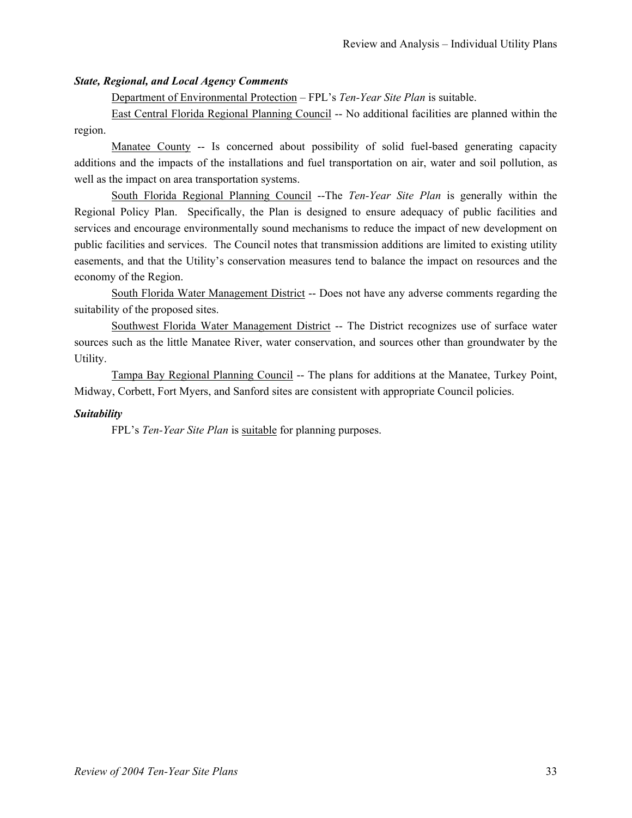# *State, Regional, and Local Agency Comments*

Department of Environmental Protection – FPL's *Ten-Year Site Plan* is suitable.

East Central Florida Regional Planning Council -- No additional facilities are planned within the region.

Manatee County -- Is concerned about possibility of solid fuel-based generating capacity additions and the impacts of the installations and fuel transportation on air, water and soil pollution, as well as the impact on area transportation systems.

South Florida Regional Planning Council --The *Ten-Year Site Plan* is generally within the Regional Policy Plan. Specifically, the Plan is designed to ensure adequacy of public facilities and services and encourage environmentally sound mechanisms to reduce the impact of new development on public facilities and services. The Council notes that transmission additions are limited to existing utility easements, and that the Utility's conservation measures tend to balance the impact on resources and the economy of the Region.

South Florida Water Management District -- Does not have any adverse comments regarding the suitability of the proposed sites.

Southwest Florida Water Management District -- The District recognizes use of surface water sources such as the little Manatee River, water conservation, and sources other than groundwater by the Utility.

Tampa Bay Regional Planning Council -- The plans for additions at the Manatee, Turkey Point, Midway, Corbett, Fort Myers, and Sanford sites are consistent with appropriate Council policies.

# *Suitability*

FPL's *Ten-Year Site Plan* is suitable for planning purposes.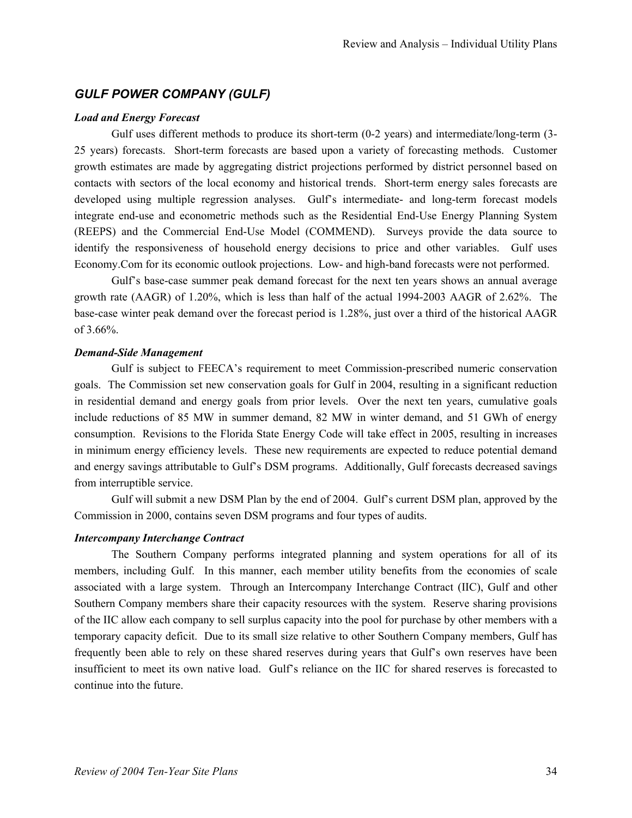# *GULF POWER COMPANY (GULF)*

#### *Load and Energy Forecast*

Gulf uses different methods to produce its short-term (0-2 years) and intermediate/long-term (3- 25 years) forecasts. Short-term forecasts are based upon a variety of forecasting methods. Customer growth estimates are made by aggregating district projections performed by district personnel based on contacts with sectors of the local economy and historical trends. Short-term energy sales forecasts are developed using multiple regression analyses. Gulf's intermediate- and long-term forecast models integrate end-use and econometric methods such as the Residential End-Use Energy Planning System (REEPS) and the Commercial End-Use Model (COMMEND). Surveys provide the data source to identify the responsiveness of household energy decisions to price and other variables. Gulf uses Economy.Com for its economic outlook projections. Low- and high-band forecasts were not performed.

Gulf's base-case summer peak demand forecast for the next ten years shows an annual average growth rate (AAGR) of 1.20%, which is less than half of the actual 1994-2003 AAGR of 2.62%. The base-case winter peak demand over the forecast period is 1.28%, just over a third of the historical AAGR of 3.66%.

#### *Demand-Side Management*

Gulf is subject to FEECA's requirement to meet Commission-prescribed numeric conservation goals. The Commission set new conservation goals for Gulf in 2004, resulting in a significant reduction in residential demand and energy goals from prior levels. Over the next ten years, cumulative goals include reductions of 85 MW in summer demand, 82 MW in winter demand, and 51 GWh of energy consumption. Revisions to the Florida State Energy Code will take effect in 2005, resulting in increases in minimum energy efficiency levels. These new requirements are expected to reduce potential demand and energy savings attributable to Gulf's DSM programs. Additionally, Gulf forecasts decreased savings from interruptible service.

Gulf will submit a new DSM Plan by the end of 2004. Gulf's current DSM plan, approved by the Commission in 2000, contains seven DSM programs and four types of audits.

#### *Intercompany Interchange Contract*

The Southern Company performs integrated planning and system operations for all of its members, including Gulf. In this manner, each member utility benefits from the economies of scale associated with a large system. Through an Intercompany Interchange Contract (IIC), Gulf and other Southern Company members share their capacity resources with the system. Reserve sharing provisions of the IIC allow each company to sell surplus capacity into the pool for purchase by other members with a temporary capacity deficit. Due to its small size relative to other Southern Company members, Gulf has frequently been able to rely on these shared reserves during years that Gulf's own reserves have been insufficient to meet its own native load. Gulf's reliance on the IIC for shared reserves is forecasted to continue into the future.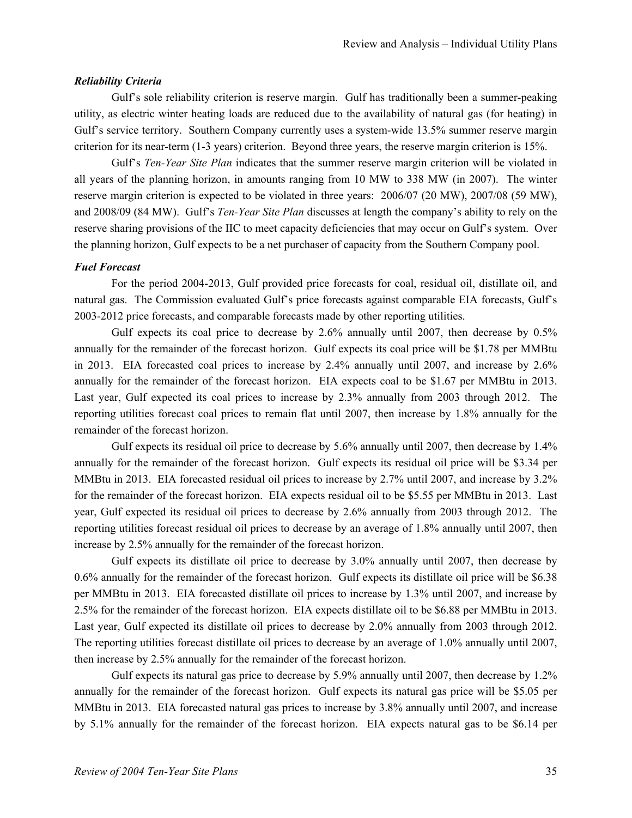#### *Reliability Criteria*

Gulf's sole reliability criterion is reserve margin. Gulf has traditionally been a summer-peaking utility, as electric winter heating loads are reduced due to the availability of natural gas (for heating) in Gulf's service territory. Southern Company currently uses a system-wide 13.5% summer reserve margin criterion for its near-term (1-3 years) criterion. Beyond three years, the reserve margin criterion is 15%.

Gulf's *Ten-Year Site Plan* indicates that the summer reserve margin criterion will be violated in all years of the planning horizon, in amounts ranging from 10 MW to 338 MW (in 2007). The winter reserve margin criterion is expected to be violated in three years: 2006/07 (20 MW), 2007/08 (59 MW), and 2008/09 (84 MW). Gulf's *Ten-Year Site Plan* discusses at length the company's ability to rely on the reserve sharing provisions of the IIC to meet capacity deficiencies that may occur on Gulf's system. Over the planning horizon, Gulf expects to be a net purchaser of capacity from the Southern Company pool.

#### *Fuel Forecast*

For the period 2004-2013, Gulf provided price forecasts for coal, residual oil, distillate oil, and natural gas. The Commission evaluated Gulf's price forecasts against comparable EIA forecasts, Gulf's 2003-2012 price forecasts, and comparable forecasts made by other reporting utilities.

Gulf expects its coal price to decrease by 2.6% annually until 2007, then decrease by 0.5% annually for the remainder of the forecast horizon. Gulf expects its coal price will be \$1.78 per MMBtu in 2013. EIA forecasted coal prices to increase by 2.4% annually until 2007, and increase by 2.6% annually for the remainder of the forecast horizon. EIA expects coal to be \$1.67 per MMBtu in 2013. Last year, Gulf expected its coal prices to increase by 2.3% annually from 2003 through 2012. The reporting utilities forecast coal prices to remain flat until 2007, then increase by 1.8% annually for the remainder of the forecast horizon.

Gulf expects its residual oil price to decrease by 5.6% annually until 2007, then decrease by 1.4% annually for the remainder of the forecast horizon. Gulf expects its residual oil price will be \$3.34 per MMBtu in 2013. EIA forecasted residual oil prices to increase by 2.7% until 2007, and increase by 3.2% for the remainder of the forecast horizon. EIA expects residual oil to be \$5.55 per MMBtu in 2013. Last year, Gulf expected its residual oil prices to decrease by 2.6% annually from 2003 through 2012. The reporting utilities forecast residual oil prices to decrease by an average of 1.8% annually until 2007, then increase by 2.5% annually for the remainder of the forecast horizon.

Gulf expects its distillate oil price to decrease by 3.0% annually until 2007, then decrease by 0.6% annually for the remainder of the forecast horizon. Gulf expects its distillate oil price will be \$6.38 per MMBtu in 2013. EIA forecasted distillate oil prices to increase by 1.3% until 2007, and increase by 2.5% for the remainder of the forecast horizon. EIA expects distillate oil to be \$6.88 per MMBtu in 2013. Last year, Gulf expected its distillate oil prices to decrease by 2.0% annually from 2003 through 2012. The reporting utilities forecast distillate oil prices to decrease by an average of 1.0% annually until 2007, then increase by 2.5% annually for the remainder of the forecast horizon.

Gulf expects its natural gas price to decrease by 5.9% annually until 2007, then decrease by 1.2% annually for the remainder of the forecast horizon. Gulf expects its natural gas price will be \$5.05 per MMBtu in 2013. EIA forecasted natural gas prices to increase by 3.8% annually until 2007, and increase by 5.1% annually for the remainder of the forecast horizon. EIA expects natural gas to be \$6.14 per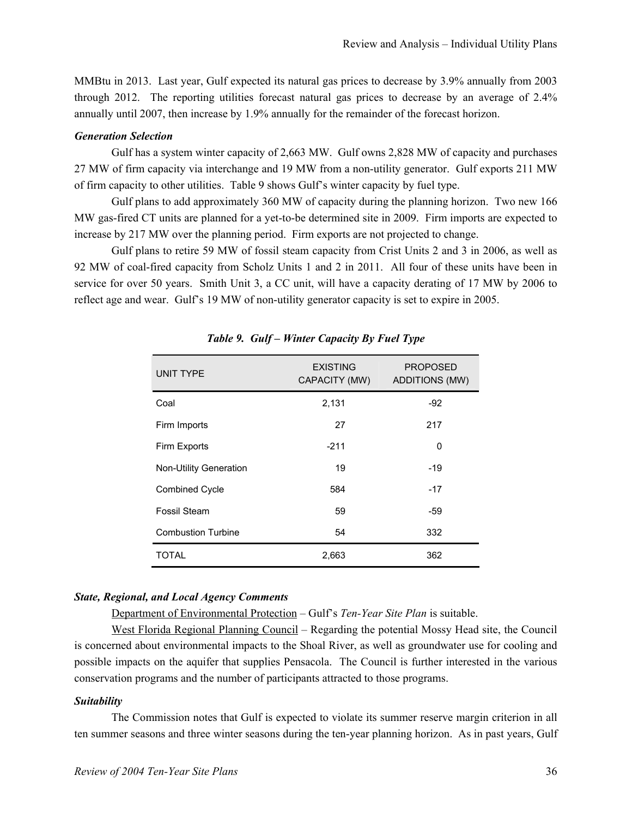MMBtu in 2013. Last year, Gulf expected its natural gas prices to decrease by 3.9% annually from 2003 through 2012. The reporting utilities forecast natural gas prices to decrease by an average of 2.4% annually until 2007, then increase by 1.9% annually for the remainder of the forecast horizon.

#### *Generation Selection*

Gulf has a system winter capacity of 2,663 MW. Gulf owns 2,828 MW of capacity and purchases 27 MW of firm capacity via interchange and 19 MW from a non-utility generator. Gulf exports 211 MW of firm capacity to other utilities. Table 9 shows Gulf's winter capacity by fuel type.

Gulf plans to add approximately 360 MW of capacity during the planning horizon. Two new 166 MW gas-fired CT units are planned for a yet-to-be determined site in 2009. Firm imports are expected to increase by 217 MW over the planning period. Firm exports are not projected to change.

Gulf plans to retire 59 MW of fossil steam capacity from Crist Units 2 and 3 in 2006, as well as 92 MW of coal-fired capacity from Scholz Units 1 and 2 in 2011. All four of these units have been in service for over 50 years. Smith Unit 3, a CC unit, will have a capacity derating of 17 MW by 2006 to reflect age and wear. Gulf's 19 MW of non-utility generator capacity is set to expire in 2005.

| <b>UNIT TYPE</b>          | <b>EXISTING</b><br>CAPACITY (MW) | <b>PROPOSED</b><br><b>ADDITIONS (MW)</b> |
|---------------------------|----------------------------------|------------------------------------------|
| Coal                      | 2,131                            | $-92$                                    |
| Firm Imports              | 27                               | 217                                      |
| Firm Exports              | $-211$                           | 0                                        |
| Non-Utility Generation    | 19                               | -19                                      |
| <b>Combined Cycle</b>     | 584                              | $-17$                                    |
| Fossil Steam              | 59                               | -59                                      |
| <b>Combustion Turbine</b> | 54                               | 332                                      |
| TOTAL                     | 2,663                            | 362                                      |

*Table 9. Gulf – Winter Capacity By Fuel Type* 

#### *State, Regional, and Local Agency Comments*

Department of Environmental Protection – Gulf's *Ten-Year Site Plan* is suitable.

West Florida Regional Planning Council – Regarding the potential Mossy Head site, the Council is concerned about environmental impacts to the Shoal River, as well as groundwater use for cooling and possible impacts on the aquifer that supplies Pensacola. The Council is further interested in the various conservation programs and the number of participants attracted to those programs.

#### *Suitability*

The Commission notes that Gulf is expected to violate its summer reserve margin criterion in all ten summer seasons and three winter seasons during the ten-year planning horizon. As in past years, Gulf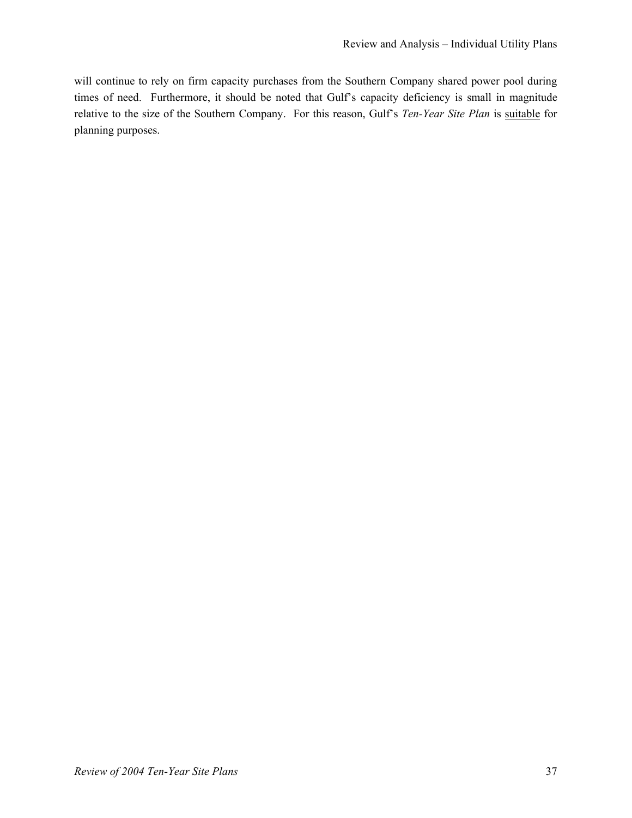will continue to rely on firm capacity purchases from the Southern Company shared power pool during times of need. Furthermore, it should be noted that Gulf's capacity deficiency is small in magnitude relative to the size of the Southern Company. For this reason, Gulf's *Ten-Year Site Plan* is suitable for planning purposes.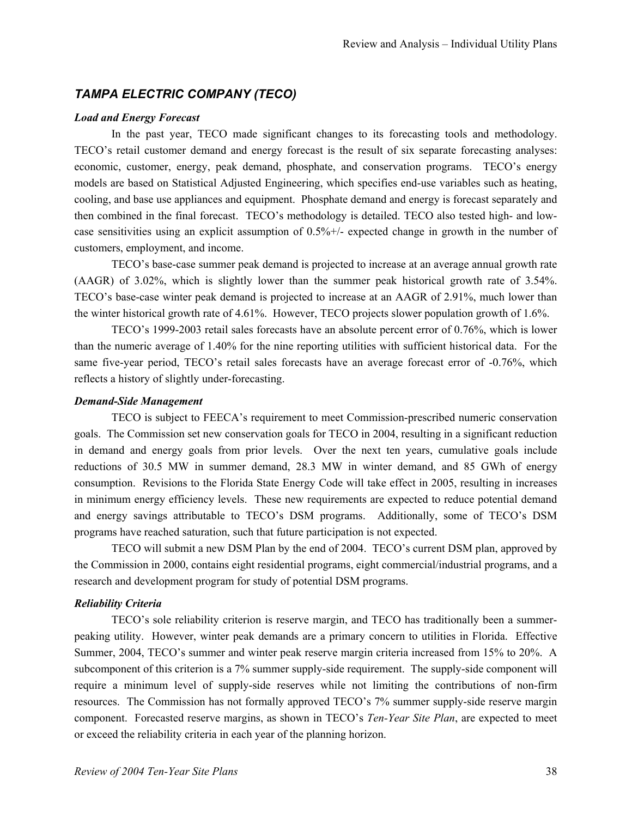# *TAMPA ELECTRIC COMPANY (TECO)*

#### *Load and Energy Forecast*

In the past year, TECO made significant changes to its forecasting tools and methodology. TECO's retail customer demand and energy forecast is the result of six separate forecasting analyses: economic, customer, energy, peak demand, phosphate, and conservation programs. TECO's energy models are based on Statistical Adjusted Engineering, which specifies end-use variables such as heating, cooling, and base use appliances and equipment. Phosphate demand and energy is forecast separately and then combined in the final forecast. TECO's methodology is detailed. TECO also tested high- and lowcase sensitivities using an explicit assumption of 0.5%+/- expected change in growth in the number of customers, employment, and income.

TECO's base-case summer peak demand is projected to increase at an average annual growth rate (AAGR) of 3.02%, which is slightly lower than the summer peak historical growth rate of 3.54%. TECO's base-case winter peak demand is projected to increase at an AAGR of 2.91%, much lower than the winter historical growth rate of 4.61%. However, TECO projects slower population growth of 1.6%.

TECO's 1999-2003 retail sales forecasts have an absolute percent error of 0.76%, which is lower than the numeric average of 1.40% for the nine reporting utilities with sufficient historical data. For the same five-year period, TECO's retail sales forecasts have an average forecast error of -0.76%, which reflects a history of slightly under-forecasting.

#### *Demand-Side Management*

TECO is subject to FEECA's requirement to meet Commission-prescribed numeric conservation goals. The Commission set new conservation goals for TECO in 2004, resulting in a significant reduction in demand and energy goals from prior levels. Over the next ten years, cumulative goals include reductions of 30.5 MW in summer demand, 28.3 MW in winter demand, and 85 GWh of energy consumption. Revisions to the Florida State Energy Code will take effect in 2005, resulting in increases in minimum energy efficiency levels. These new requirements are expected to reduce potential demand and energy savings attributable to TECO's DSM programs. Additionally, some of TECO's DSM programs have reached saturation, such that future participation is not expected.

TECO will submit a new DSM Plan by the end of 2004. TECO's current DSM plan, approved by the Commission in 2000, contains eight residential programs, eight commercial/industrial programs, and a research and development program for study of potential DSM programs.

# *Reliability Criteria*

TECO's sole reliability criterion is reserve margin, and TECO has traditionally been a summerpeaking utility. However, winter peak demands are a primary concern to utilities in Florida. Effective Summer, 2004, TECO's summer and winter peak reserve margin criteria increased from 15% to 20%. A subcomponent of this criterion is a 7% summer supply-side requirement. The supply-side component will require a minimum level of supply-side reserves while not limiting the contributions of non-firm resources. The Commission has not formally approved TECO's 7% summer supply-side reserve margin component. Forecasted reserve margins, as shown in TECO's *Ten-Year Site Plan*, are expected to meet or exceed the reliability criteria in each year of the planning horizon.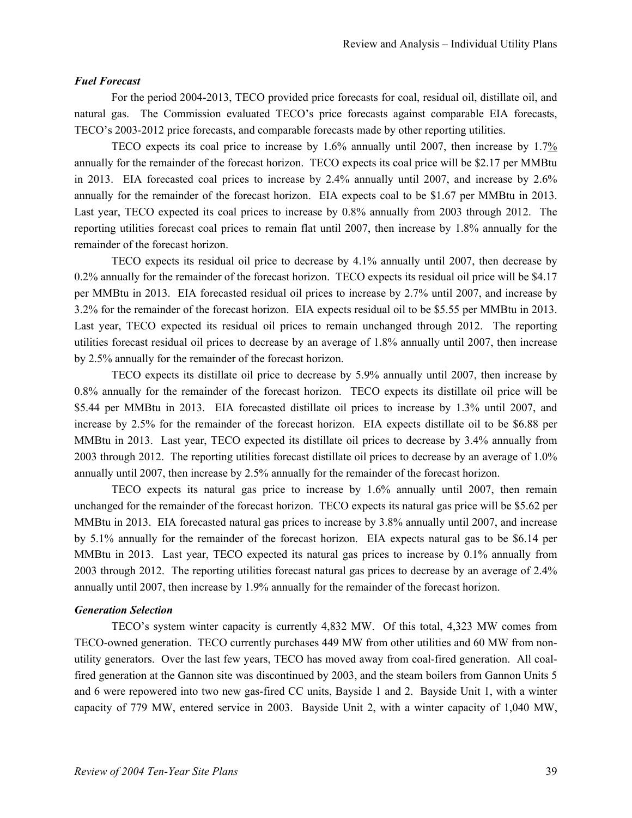#### *Fuel Forecast*

For the period 2004-2013, TECO provided price forecasts for coal, residual oil, distillate oil, and natural gas. The Commission evaluated TECO's price forecasts against comparable EIA forecasts, TECO's 2003-2012 price forecasts, and comparable forecasts made by other reporting utilities.

TECO expects its coal price to increase by 1.6% annually until 2007, then increase by 1.7% annually for the remainder of the forecast horizon. TECO expects its coal price will be \$2.17 per MMBtu in 2013. EIA forecasted coal prices to increase by 2.4% annually until 2007, and increase by 2.6% annually for the remainder of the forecast horizon. EIA expects coal to be \$1.67 per MMBtu in 2013. Last year, TECO expected its coal prices to increase by 0.8% annually from 2003 through 2012. The reporting utilities forecast coal prices to remain flat until 2007, then increase by 1.8% annually for the remainder of the forecast horizon.

TECO expects its residual oil price to decrease by 4.1% annually until 2007, then decrease by 0.2% annually for the remainder of the forecast horizon. TECO expects its residual oil price will be \$4.17 per MMBtu in 2013. EIA forecasted residual oil prices to increase by 2.7% until 2007, and increase by 3.2% for the remainder of the forecast horizon. EIA expects residual oil to be \$5.55 per MMBtu in 2013. Last year, TECO expected its residual oil prices to remain unchanged through 2012. The reporting utilities forecast residual oil prices to decrease by an average of 1.8% annually until 2007, then increase by 2.5% annually for the remainder of the forecast horizon.

TECO expects its distillate oil price to decrease by 5.9% annually until 2007, then increase by 0.8% annually for the remainder of the forecast horizon. TECO expects its distillate oil price will be \$5.44 per MMBtu in 2013. EIA forecasted distillate oil prices to increase by 1.3% until 2007, and increase by 2.5% for the remainder of the forecast horizon. EIA expects distillate oil to be \$6.88 per MMBtu in 2013. Last year, TECO expected its distillate oil prices to decrease by 3.4% annually from 2003 through 2012. The reporting utilities forecast distillate oil prices to decrease by an average of 1.0% annually until 2007, then increase by 2.5% annually for the remainder of the forecast horizon.

TECO expects its natural gas price to increase by 1.6% annually until 2007, then remain unchanged for the remainder of the forecast horizon. TECO expects its natural gas price will be \$5.62 per MMBtu in 2013. EIA forecasted natural gas prices to increase by 3.8% annually until 2007, and increase by 5.1% annually for the remainder of the forecast horizon. EIA expects natural gas to be \$6.14 per MMBtu in 2013. Last year, TECO expected its natural gas prices to increase by 0.1% annually from 2003 through 2012. The reporting utilities forecast natural gas prices to decrease by an average of 2.4% annually until 2007, then increase by 1.9% annually for the remainder of the forecast horizon.

#### *Generation Selection*

TECO's system winter capacity is currently 4,832 MW. Of this total, 4,323 MW comes from TECO-owned generation. TECO currently purchases 449 MW from other utilities and 60 MW from nonutility generators. Over the last few years, TECO has moved away from coal-fired generation. All coalfired generation at the Gannon site was discontinued by 2003, and the steam boilers from Gannon Units 5 and 6 were repowered into two new gas-fired CC units, Bayside 1 and 2. Bayside Unit 1, with a winter capacity of 779 MW, entered service in 2003. Bayside Unit 2, with a winter capacity of 1,040 MW,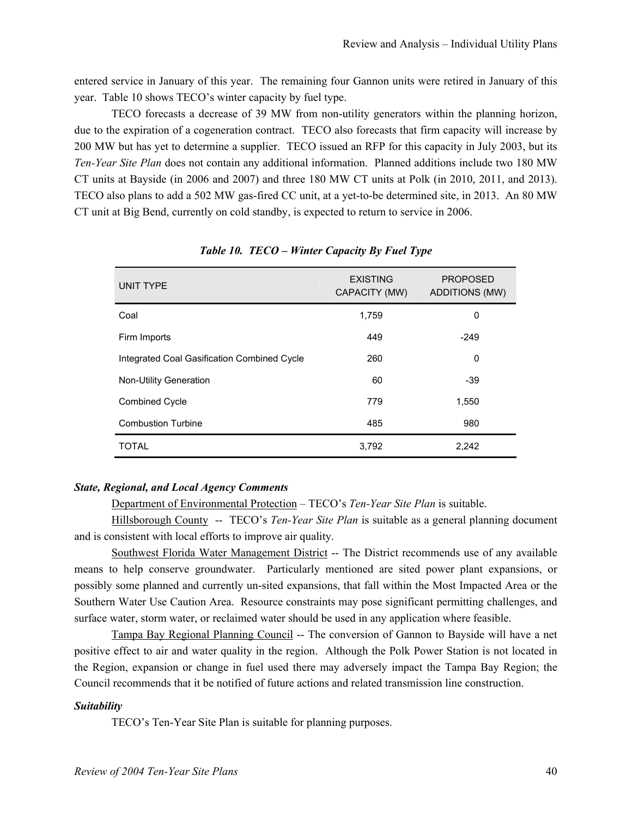entered service in January of this year. The remaining four Gannon units were retired in January of this year. Table 10 shows TECO's winter capacity by fuel type.

TECO forecasts a decrease of 39 MW from non-utility generators within the planning horizon, due to the expiration of a cogeneration contract. TECO also forecasts that firm capacity will increase by 200 MW but has yet to determine a supplier. TECO issued an RFP for this capacity in July 2003, but its *Ten-Year Site Plan* does not contain any additional information. Planned additions include two 180 MW CT units at Bayside (in 2006 and 2007) and three 180 MW CT units at Polk (in 2010, 2011, and 2013). TECO also plans to add a 502 MW gas-fired CC unit, at a yet-to-be determined site, in 2013. An 80 MW CT unit at Big Bend, currently on cold standby, is expected to return to service in 2006.

| UNIT TYPE                                   | <b>EXISTING</b><br>CAPACITY (MW) | <b>PROPOSED</b><br><b>ADDITIONS (MW)</b> |
|---------------------------------------------|----------------------------------|------------------------------------------|
| Coal                                        | 1,759                            | 0                                        |
| Firm Imports                                | 449                              | $-249$                                   |
| Integrated Coal Gasification Combined Cycle | 260                              | 0                                        |
| <b>Non-Utility Generation</b>               | 60                               | $-39$                                    |
| <b>Combined Cycle</b>                       | 779                              | 1,550                                    |
| <b>Combustion Turbine</b>                   | 485                              | 980                                      |
| <b>TOTAL</b>                                | 3,792                            | 2,242                                    |

*Table 10. TECO – Winter Capacity By Fuel Type* 

# *State, Regional, and Local Agency Comments*

Department of Environmental Protection – TECO's *Ten-Year Site Plan* is suitable.

Hillsborough County -- TECO's *Ten-Year Site Plan* is suitable as a general planning document and is consistent with local efforts to improve air quality.

Southwest Florida Water Management District -- The District recommends use of any available means to help conserve groundwater. Particularly mentioned are sited power plant expansions, or possibly some planned and currently un-sited expansions, that fall within the Most Impacted Area or the Southern Water Use Caution Area. Resource constraints may pose significant permitting challenges, and surface water, storm water, or reclaimed water should be used in any application where feasible.

Tampa Bay Regional Planning Council -- The conversion of Gannon to Bayside will have a net positive effect to air and water quality in the region. Although the Polk Power Station is not located in the Region, expansion or change in fuel used there may adversely impact the Tampa Bay Region; the Council recommends that it be notified of future actions and related transmission line construction.

#### *Suitability*

TECO's Ten-Year Site Plan is suitable for planning purposes.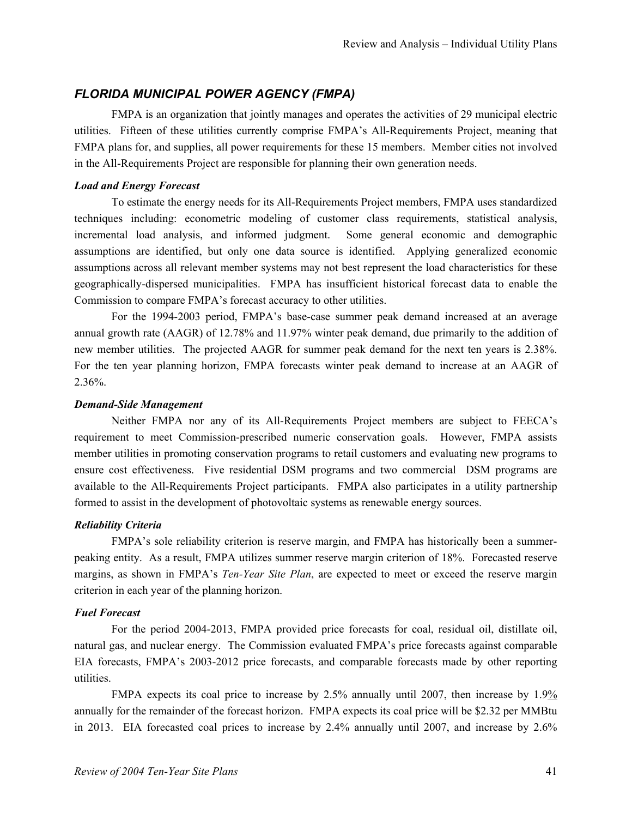# *FLORIDA MUNICIPAL POWER AGENCY (FMPA)*

FMPA is an organization that jointly manages and operates the activities of 29 municipal electric utilities. Fifteen of these utilities currently comprise FMPA's All-Requirements Project, meaning that FMPA plans for, and supplies, all power requirements for these 15 members. Member cities not involved in the All-Requirements Project are responsible for planning their own generation needs.

#### *Load and Energy Forecast*

To estimate the energy needs for its All-Requirements Project members, FMPA uses standardized techniques including: econometric modeling of customer class requirements, statistical analysis, incremental load analysis, and informed judgment. Some general economic and demographic assumptions are identified, but only one data source is identified. Applying generalized economic assumptions across all relevant member systems may not best represent the load characteristics for these geographically-dispersed municipalities. FMPA has insufficient historical forecast data to enable the Commission to compare FMPA's forecast accuracy to other utilities.

For the 1994-2003 period, FMPA's base-case summer peak demand increased at an average annual growth rate (AAGR) of 12.78% and 11.97% winter peak demand, due primarily to the addition of new member utilities. The projected AAGR for summer peak demand for the next ten years is 2.38%. For the ten year planning horizon, FMPA forecasts winter peak demand to increase at an AAGR of 2.36%.

#### *Demand-Side Management*

Neither FMPA nor any of its All-Requirements Project members are subject to FEECA's requirement to meet Commission-prescribed numeric conservation goals. However, FMPA assists member utilities in promoting conservation programs to retail customers and evaluating new programs to ensure cost effectiveness. Five residential DSM programs and two commercial DSM programs are available to the All-Requirements Project participants. FMPA also participates in a utility partnership formed to assist in the development of photovoltaic systems as renewable energy sources.

# *Reliability Criteria*

FMPA's sole reliability criterion is reserve margin, and FMPA has historically been a summerpeaking entity. As a result, FMPA utilizes summer reserve margin criterion of 18%. Forecasted reserve margins, as shown in FMPA's *Ten-Year Site Plan*, are expected to meet or exceed the reserve margin criterion in each year of the planning horizon.

#### *Fuel Forecast*

For the period 2004-2013, FMPA provided price forecasts for coal, residual oil, distillate oil, natural gas, and nuclear energy. The Commission evaluated FMPA's price forecasts against comparable EIA forecasts, FMPA's 2003-2012 price forecasts, and comparable forecasts made by other reporting utilities.

FMPA expects its coal price to increase by 2.5% annually until 2007, then increase by 1.9% annually for the remainder of the forecast horizon. FMPA expects its coal price will be \$2.32 per MMBtu in 2013. EIA forecasted coal prices to increase by 2.4% annually until 2007, and increase by 2.6%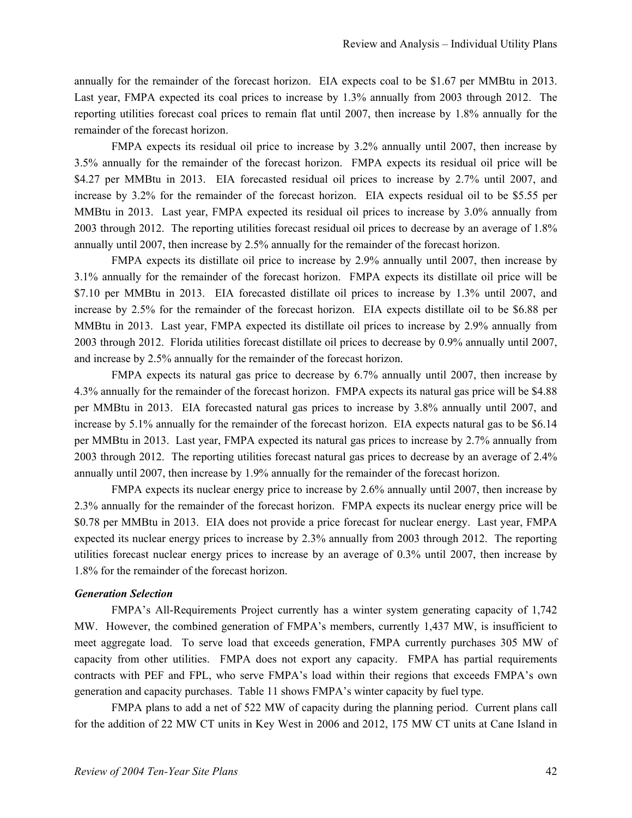annually for the remainder of the forecast horizon. EIA expects coal to be \$1.67 per MMBtu in 2013. Last year, FMPA expected its coal prices to increase by 1.3% annually from 2003 through 2012. The reporting utilities forecast coal prices to remain flat until 2007, then increase by 1.8% annually for the remainder of the forecast horizon.

FMPA expects its residual oil price to increase by 3.2% annually until 2007, then increase by 3.5% annually for the remainder of the forecast horizon. FMPA expects its residual oil price will be \$4.27 per MMBtu in 2013. EIA forecasted residual oil prices to increase by 2.7% until 2007, and increase by 3.2% for the remainder of the forecast horizon. EIA expects residual oil to be \$5.55 per MMBtu in 2013. Last year, FMPA expected its residual oil prices to increase by 3.0% annually from 2003 through 2012. The reporting utilities forecast residual oil prices to decrease by an average of 1.8% annually until 2007, then increase by 2.5% annually for the remainder of the forecast horizon.

FMPA expects its distillate oil price to increase by 2.9% annually until 2007, then increase by 3.1% annually for the remainder of the forecast horizon. FMPA expects its distillate oil price will be \$7.10 per MMBtu in 2013. EIA forecasted distillate oil prices to increase by 1.3% until 2007, and increase by 2.5% for the remainder of the forecast horizon. EIA expects distillate oil to be \$6.88 per MMBtu in 2013. Last year, FMPA expected its distillate oil prices to increase by 2.9% annually from 2003 through 2012. Florida utilities forecast distillate oil prices to decrease by 0.9% annually until 2007, and increase by 2.5% annually for the remainder of the forecast horizon.

FMPA expects its natural gas price to decrease by 6.7% annually until 2007, then increase by 4.3% annually for the remainder of the forecast horizon. FMPA expects its natural gas price will be \$4.88 per MMBtu in 2013. EIA forecasted natural gas prices to increase by 3.8% annually until 2007, and increase by 5.1% annually for the remainder of the forecast horizon. EIA expects natural gas to be \$6.14 per MMBtu in 2013. Last year, FMPA expected its natural gas prices to increase by 2.7% annually from 2003 through 2012. The reporting utilities forecast natural gas prices to decrease by an average of 2.4% annually until 2007, then increase by 1.9% annually for the remainder of the forecast horizon.

FMPA expects its nuclear energy price to increase by 2.6% annually until 2007, then increase by 2.3% annually for the remainder of the forecast horizon. FMPA expects its nuclear energy price will be \$0.78 per MMBtu in 2013. EIA does not provide a price forecast for nuclear energy. Last year, FMPA expected its nuclear energy prices to increase by 2.3% annually from 2003 through 2012. The reporting utilities forecast nuclear energy prices to increase by an average of 0.3% until 2007, then increase by 1.8% for the remainder of the forecast horizon.

#### *Generation Selection*

FMPA's All-Requirements Project currently has a winter system generating capacity of 1,742 MW. However, the combined generation of FMPA's members, currently 1,437 MW, is insufficient to meet aggregate load. To serve load that exceeds generation, FMPA currently purchases 305 MW of capacity from other utilities. FMPA does not export any capacity. FMPA has partial requirements contracts with PEF and FPL, who serve FMPA's load within their regions that exceeds FMPA's own generation and capacity purchases. Table 11 shows FMPA's winter capacity by fuel type.

FMPA plans to add a net of 522 MW of capacity during the planning period. Current plans call for the addition of 22 MW CT units in Key West in 2006 and 2012, 175 MW CT units at Cane Island in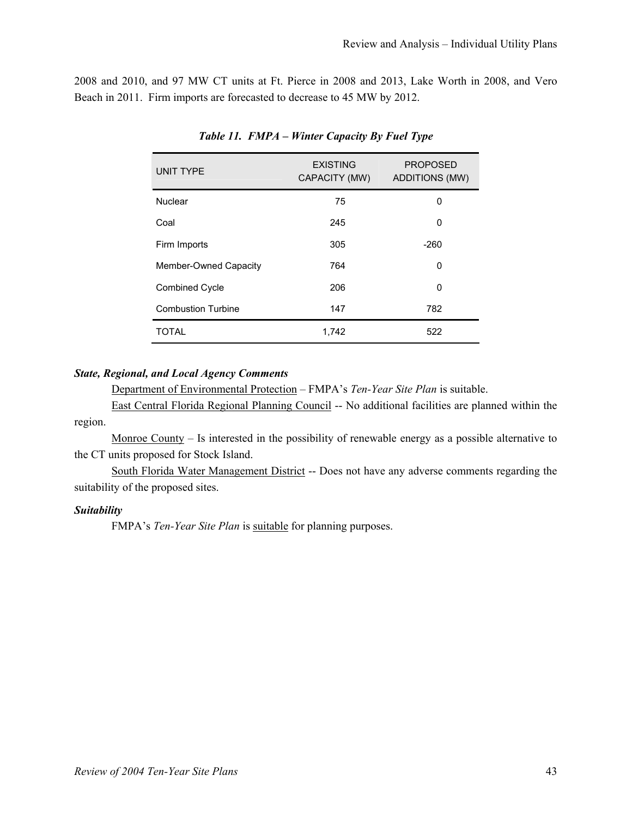2008 and 2010, and 97 MW CT units at Ft. Pierce in 2008 and 2013, Lake Worth in 2008, and Vero Beach in 2011. Firm imports are forecasted to decrease to 45 MW by 2012.

| <b>UNIT TYPE</b>          | <b>EXISTING</b><br>CAPACITY (MW) | <b>PROPOSED</b><br><b>ADDITIONS (MW)</b> |
|---------------------------|----------------------------------|------------------------------------------|
| Nuclear                   | 75                               | 0                                        |
| Coal                      | 245                              | $\Omega$                                 |
| Firm Imports              | 305                              | $-260$                                   |
| Member-Owned Capacity     | 764                              | 0                                        |
| <b>Combined Cycle</b>     | 206                              | 0                                        |
| <b>Combustion Turbine</b> | 147                              | 782                                      |
| <b>TOTAL</b>              | 1,742                            | 522                                      |

*Table 11. FMPA – Winter Capacity By Fuel Type* 

# *State, Regional, and Local Agency Comments*

Department of Environmental Protection – FMPA's *Ten-Year Site Plan* is suitable.

East Central Florida Regional Planning Council -- No additional facilities are planned within the region.

Monroe County – Is interested in the possibility of renewable energy as a possible alternative to the CT units proposed for Stock Island.

South Florida Water Management District -- Does not have any adverse comments regarding the suitability of the proposed sites.

#### *Suitability*

FMPA's *Ten-Year Site Plan* is suitable for planning purposes.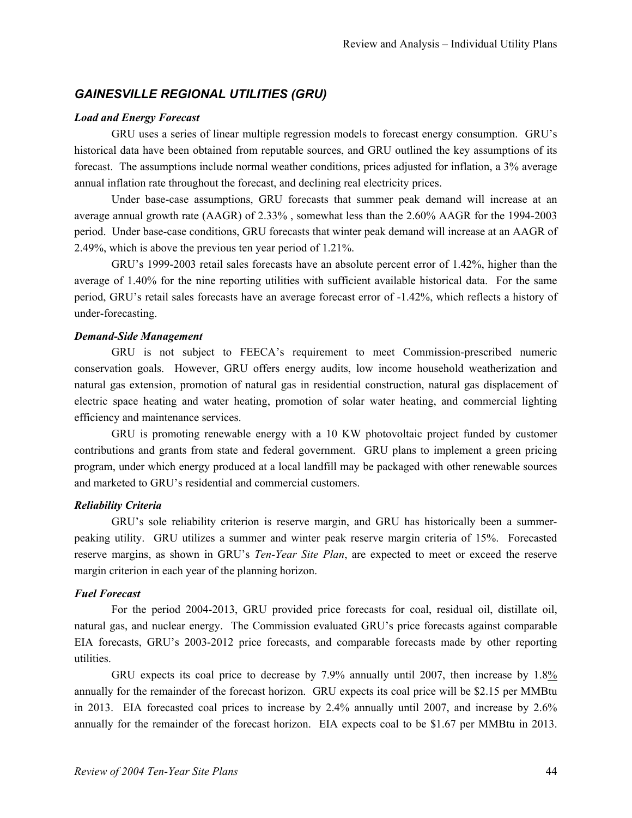# *GAINESVILLE REGIONAL UTILITIES (GRU)*

#### *Load and Energy Forecast*

GRU uses a series of linear multiple regression models to forecast energy consumption. GRU's historical data have been obtained from reputable sources, and GRU outlined the key assumptions of its forecast. The assumptions include normal weather conditions, prices adjusted for inflation, a 3% average annual inflation rate throughout the forecast, and declining real electricity prices.

Under base-case assumptions, GRU forecasts that summer peak demand will increase at an average annual growth rate (AAGR) of 2.33% , somewhat less than the 2.60% AAGR for the 1994-2003 period. Under base-case conditions, GRU forecasts that winter peak demand will increase at an AAGR of 2.49%, which is above the previous ten year period of 1.21%.

GRU's 1999-2003 retail sales forecasts have an absolute percent error of 1.42%, higher than the average of 1.40% for the nine reporting utilities with sufficient available historical data. For the same period, GRU's retail sales forecasts have an average forecast error of -1.42%, which reflects a history of under-forecasting.

# *Demand-Side Management*

GRU is not subject to FEECA's requirement to meet Commission-prescribed numeric conservation goals. However, GRU offers energy audits, low income household weatherization and natural gas extension, promotion of natural gas in residential construction, natural gas displacement of electric space heating and water heating, promotion of solar water heating, and commercial lighting efficiency and maintenance services.

GRU is promoting renewable energy with a 10 KW photovoltaic project funded by customer contributions and grants from state and federal government. GRU plans to implement a green pricing program, under which energy produced at a local landfill may be packaged with other renewable sources and marketed to GRU's residential and commercial customers.

# *Reliability Criteria*

GRU's sole reliability criterion is reserve margin, and GRU has historically been a summerpeaking utility. GRU utilizes a summer and winter peak reserve margin criteria of 15%. Forecasted reserve margins, as shown in GRU's *Ten-Year Site Plan*, are expected to meet or exceed the reserve margin criterion in each year of the planning horizon.

#### *Fuel Forecast*

For the period 2004-2013, GRU provided price forecasts for coal, residual oil, distillate oil, natural gas, and nuclear energy. The Commission evaluated GRU's price forecasts against comparable EIA forecasts, GRU's 2003-2012 price forecasts, and comparable forecasts made by other reporting utilities.

GRU expects its coal price to decrease by 7.9% annually until 2007, then increase by 1.8% annually for the remainder of the forecast horizon. GRU expects its coal price will be \$2.15 per MMBtu in 2013. EIA forecasted coal prices to increase by 2.4% annually until 2007, and increase by 2.6% annually for the remainder of the forecast horizon. EIA expects coal to be \$1.67 per MMBtu in 2013.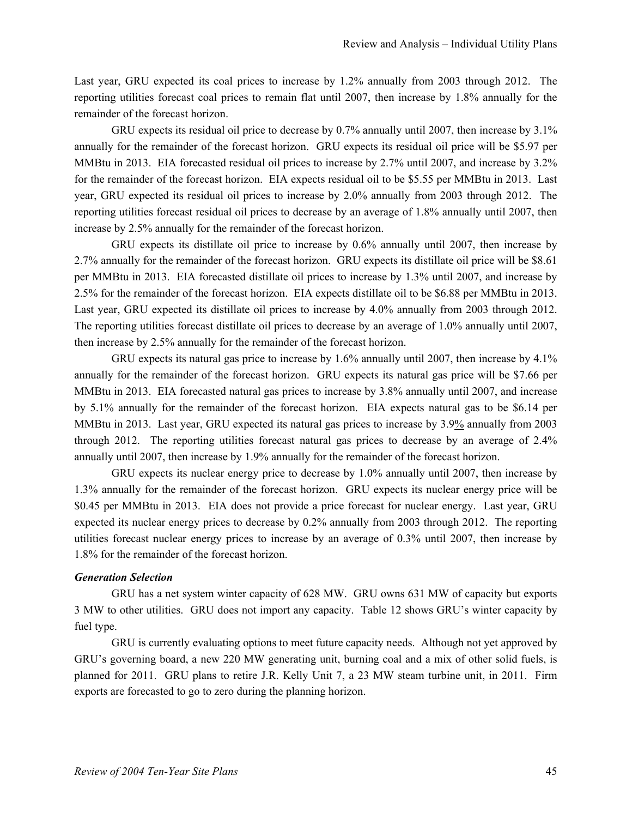Last year, GRU expected its coal prices to increase by 1.2% annually from 2003 through 2012. The reporting utilities forecast coal prices to remain flat until 2007, then increase by 1.8% annually for the remainder of the forecast horizon.

GRU expects its residual oil price to decrease by 0.7% annually until 2007, then increase by 3.1% annually for the remainder of the forecast horizon. GRU expects its residual oil price will be \$5.97 per MMBtu in 2013. EIA forecasted residual oil prices to increase by 2.7% until 2007, and increase by 3.2% for the remainder of the forecast horizon. EIA expects residual oil to be \$5.55 per MMBtu in 2013. Last year, GRU expected its residual oil prices to increase by 2.0% annually from 2003 through 2012. The reporting utilities forecast residual oil prices to decrease by an average of 1.8% annually until 2007, then increase by 2.5% annually for the remainder of the forecast horizon.

GRU expects its distillate oil price to increase by 0.6% annually until 2007, then increase by 2.7% annually for the remainder of the forecast horizon. GRU expects its distillate oil price will be \$8.61 per MMBtu in 2013. EIA forecasted distillate oil prices to increase by 1.3% until 2007, and increase by 2.5% for the remainder of the forecast horizon. EIA expects distillate oil to be \$6.88 per MMBtu in 2013. Last year, GRU expected its distillate oil prices to increase by 4.0% annually from 2003 through 2012. The reporting utilities forecast distillate oil prices to decrease by an average of 1.0% annually until 2007, then increase by 2.5% annually for the remainder of the forecast horizon.

GRU expects its natural gas price to increase by 1.6% annually until 2007, then increase by 4.1% annually for the remainder of the forecast horizon. GRU expects its natural gas price will be \$7.66 per MMBtu in 2013. EIA forecasted natural gas prices to increase by 3.8% annually until 2007, and increase by 5.1% annually for the remainder of the forecast horizon. EIA expects natural gas to be \$6.14 per MMBtu in 2013. Last year, GRU expected its natural gas prices to increase by 3.9% annually from 2003 through 2012. The reporting utilities forecast natural gas prices to decrease by an average of 2.4% annually until 2007, then increase by 1.9% annually for the remainder of the forecast horizon.

GRU expects its nuclear energy price to decrease by 1.0% annually until 2007, then increase by 1.3% annually for the remainder of the forecast horizon. GRU expects its nuclear energy price will be \$0.45 per MMBtu in 2013. EIA does not provide a price forecast for nuclear energy. Last year, GRU expected its nuclear energy prices to decrease by 0.2% annually from 2003 through 2012. The reporting utilities forecast nuclear energy prices to increase by an average of 0.3% until 2007, then increase by 1.8% for the remainder of the forecast horizon.

#### *Generation Selection*

GRU has a net system winter capacity of 628 MW. GRU owns 631 MW of capacity but exports 3 MW to other utilities. GRU does not import any capacity. Table 12 shows GRU's winter capacity by fuel type.

GRU is currently evaluating options to meet future capacity needs. Although not yet approved by GRU's governing board, a new 220 MW generating unit, burning coal and a mix of other solid fuels, is planned for 2011. GRU plans to retire J.R. Kelly Unit 7, a 23 MW steam turbine unit, in 2011. Firm exports are forecasted to go to zero during the planning horizon.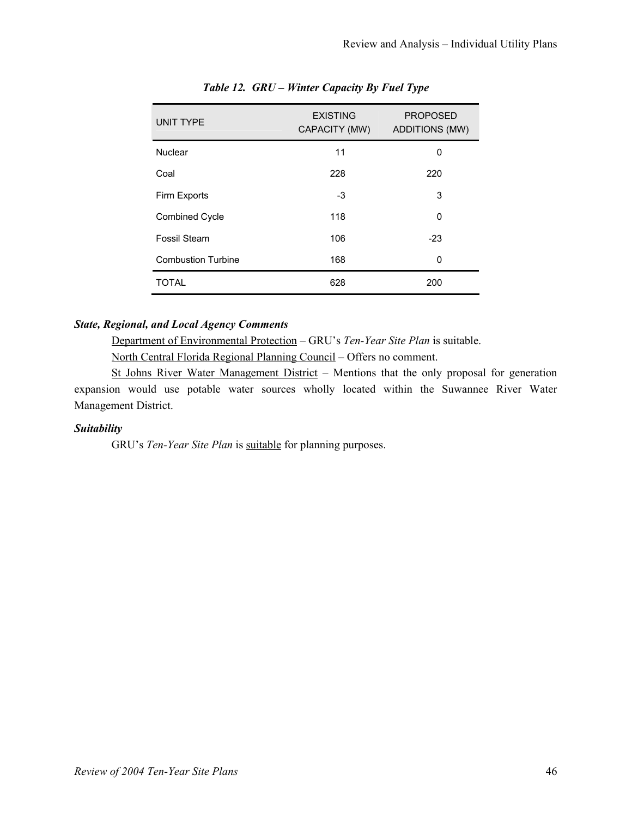| <b>UNIT TYPE</b>          | <b>EXISTING</b><br>CAPACITY (MW) | <b>PROPOSED</b><br><b>ADDITIONS (MW)</b> |
|---------------------------|----------------------------------|------------------------------------------|
| <b>Nuclear</b>            | 11                               | 0                                        |
| Coal                      | 228                              | 220                                      |
| Firm Exports              | -3                               | 3                                        |
| <b>Combined Cycle</b>     | 118                              | $\Omega$                                 |
| Fossil Steam              | 106                              | $-23$                                    |
| <b>Combustion Turbine</b> | 168                              | 0                                        |
| <b>TOTAL</b>              | 628                              | 200                                      |

# *Table 12. GRU – Winter Capacity By Fuel Type*

# *State, Regional, and Local Agency Comments*

Department of Environmental Protection – GRU's *Ten-Year Site Plan* is suitable.

North Central Florida Regional Planning Council – Offers no comment.

St Johns River Water Management District – Mentions that the only proposal for generation expansion would use potable water sources wholly located within the Suwannee River Water Management District.

# *Suitability*

GRU's *Ten-Year Site Plan* is **suitable** for planning purposes.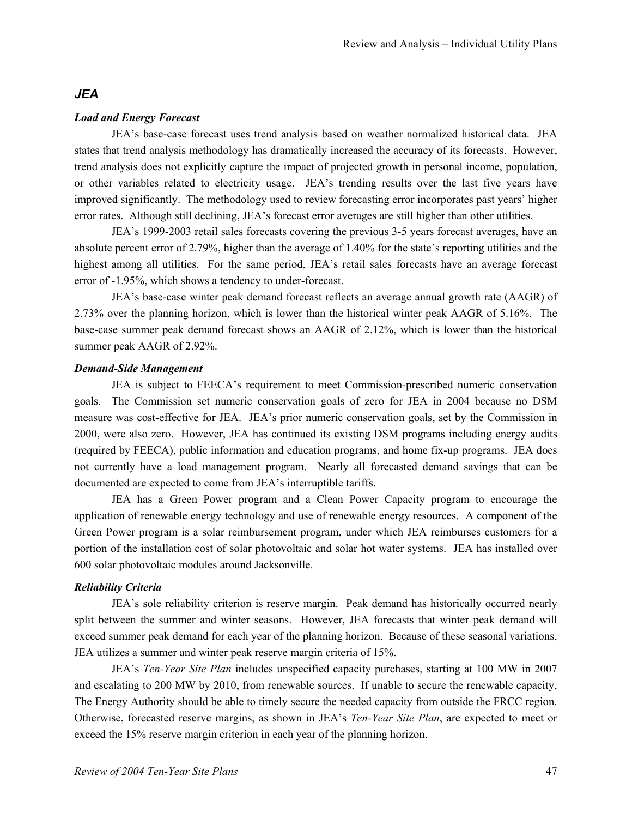# *JEA*

#### *Load and Energy Forecast*

JEA's base-case forecast uses trend analysis based on weather normalized historical data. JEA states that trend analysis methodology has dramatically increased the accuracy of its forecasts. However, trend analysis does not explicitly capture the impact of projected growth in personal income, population, or other variables related to electricity usage. JEA's trending results over the last five years have improved significantly. The methodology used to review forecasting error incorporates past years' higher error rates. Although still declining, JEA's forecast error averages are still higher than other utilities.

JEA's 1999-2003 retail sales forecasts covering the previous 3-5 years forecast averages, have an absolute percent error of 2.79%, higher than the average of 1.40% for the state's reporting utilities and the highest among all utilities. For the same period, JEA's retail sales forecasts have an average forecast error of -1.95%, which shows a tendency to under-forecast.

JEA's base-case winter peak demand forecast reflects an average annual growth rate (AAGR) of 2.73% over the planning horizon, which is lower than the historical winter peak AAGR of 5.16%. The base-case summer peak demand forecast shows an AAGR of 2.12%, which is lower than the historical summer peak AAGR of 2.92%.

# *Demand-Side Management*

JEA is subject to FEECA's requirement to meet Commission-prescribed numeric conservation goals. The Commission set numeric conservation goals of zero for JEA in 2004 because no DSM measure was cost-effective for JEA. JEA's prior numeric conservation goals, set by the Commission in 2000, were also zero. However, JEA has continued its existing DSM programs including energy audits (required by FEECA), public information and education programs, and home fix-up programs. JEA does not currently have a load management program. Nearly all forecasted demand savings that can be documented are expected to come from JEA's interruptible tariffs.

JEA has a Green Power program and a Clean Power Capacity program to encourage the application of renewable energy technology and use of renewable energy resources. A component of the Green Power program is a solar reimbursement program, under which JEA reimburses customers for a portion of the installation cost of solar photovoltaic and solar hot water systems. JEA has installed over 600 solar photovoltaic modules around Jacksonville.

#### *Reliability Criteria*

JEA's sole reliability criterion is reserve margin. Peak demand has historically occurred nearly split between the summer and winter seasons. However, JEA forecasts that winter peak demand will exceed summer peak demand for each year of the planning horizon. Because of these seasonal variations, JEA utilizes a summer and winter peak reserve margin criteria of 15%.

JEA's *Ten-Year Site Plan* includes unspecified capacity purchases, starting at 100 MW in 2007 and escalating to 200 MW by 2010, from renewable sources. If unable to secure the renewable capacity, The Energy Authority should be able to timely secure the needed capacity from outside the FRCC region. Otherwise, forecasted reserve margins, as shown in JEA's *Ten-Year Site Plan*, are expected to meet or exceed the 15% reserve margin criterion in each year of the planning horizon.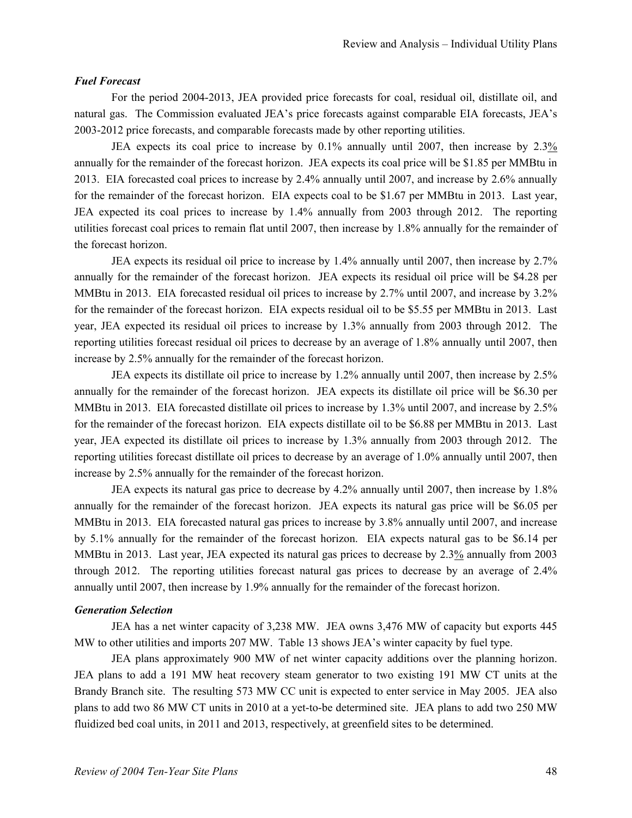#### *Fuel Forecast*

For the period 2004-2013, JEA provided price forecasts for coal, residual oil, distillate oil, and natural gas. The Commission evaluated JEA's price forecasts against comparable EIA forecasts, JEA's 2003-2012 price forecasts, and comparable forecasts made by other reporting utilities.

JEA expects its coal price to increase by 0.1% annually until 2007, then increase by 2.3% annually for the remainder of the forecast horizon. JEA expects its coal price will be \$1.85 per MMBtu in 2013. EIA forecasted coal prices to increase by 2.4% annually until 2007, and increase by 2.6% annually for the remainder of the forecast horizon. EIA expects coal to be \$1.67 per MMBtu in 2013. Last year, JEA expected its coal prices to increase by 1.4% annually from 2003 through 2012. The reporting utilities forecast coal prices to remain flat until 2007, then increase by 1.8% annually for the remainder of the forecast horizon.

JEA expects its residual oil price to increase by 1.4% annually until 2007, then increase by 2.7% annually for the remainder of the forecast horizon. JEA expects its residual oil price will be \$4.28 per MMBtu in 2013. EIA forecasted residual oil prices to increase by 2.7% until 2007, and increase by 3.2% for the remainder of the forecast horizon. EIA expects residual oil to be \$5.55 per MMBtu in 2013. Last year, JEA expected its residual oil prices to increase by 1.3% annually from 2003 through 2012. The reporting utilities forecast residual oil prices to decrease by an average of 1.8% annually until 2007, then increase by 2.5% annually for the remainder of the forecast horizon.

JEA expects its distillate oil price to increase by 1.2% annually until 2007, then increase by 2.5% annually for the remainder of the forecast horizon. JEA expects its distillate oil price will be \$6.30 per MMBtu in 2013. EIA forecasted distillate oil prices to increase by 1.3% until 2007, and increase by 2.5% for the remainder of the forecast horizon. EIA expects distillate oil to be \$6.88 per MMBtu in 2013. Last year, JEA expected its distillate oil prices to increase by 1.3% annually from 2003 through 2012. The reporting utilities forecast distillate oil prices to decrease by an average of 1.0% annually until 2007, then increase by 2.5% annually for the remainder of the forecast horizon.

JEA expects its natural gas price to decrease by 4.2% annually until 2007, then increase by 1.8% annually for the remainder of the forecast horizon. JEA expects its natural gas price will be \$6.05 per MMBtu in 2013. EIA forecasted natural gas prices to increase by 3.8% annually until 2007, and increase by 5.1% annually for the remainder of the forecast horizon. EIA expects natural gas to be \$6.14 per MMBtu in 2013. Last year, JEA expected its natural gas prices to decrease by 2.3% annually from 2003 through 2012. The reporting utilities forecast natural gas prices to decrease by an average of 2.4% annually until 2007, then increase by 1.9% annually for the remainder of the forecast horizon.

#### *Generation Selection*

JEA has a net winter capacity of 3,238 MW. JEA owns 3,476 MW of capacity but exports 445 MW to other utilities and imports 207 MW. Table 13 shows JEA's winter capacity by fuel type.

JEA plans approximately 900 MW of net winter capacity additions over the planning horizon. JEA plans to add a 191 MW heat recovery steam generator to two existing 191 MW CT units at the Brandy Branch site. The resulting 573 MW CC unit is expected to enter service in May 2005. JEA also plans to add two 86 MW CT units in 2010 at a yet-to-be determined site. JEA plans to add two 250 MW fluidized bed coal units, in 2011 and 2013, respectively, at greenfield sites to be determined.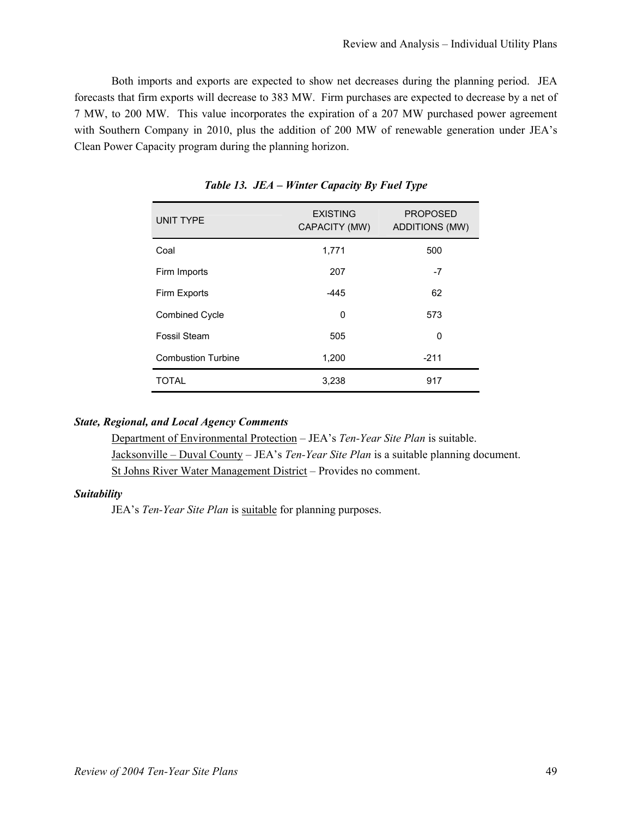Both imports and exports are expected to show net decreases during the planning period. JEA forecasts that firm exports will decrease to 383 MW. Firm purchases are expected to decrease by a net of 7 MW, to 200 MW. This value incorporates the expiration of a 207 MW purchased power agreement with Southern Company in 2010, plus the addition of 200 MW of renewable generation under JEA's Clean Power Capacity program during the planning horizon.

| <b>UNIT TYPE</b>          | <b>EXISTING</b><br>CAPACITY (MW) | <b>PROPOSED</b><br><b>ADDITIONS (MW)</b> |
|---------------------------|----------------------------------|------------------------------------------|
| Coal                      | 1,771                            | 500                                      |
| Firm Imports              | 207                              | $-7$                                     |
| Firm Exports              | -445                             | 62                                       |
| <b>Combined Cycle</b>     | 0                                | 573                                      |
| Fossil Steam              | 505                              | 0                                        |
| <b>Combustion Turbine</b> | 1,200                            | $-211$                                   |
| <b>TOTAL</b>              | 3,238                            | 917                                      |

*Table 13. JEA – Winter Capacity By Fuel Type* 

# *State, Regional, and Local Agency Comments*

Department of Environmental Protection – JEA's *Ten-Year Site Plan* is suitable. Jacksonville – Duval County – JEA's *Ten-Year Site Plan* is a suitable planning document. St Johns River Water Management District – Provides no comment.

# *Suitability*

JEA's *Ten-Year Site Plan* is suitable for planning purposes.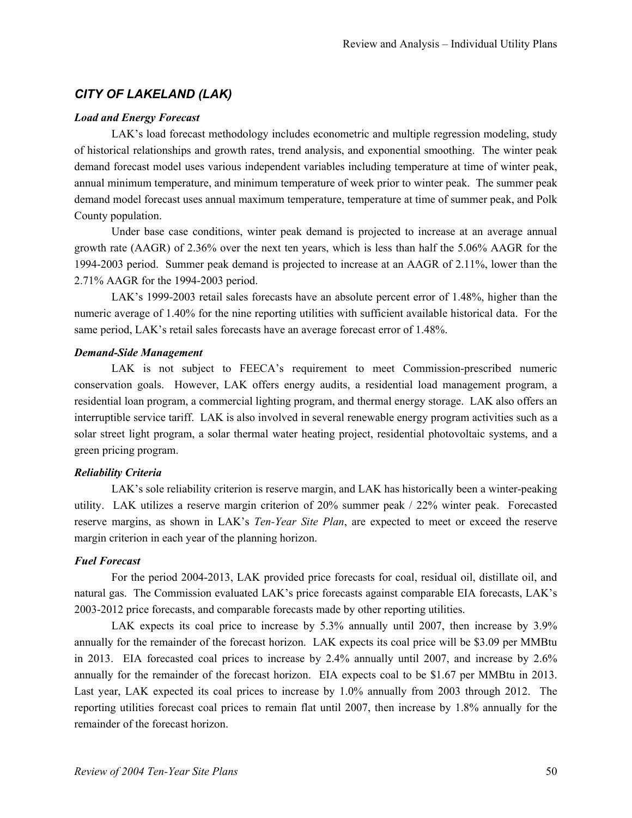# *CITY OF LAKELAND (LAK)*

#### *Load and Energy Forecast*

LAK's load forecast methodology includes econometric and multiple regression modeling, study of historical relationships and growth rates, trend analysis, and exponential smoothing. The winter peak demand forecast model uses various independent variables including temperature at time of winter peak, annual minimum temperature, and minimum temperature of week prior to winter peak. The summer peak demand model forecast uses annual maximum temperature, temperature at time of summer peak, and Polk County population.

Under base case conditions, winter peak demand is projected to increase at an average annual growth rate (AAGR) of 2.36% over the next ten years, which is less than half the 5.06% AAGR for the 1994-2003 period. Summer peak demand is projected to increase at an AAGR of 2.11%, lower than the 2.71% AAGR for the 1994-2003 period.

LAK's 1999-2003 retail sales forecasts have an absolute percent error of 1.48%, higher than the numeric average of 1.40% for the nine reporting utilities with sufficient available historical data. For the same period, LAK's retail sales forecasts have an average forecast error of 1.48%.

#### *Demand-Side Management*

LAK is not subject to FEECA's requirement to meet Commission-prescribed numeric conservation goals. However, LAK offers energy audits, a residential load management program, a residential loan program, a commercial lighting program, and thermal energy storage. LAK also offers an interruptible service tariff. LAK is also involved in several renewable energy program activities such as a solar street light program, a solar thermal water heating project, residential photovoltaic systems, and a green pricing program.

# *Reliability Criteria*

LAK's sole reliability criterion is reserve margin, and LAK has historically been a winter-peaking utility. LAK utilizes a reserve margin criterion of 20% summer peak / 22% winter peak. Forecasted reserve margins, as shown in LAK's *Ten-Year Site Plan*, are expected to meet or exceed the reserve margin criterion in each year of the planning horizon.

#### *Fuel Forecast*

For the period 2004-2013, LAK provided price forecasts for coal, residual oil, distillate oil, and natural gas. The Commission evaluated LAK's price forecasts against comparable EIA forecasts, LAK's 2003-2012 price forecasts, and comparable forecasts made by other reporting utilities.

LAK expects its coal price to increase by 5.3% annually until 2007, then increase by 3.9% annually for the remainder of the forecast horizon. LAK expects its coal price will be \$3.09 per MMBtu in 2013. EIA forecasted coal prices to increase by 2.4% annually until 2007, and increase by 2.6% annually for the remainder of the forecast horizon. EIA expects coal to be \$1.67 per MMBtu in 2013. Last year, LAK expected its coal prices to increase by 1.0% annually from 2003 through 2012. The reporting utilities forecast coal prices to remain flat until 2007, then increase by 1.8% annually for the remainder of the forecast horizon.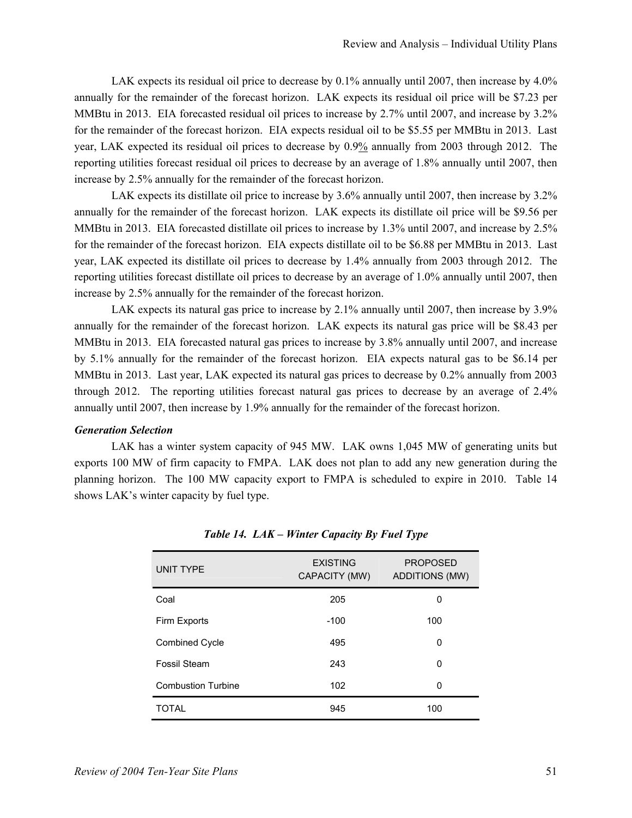LAK expects its residual oil price to decrease by 0.1% annually until 2007, then increase by 4.0% annually for the remainder of the forecast horizon. LAK expects its residual oil price will be \$7.23 per MMBtu in 2013. EIA forecasted residual oil prices to increase by 2.7% until 2007, and increase by 3.2% for the remainder of the forecast horizon. EIA expects residual oil to be \$5.55 per MMBtu in 2013. Last year, LAK expected its residual oil prices to decrease by 0.9% annually from 2003 through 2012. The reporting utilities forecast residual oil prices to decrease by an average of 1.8% annually until 2007, then increase by 2.5% annually for the remainder of the forecast horizon.

LAK expects its distillate oil price to increase by 3.6% annually until 2007, then increase by 3.2% annually for the remainder of the forecast horizon. LAK expects its distillate oil price will be \$9.56 per MMBtu in 2013. EIA forecasted distillate oil prices to increase by 1.3% until 2007, and increase by 2.5% for the remainder of the forecast horizon. EIA expects distillate oil to be \$6.88 per MMBtu in 2013. Last year, LAK expected its distillate oil prices to decrease by 1.4% annually from 2003 through 2012. The reporting utilities forecast distillate oil prices to decrease by an average of 1.0% annually until 2007, then increase by 2.5% annually for the remainder of the forecast horizon.

LAK expects its natural gas price to increase by 2.1% annually until 2007, then increase by 3.9% annually for the remainder of the forecast horizon. LAK expects its natural gas price will be \$8.43 per MMBtu in 2013. EIA forecasted natural gas prices to increase by 3.8% annually until 2007, and increase by 5.1% annually for the remainder of the forecast horizon. EIA expects natural gas to be \$6.14 per MMBtu in 2013. Last year, LAK expected its natural gas prices to decrease by 0.2% annually from 2003 through 2012. The reporting utilities forecast natural gas prices to decrease by an average of 2.4% annually until 2007, then increase by 1.9% annually for the remainder of the forecast horizon.

#### *Generation Selection*

LAK has a winter system capacity of 945 MW. LAK owns 1,045 MW of generating units but exports 100 MW of firm capacity to FMPA. LAK does not plan to add any new generation during the planning horizon. The 100 MW capacity export to FMPA is scheduled to expire in 2010. Table 14 shows LAK's winter capacity by fuel type.

| UNIT TYPE                 | <b>EXISTING</b><br>CAPACITY (MW) | <b>PROPOSED</b><br><b>ADDITIONS (MW)</b> |
|---------------------------|----------------------------------|------------------------------------------|
| Coal                      | 205                              | 0                                        |
| Firm Exports              | $-100$                           | 100                                      |
| <b>Combined Cycle</b>     | 495                              | 0                                        |
| Fossil Steam              | 243                              | 0                                        |
| <b>Combustion Turbine</b> | 102                              | 0                                        |
| <b>TOTAL</b>              | 945                              | 100                                      |

*Table 14. LAK – Winter Capacity By Fuel Type*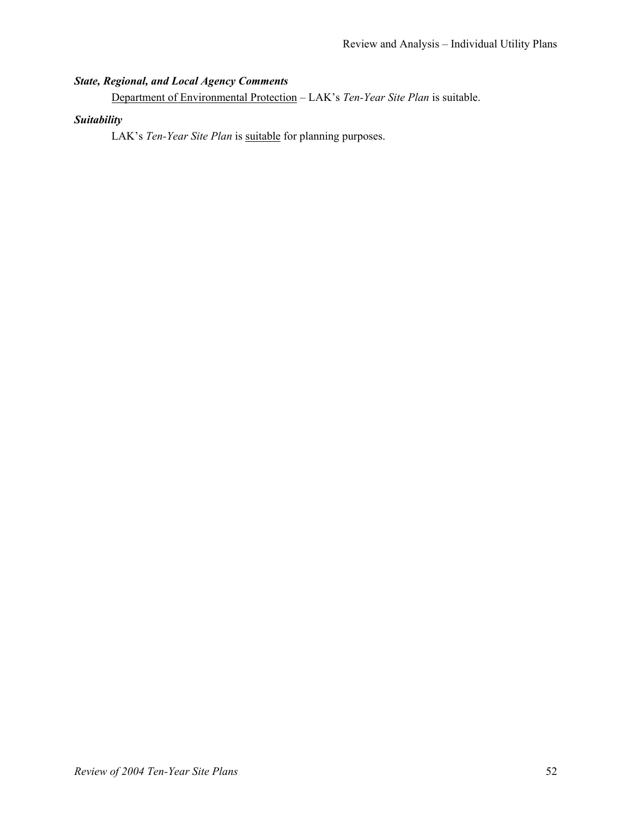# *State, Regional, and Local Agency Comments*

Department of Environmental Protection – LAK's *Ten-Year Site Plan* is suitable.

# *Suitability*

LAK's *Ten-Year Site Plan* is **suitable** for planning purposes.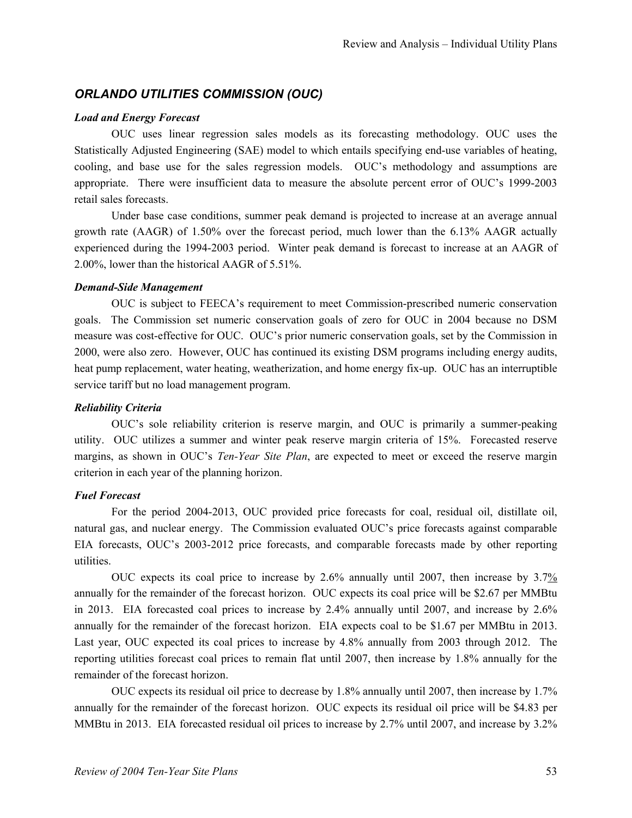# *ORLANDO UTILITIES COMMISSION (OUC)*

# *Load and Energy Forecast*

OUC uses linear regression sales models as its forecasting methodology. OUC uses the Statistically Adjusted Engineering (SAE) model to which entails specifying end-use variables of heating, cooling, and base use for the sales regression models. OUC's methodology and assumptions are appropriate. There were insufficient data to measure the absolute percent error of OUC's 1999-2003 retail sales forecasts.

Under base case conditions, summer peak demand is projected to increase at an average annual growth rate (AAGR) of 1.50% over the forecast period, much lower than the 6.13% AAGR actually experienced during the 1994-2003 period. Winter peak demand is forecast to increase at an AAGR of 2.00%, lower than the historical AAGR of 5.51%.

# *Demand-Side Management*

OUC is subject to FEECA's requirement to meet Commission-prescribed numeric conservation goals. The Commission set numeric conservation goals of zero for OUC in 2004 because no DSM measure was cost-effective for OUC. OUC's prior numeric conservation goals, set by the Commission in 2000, were also zero. However, OUC has continued its existing DSM programs including energy audits, heat pump replacement, water heating, weatherization, and home energy fix-up. OUC has an interruptible service tariff but no load management program.

#### *Reliability Criteria*

OUC's sole reliability criterion is reserve margin, and OUC is primarily a summer-peaking utility. OUC utilizes a summer and winter peak reserve margin criteria of 15%. Forecasted reserve margins, as shown in OUC's *Ten-Year Site Plan*, are expected to meet or exceed the reserve margin criterion in each year of the planning horizon.

# *Fuel Forecast*

For the period 2004-2013, OUC provided price forecasts for coal, residual oil, distillate oil, natural gas, and nuclear energy. The Commission evaluated OUC's price forecasts against comparable EIA forecasts, OUC's 2003-2012 price forecasts, and comparable forecasts made by other reporting utilities.

OUC expects its coal price to increase by 2.6% annually until 2007, then increase by 3.7% annually for the remainder of the forecast horizon. OUC expects its coal price will be \$2.67 per MMBtu in 2013. EIA forecasted coal prices to increase by 2.4% annually until 2007, and increase by 2.6% annually for the remainder of the forecast horizon. EIA expects coal to be \$1.67 per MMBtu in 2013. Last year, OUC expected its coal prices to increase by 4.8% annually from 2003 through 2012. The reporting utilities forecast coal prices to remain flat until 2007, then increase by 1.8% annually for the remainder of the forecast horizon.

OUC expects its residual oil price to decrease by 1.8% annually until 2007, then increase by 1.7% annually for the remainder of the forecast horizon. OUC expects its residual oil price will be \$4.83 per MMBtu in 2013. EIA forecasted residual oil prices to increase by 2.7% until 2007, and increase by 3.2%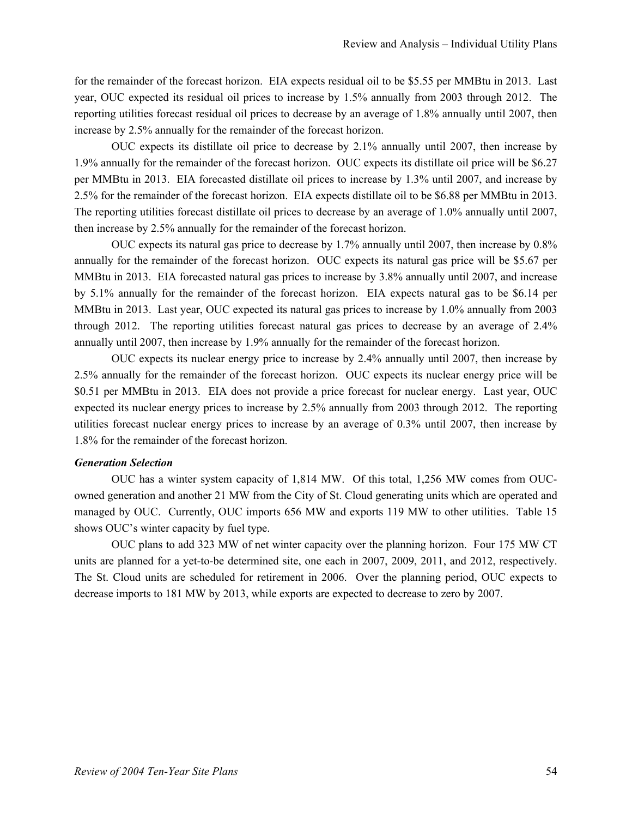for the remainder of the forecast horizon. EIA expects residual oil to be \$5.55 per MMBtu in 2013. Last year, OUC expected its residual oil prices to increase by 1.5% annually from 2003 through 2012. The reporting utilities forecast residual oil prices to decrease by an average of 1.8% annually until 2007, then increase by 2.5% annually for the remainder of the forecast horizon.

OUC expects its distillate oil price to decrease by 2.1% annually until 2007, then increase by 1.9% annually for the remainder of the forecast horizon. OUC expects its distillate oil price will be \$6.27 per MMBtu in 2013. EIA forecasted distillate oil prices to increase by 1.3% until 2007, and increase by 2.5% for the remainder of the forecast horizon. EIA expects distillate oil to be \$6.88 per MMBtu in 2013. The reporting utilities forecast distillate oil prices to decrease by an average of 1.0% annually until 2007, then increase by 2.5% annually for the remainder of the forecast horizon.

OUC expects its natural gas price to decrease by 1.7% annually until 2007, then increase by 0.8% annually for the remainder of the forecast horizon. OUC expects its natural gas price will be \$5.67 per MMBtu in 2013. EIA forecasted natural gas prices to increase by 3.8% annually until 2007, and increase by 5.1% annually for the remainder of the forecast horizon. EIA expects natural gas to be \$6.14 per MMBtu in 2013. Last year, OUC expected its natural gas prices to increase by 1.0% annually from 2003 through 2012. The reporting utilities forecast natural gas prices to decrease by an average of 2.4% annually until 2007, then increase by 1.9% annually for the remainder of the forecast horizon.

OUC expects its nuclear energy price to increase by 2.4% annually until 2007, then increase by 2.5% annually for the remainder of the forecast horizon. OUC expects its nuclear energy price will be \$0.51 per MMBtu in 2013. EIA does not provide a price forecast for nuclear energy. Last year, OUC expected its nuclear energy prices to increase by 2.5% annually from 2003 through 2012. The reporting utilities forecast nuclear energy prices to increase by an average of 0.3% until 2007, then increase by 1.8% for the remainder of the forecast horizon.

#### *Generation Selection*

OUC has a winter system capacity of 1,814 MW. Of this total, 1,256 MW comes from OUCowned generation and another 21 MW from the City of St. Cloud generating units which are operated and managed by OUC. Currently, OUC imports 656 MW and exports 119 MW to other utilities. Table 15 shows OUC's winter capacity by fuel type.

OUC plans to add 323 MW of net winter capacity over the planning horizon. Four 175 MW CT units are planned for a yet-to-be determined site, one each in 2007, 2009, 2011, and 2012, respectively. The St. Cloud units are scheduled for retirement in 2006. Over the planning period, OUC expects to decrease imports to 181 MW by 2013, while exports are expected to decrease to zero by 2007.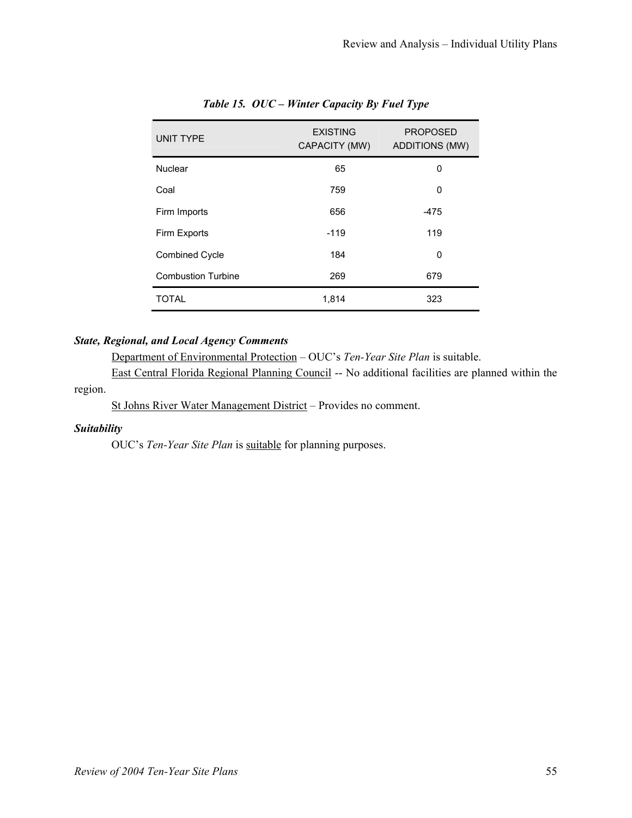| <b>UNIT TYPE</b>          | <b>EXISTING</b><br>CAPACITY (MW) | <b>PROPOSED</b><br><b>ADDITIONS (MW)</b> |
|---------------------------|----------------------------------|------------------------------------------|
| Nuclear                   | 65                               | 0                                        |
| Coal                      | 759                              | 0                                        |
| Firm Imports              | 656                              | -475                                     |
| Firm Exports              | $-119$                           | 119                                      |
| <b>Combined Cycle</b>     | 184                              | 0                                        |
| <b>Combustion Turbine</b> | 269                              | 679                                      |
| <b>TOTAL</b>              | 1,814                            | 323                                      |

# *Table 15. OUC – Winter Capacity By Fuel Type*

# *State, Regional, and Local Agency Comments*

Department of Environmental Protection – OUC's *Ten-Year Site Plan* is suitable.

East Central Florida Regional Planning Council -- No additional facilities are planned within the region.

St Johns River Water Management District – Provides no comment.

# *Suitability*

OUC's *Ten-Year Site Plan* is suitable for planning purposes.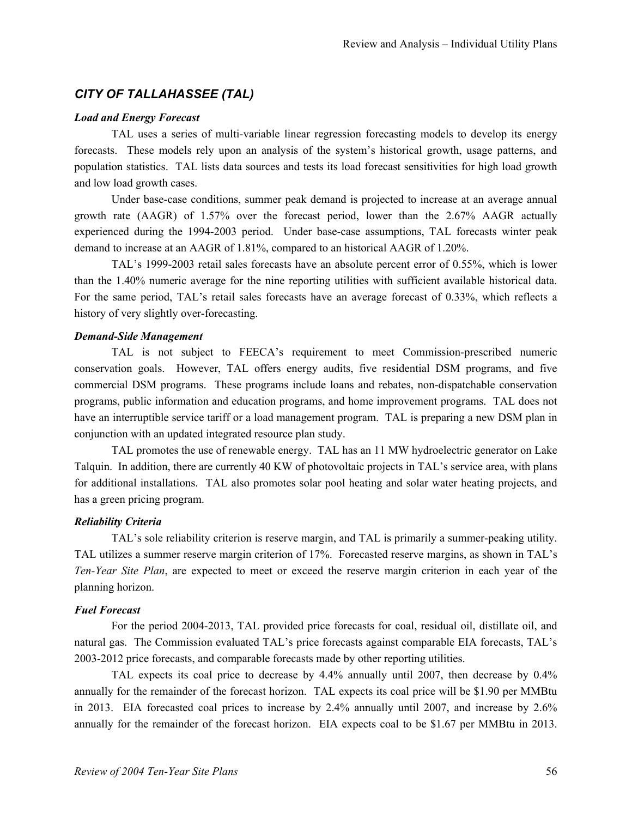# *CITY OF TALLAHASSEE (TAL)*

#### *Load and Energy Forecast*

TAL uses a series of multi-variable linear regression forecasting models to develop its energy forecasts. These models rely upon an analysis of the system's historical growth, usage patterns, and population statistics. TAL lists data sources and tests its load forecast sensitivities for high load growth and low load growth cases.

Under base-case conditions, summer peak demand is projected to increase at an average annual growth rate (AAGR) of 1.57% over the forecast period, lower than the 2.67% AAGR actually experienced during the 1994-2003 period. Under base-case assumptions, TAL forecasts winter peak demand to increase at an AAGR of 1.81%, compared to an historical AAGR of 1.20%.

TAL's 1999-2003 retail sales forecasts have an absolute percent error of 0.55%, which is lower than the 1.40% numeric average for the nine reporting utilities with sufficient available historical data. For the same period, TAL's retail sales forecasts have an average forecast of 0.33%, which reflects a history of very slightly over-forecasting.

#### *Demand-Side Management*

TAL is not subject to FEECA's requirement to meet Commission-prescribed numeric conservation goals. However, TAL offers energy audits, five residential DSM programs, and five commercial DSM programs. These programs include loans and rebates, non-dispatchable conservation programs, public information and education programs, and home improvement programs. TAL does not have an interruptible service tariff or a load management program. TAL is preparing a new DSM plan in conjunction with an updated integrated resource plan study.

TAL promotes the use of renewable energy. TAL has an 11 MW hydroelectric generator on Lake Talquin. In addition, there are currently 40 KW of photovoltaic projects in TAL's service area, with plans for additional installations. TAL also promotes solar pool heating and solar water heating projects, and has a green pricing program.

# *Reliability Criteria*

TAL's sole reliability criterion is reserve margin, and TAL is primarily a summer-peaking utility. TAL utilizes a summer reserve margin criterion of 17%. Forecasted reserve margins, as shown in TAL's *Ten-Year Site Plan*, are expected to meet or exceed the reserve margin criterion in each year of the planning horizon.

# *Fuel Forecast*

For the period 2004-2013, TAL provided price forecasts for coal, residual oil, distillate oil, and natural gas. The Commission evaluated TAL's price forecasts against comparable EIA forecasts, TAL's 2003-2012 price forecasts, and comparable forecasts made by other reporting utilities.

TAL expects its coal price to decrease by 4.4% annually until 2007, then decrease by 0.4% annually for the remainder of the forecast horizon. TAL expects its coal price will be \$1.90 per MMBtu in 2013. EIA forecasted coal prices to increase by 2.4% annually until 2007, and increase by 2.6% annually for the remainder of the forecast horizon. EIA expects coal to be \$1.67 per MMBtu in 2013.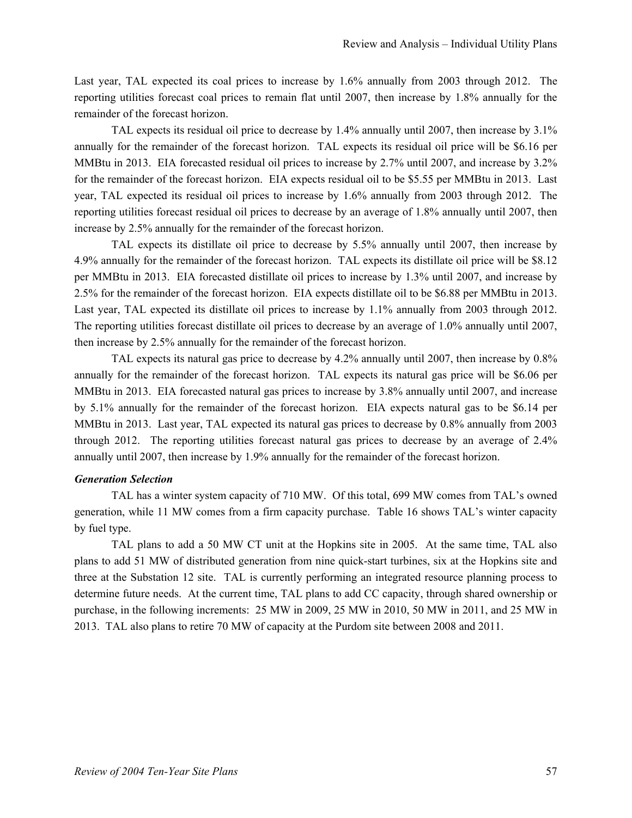Last year, TAL expected its coal prices to increase by 1.6% annually from 2003 through 2012. The reporting utilities forecast coal prices to remain flat until 2007, then increase by 1.8% annually for the remainder of the forecast horizon.

TAL expects its residual oil price to decrease by 1.4% annually until 2007, then increase by 3.1% annually for the remainder of the forecast horizon. TAL expects its residual oil price will be \$6.16 per MMBtu in 2013. EIA forecasted residual oil prices to increase by 2.7% until 2007, and increase by 3.2% for the remainder of the forecast horizon. EIA expects residual oil to be \$5.55 per MMBtu in 2013. Last year, TAL expected its residual oil prices to increase by 1.6% annually from 2003 through 2012. The reporting utilities forecast residual oil prices to decrease by an average of 1.8% annually until 2007, then increase by 2.5% annually for the remainder of the forecast horizon.

TAL expects its distillate oil price to decrease by 5.5% annually until 2007, then increase by 4.9% annually for the remainder of the forecast horizon. TAL expects its distillate oil price will be \$8.12 per MMBtu in 2013. EIA forecasted distillate oil prices to increase by 1.3% until 2007, and increase by 2.5% for the remainder of the forecast horizon. EIA expects distillate oil to be \$6.88 per MMBtu in 2013. Last year, TAL expected its distillate oil prices to increase by 1.1% annually from 2003 through 2012. The reporting utilities forecast distillate oil prices to decrease by an average of 1.0% annually until 2007, then increase by 2.5% annually for the remainder of the forecast horizon.

TAL expects its natural gas price to decrease by 4.2% annually until 2007, then increase by 0.8% annually for the remainder of the forecast horizon. TAL expects its natural gas price will be \$6.06 per MMBtu in 2013. EIA forecasted natural gas prices to increase by 3.8% annually until 2007, and increase by 5.1% annually for the remainder of the forecast horizon. EIA expects natural gas to be \$6.14 per MMBtu in 2013. Last year, TAL expected its natural gas prices to decrease by 0.8% annually from 2003 through 2012. The reporting utilities forecast natural gas prices to decrease by an average of 2.4% annually until 2007, then increase by 1.9% annually for the remainder of the forecast horizon.

#### *Generation Selection*

TAL has a winter system capacity of 710 MW. Of this total, 699 MW comes from TAL's owned generation, while 11 MW comes from a firm capacity purchase. Table 16 shows TAL's winter capacity by fuel type.

TAL plans to add a 50 MW CT unit at the Hopkins site in 2005. At the same time, TAL also plans to add 51 MW of distributed generation from nine quick-start turbines, six at the Hopkins site and three at the Substation 12 site. TAL is currently performing an integrated resource planning process to determine future needs. At the current time, TAL plans to add CC capacity, through shared ownership or purchase, in the following increments: 25 MW in 2009, 25 MW in 2010, 50 MW in 2011, and 25 MW in 2013. TAL also plans to retire 70 MW of capacity at the Purdom site between 2008 and 2011.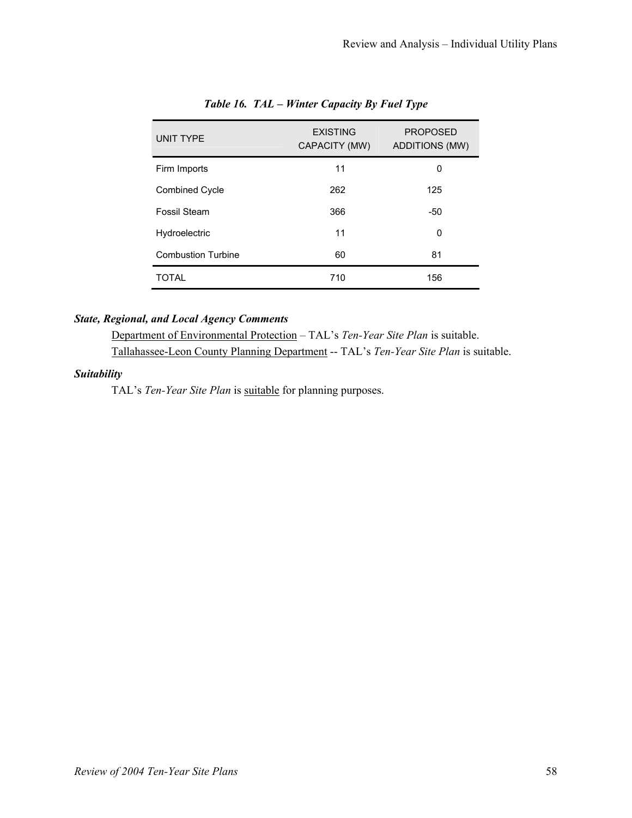| <b>UNIT TYPE</b>          | <b>EXISTING</b><br>CAPACITY (MW) | <b>PROPOSED</b><br><b>ADDITIONS (MW)</b> |
|---------------------------|----------------------------------|------------------------------------------|
| Firm Imports              | 11                               | 0                                        |
| <b>Combined Cycle</b>     | 262                              | 125                                      |
| Fossil Steam              | 366                              | -50                                      |
| Hydroelectric             | 11                               | 0                                        |
| <b>Combustion Turbine</b> | 60                               | 81                                       |
| TOTAL                     | 710                              | 156                                      |

# *Table 16. TAL – Winter Capacity By Fuel Type*

# *State, Regional, and Local Agency Comments*

Department of Environmental Protection – TAL's *Ten-Year Site Plan* is suitable. Tallahassee-Leon County Planning Department -- TAL's *Ten-Year Site Plan* is suitable.

# *Suitability*

TAL's Ten-Year Site Plan is suitable for planning purposes.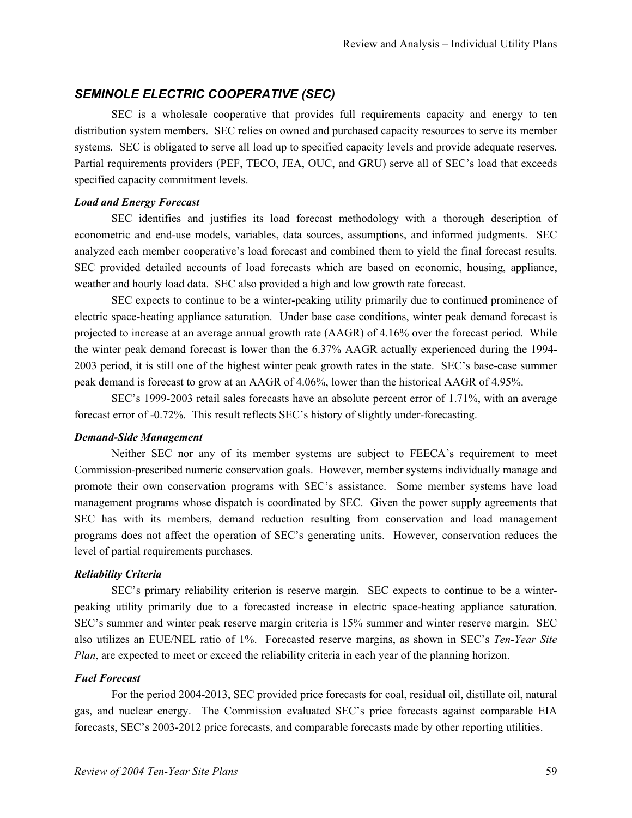# *SEMINOLE ELECTRIC COOPERATIVE (SEC)*

SEC is a wholesale cooperative that provides full requirements capacity and energy to ten distribution system members. SEC relies on owned and purchased capacity resources to serve its member systems. SEC is obligated to serve all load up to specified capacity levels and provide adequate reserves. Partial requirements providers (PEF, TECO, JEA, OUC, and GRU) serve all of SEC's load that exceeds specified capacity commitment levels.

# *Load and Energy Forecast*

SEC identifies and justifies its load forecast methodology with a thorough description of econometric and end-use models, variables, data sources, assumptions, and informed judgments. SEC analyzed each member cooperative's load forecast and combined them to yield the final forecast results. SEC provided detailed accounts of load forecasts which are based on economic, housing, appliance, weather and hourly load data. SEC also provided a high and low growth rate forecast.

SEC expects to continue to be a winter-peaking utility primarily due to continued prominence of electric space-heating appliance saturation. Under base case conditions, winter peak demand forecast is projected to increase at an average annual growth rate (AAGR) of 4.16% over the forecast period. While the winter peak demand forecast is lower than the 6.37% AAGR actually experienced during the 1994- 2003 period, it is still one of the highest winter peak growth rates in the state. SEC's base-case summer peak demand is forecast to grow at an AAGR of 4.06%, lower than the historical AAGR of 4.95%.

SEC's 1999-2003 retail sales forecasts have an absolute percent error of 1.71%, with an average forecast error of -0.72%. This result reflects SEC's history of slightly under-forecasting.

# *Demand-Side Management*

Neither SEC nor any of its member systems are subject to FEECA's requirement to meet Commission-prescribed numeric conservation goals. However, member systems individually manage and promote their own conservation programs with SEC's assistance. Some member systems have load management programs whose dispatch is coordinated by SEC. Given the power supply agreements that SEC has with its members, demand reduction resulting from conservation and load management programs does not affect the operation of SEC's generating units. However, conservation reduces the level of partial requirements purchases.

# *Reliability Criteria*

SEC's primary reliability criterion is reserve margin. SEC expects to continue to be a winterpeaking utility primarily due to a forecasted increase in electric space-heating appliance saturation. SEC's summer and winter peak reserve margin criteria is 15% summer and winter reserve margin. SEC also utilizes an EUE/NEL ratio of 1%. Forecasted reserve margins, as shown in SEC's *Ten-Year Site Plan*, are expected to meet or exceed the reliability criteria in each year of the planning horizon.

# *Fuel Forecast*

For the period 2004-2013, SEC provided price forecasts for coal, residual oil, distillate oil, natural gas, and nuclear energy. The Commission evaluated SEC's price forecasts against comparable EIA forecasts, SEC's 2003-2012 price forecasts, and comparable forecasts made by other reporting utilities.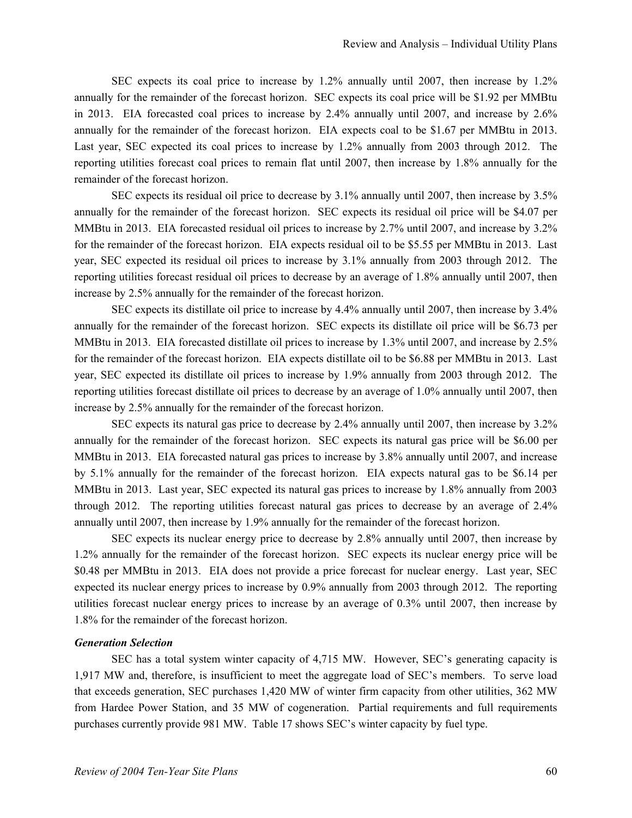SEC expects its coal price to increase by 1.2% annually until 2007, then increase by 1.2% annually for the remainder of the forecast horizon. SEC expects its coal price will be \$1.92 per MMBtu in 2013. EIA forecasted coal prices to increase by 2.4% annually until 2007, and increase by 2.6% annually for the remainder of the forecast horizon. EIA expects coal to be \$1.67 per MMBtu in 2013. Last year, SEC expected its coal prices to increase by 1.2% annually from 2003 through 2012. The reporting utilities forecast coal prices to remain flat until 2007, then increase by 1.8% annually for the remainder of the forecast horizon.

SEC expects its residual oil price to decrease by 3.1% annually until 2007, then increase by 3.5% annually for the remainder of the forecast horizon. SEC expects its residual oil price will be \$4.07 per MMBtu in 2013. EIA forecasted residual oil prices to increase by 2.7% until 2007, and increase by 3.2% for the remainder of the forecast horizon. EIA expects residual oil to be \$5.55 per MMBtu in 2013. Last year, SEC expected its residual oil prices to increase by 3.1% annually from 2003 through 2012. The reporting utilities forecast residual oil prices to decrease by an average of 1.8% annually until 2007, then increase by 2.5% annually for the remainder of the forecast horizon.

SEC expects its distillate oil price to increase by 4.4% annually until 2007, then increase by 3.4% annually for the remainder of the forecast horizon. SEC expects its distillate oil price will be \$6.73 per MMBtu in 2013. EIA forecasted distillate oil prices to increase by 1.3% until 2007, and increase by 2.5% for the remainder of the forecast horizon. EIA expects distillate oil to be \$6.88 per MMBtu in 2013. Last year, SEC expected its distillate oil prices to increase by 1.9% annually from 2003 through 2012. The reporting utilities forecast distillate oil prices to decrease by an average of 1.0% annually until 2007, then increase by 2.5% annually for the remainder of the forecast horizon.

SEC expects its natural gas price to decrease by 2.4% annually until 2007, then increase by 3.2% annually for the remainder of the forecast horizon. SEC expects its natural gas price will be \$6.00 per MMBtu in 2013. EIA forecasted natural gas prices to increase by 3.8% annually until 2007, and increase by 5.1% annually for the remainder of the forecast horizon. EIA expects natural gas to be \$6.14 per MMBtu in 2013. Last year, SEC expected its natural gas prices to increase by 1.8% annually from 2003 through 2012. The reporting utilities forecast natural gas prices to decrease by an average of 2.4% annually until 2007, then increase by 1.9% annually for the remainder of the forecast horizon.

SEC expects its nuclear energy price to decrease by 2.8% annually until 2007, then increase by 1.2% annually for the remainder of the forecast horizon. SEC expects its nuclear energy price will be \$0.48 per MMBtu in 2013. EIA does not provide a price forecast for nuclear energy. Last year, SEC expected its nuclear energy prices to increase by 0.9% annually from 2003 through 2012. The reporting utilities forecast nuclear energy prices to increase by an average of 0.3% until 2007, then increase by 1.8% for the remainder of the forecast horizon.

# *Generation Selection*

SEC has a total system winter capacity of 4,715 MW. However, SEC's generating capacity is 1,917 MW and, therefore, is insufficient to meet the aggregate load of SEC's members. To serve load that exceeds generation, SEC purchases 1,420 MW of winter firm capacity from other utilities, 362 MW from Hardee Power Station, and 35 MW of cogeneration. Partial requirements and full requirements purchases currently provide 981 MW. Table 17 shows SEC's winter capacity by fuel type.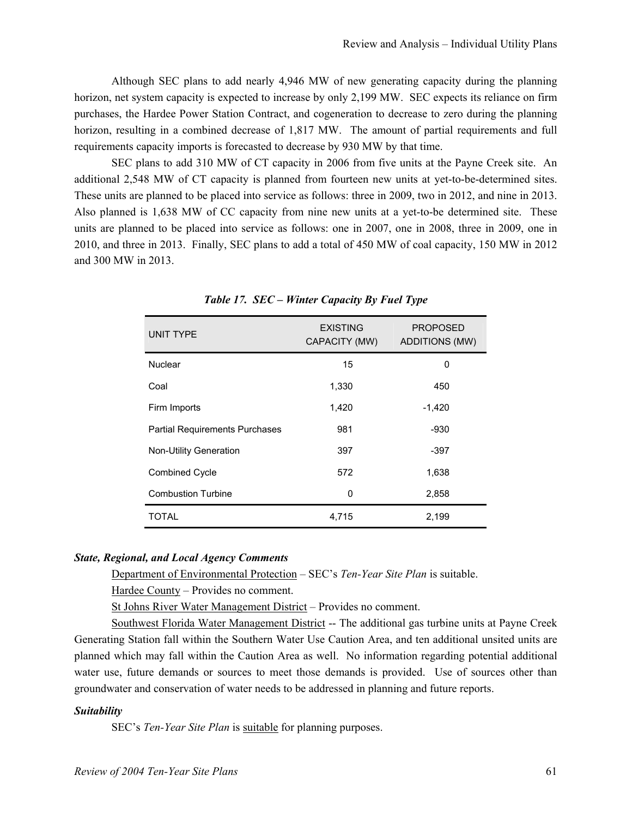Although SEC plans to add nearly 4,946 MW of new generating capacity during the planning horizon, net system capacity is expected to increase by only 2,199 MW. SEC expects its reliance on firm purchases, the Hardee Power Station Contract, and cogeneration to decrease to zero during the planning horizon, resulting in a combined decrease of 1,817 MW. The amount of partial requirements and full requirements capacity imports is forecasted to decrease by 930 MW by that time.

SEC plans to add 310 MW of CT capacity in 2006 from five units at the Payne Creek site. An additional 2,548 MW of CT capacity is planned from fourteen new units at yet-to-be-determined sites. These units are planned to be placed into service as follows: three in 2009, two in 2012, and nine in 2013. Also planned is 1,638 MW of CC capacity from nine new units at a yet-to-be determined site. These units are planned to be placed into service as follows: one in 2007, one in 2008, three in 2009, one in 2010, and three in 2013. Finally, SEC plans to add a total of 450 MW of coal capacity, 150 MW in 2012 and 300 MW in 2013.

| <b>UNIT TYPE</b>                      | <b>EXISTING</b><br>CAPACITY (MW) | <b>PROPOSED</b><br>ADDITIONS (MW) |
|---------------------------------------|----------------------------------|-----------------------------------|
| Nuclear                               | 15                               | 0                                 |
| Coal                                  | 1,330                            | 450                               |
| Firm Imports                          | 1,420                            | $-1,420$                          |
| <b>Partial Requirements Purchases</b> | 981                              | $-930$                            |
| <b>Non-Utility Generation</b>         | 397                              | -397                              |
| <b>Combined Cycle</b>                 | 572                              | 1,638                             |
| <b>Combustion Turbine</b>             | 0                                | 2,858                             |
| TOTAL                                 | 4,715                            | 2,199                             |

*Table 17. SEC – Winter Capacity By Fuel Type* 

#### *State, Regional, and Local Agency Comments*

Department of Environmental Protection – SEC's *Ten-Year Site Plan* is suitable.

Hardee County – Provides no comment.

St Johns River Water Management District – Provides no comment.

Southwest Florida Water Management District -- The additional gas turbine units at Payne Creek Generating Station fall within the Southern Water Use Caution Area, and ten additional unsited units are planned which may fall within the Caution Area as well. No information regarding potential additional water use, future demands or sources to meet those demands is provided. Use of sources other than groundwater and conservation of water needs to be addressed in planning and future reports.

#### *Suitability*

SEC's *Ten-Year Site Plan* is suitable for planning purposes.